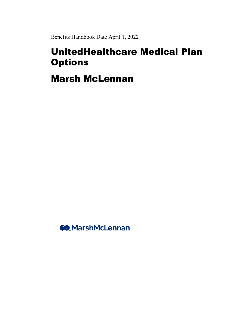Benefits Handbook Date April 1, 2022

# UnitedHealthcare Medical Plan **Options**

Marsh McLennan

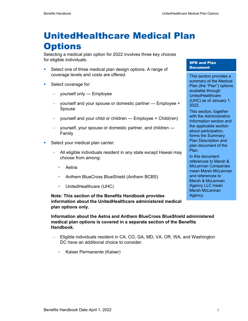# UnitedHealthcare Medical Plan **Options**

Selecting a medical plan option for 2022 involves three key choices for eligible individuals.

- Select one of three medical plan design options. A range of coverage levels and costs are offered.
- **Select coverage for:** 
	- − yourself only Employee
	- − yourself and your spouse or domestic partner Employee + Spouse
	- yourself and your child or children Employee + Child(ren)
	- − yourself, your spouse or domestic partner, and children Family
- **Select your medical plan carrier:** 
	- − All eligible individuals resident in any state except Hawaii may choose from among:
		- Aetna
		- Anthem BlueCross BlueShield (Anthem BCBS)
		- UnitedHealthcare (UHC)

**Note: This section of the Benefits Handbook provides information about the UnitedHealthcare administered medical plan options only.** 

**Information about the Aetna and Anthem BlueCross BlueShield administered medical plan options is covered in a separate section of the Benefits Handbook.** 

- − Eligible individuals resident in CA, CO, GA, MD, VA, OR, WA, and Washington DC have an additional choice to consider:
	- Kaiser Permanente (Kaiser)

### SPD and Plan **Document**

This section provides a summary of the Medical Plan (the "Plan") options available through **UnitedHealthcare** (UHC) as of January 1, 2022.

This section, together with the *Administrative Information* section and the applicable section about participation, forms the Summary Plan Description and plan document of the Plan.

In this document references to Marsh & McLennan Companies mean Marsh McLennan and references to Marsh & McLennan Agency LLC mean Marsh McLennan Agency.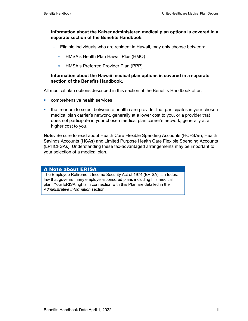### **Information about the Kaiser administered medical plan options is covered in a separate section of the Benefits Handbook.**

- − Eligible individuals who are resident in Hawaii, may only choose between:
	- HMSA's Health Plan Hawaii Plus (HMO)
	- □ HMSA's Preferred Provider Plan (PPP)

### **Information about the Hawaii medical plan options is covered in a separate section of the Benefits Handbook.**

All medical plan options described in this section of the Benefits Handbook offer:

- **COMPTE COMPTER SERVICES**
- the freedom to select between a health care provider that participates in your chosen medical plan carrier's network, generally at a lower cost to you, or a provider that does not participate in your chosen medical plan carrier's network, generally at a higher cost to you.

**Note:** Be sure to read about Health Care Flexible Spending Accounts (HCFSAs), Health Savings Accounts (HSAs) and Limited Purpose Health Care Flexible Spending Accounts (LPHCFSAs). Understanding these tax-advantaged arrangements may be important to your selection of a medical plan.

### A Note about ERISA

The Employee Retirement Income Security Act of 1974 (ERISA) is a federal law that governs many employer-sponsored plans including this medical plan. Your ERISA rights in connection with this Plan are detailed in the *Administrative Information* section.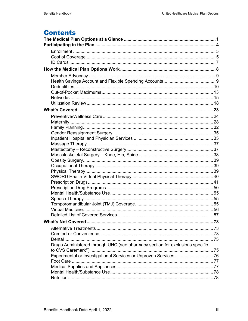# **Contents**

| Drugs Administered through UHC (see pharmacy section for exclusions specific |  |
|------------------------------------------------------------------------------|--|
|                                                                              |  |
|                                                                              |  |
|                                                                              |  |
|                                                                              |  |
|                                                                              |  |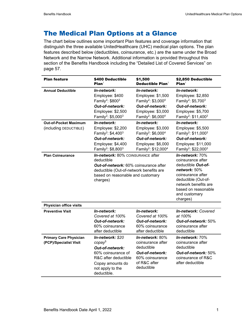# The Medical Plan Options at a Glance

The chart below outlines some important Plan features and coverage information that distinguish the three available UnitedHealthcare (UHC) medical plan options. The plan features described below (deductibles, coinsurance, etc.) are the same under the Broad Network and the Narrow Network. Additional information is provided throughout this section of the Benefits Handbook including the "Detailed List of Covered Services" on page 57.

| <b>Plan feature</b>                                                                | \$400 Deductible<br>Plan <sup>1</sup>                                                                                                                                                                                                                                                                                                    | \$1,500<br>Deductible Plan $^1$                                                                                                                                                                                                                                                                                                               | \$2,850 Deductible<br>Plan <sup>1</sup>                                                                                                                                                                                                                                                                                                          |
|------------------------------------------------------------------------------------|------------------------------------------------------------------------------------------------------------------------------------------------------------------------------------------------------------------------------------------------------------------------------------------------------------------------------------------|-----------------------------------------------------------------------------------------------------------------------------------------------------------------------------------------------------------------------------------------------------------------------------------------------------------------------------------------------|--------------------------------------------------------------------------------------------------------------------------------------------------------------------------------------------------------------------------------------------------------------------------------------------------------------------------------------------------|
| <b>Annual Deductible</b><br><b>Out-of-Pocket Maximum</b><br>(including DEDUCTIBLE) | In-network:<br>Employee: \$400<br>Family <sup>2</sup> : \$800 <sup>3</sup><br>Out-of-network:<br>Employee: \$2,500<br>Family <sup>2</sup> : \$5,000 <sup>3</sup><br>In-network:<br>Employee: \$2,200<br>Family <sup>2</sup> : \$4,400 <sup>3</sup><br>Out-of-network:<br>Employee: \$4,400<br>Family <sup>2</sup> : \$8,800 <sup>3</sup> | In-network:<br>Employee: \$1,500<br>Family <sup>2</sup> : \$3,000 <sup>4</sup><br>Out-of-network:<br>Employee: \$3,000<br>Family <sup>2</sup> : \$6,000 <sup>4</sup><br>In-network:<br>Employee: \$3,000<br>Family <sup>2</sup> : \$6,000 <sup>4</sup><br>Out-of-network:<br>Employee: \$6,000<br>Family <sup>2</sup> : \$12,000 <sup>4</sup> | In-network:<br>Employee: \$2,850<br>Family <sup>2</sup> : \$5,700 <sup>3</sup><br>Out-of-network:<br>Employee: \$5,700<br>Family <sup>2</sup> : \$11,400 <sup>3</sup><br>In-network:<br>Employee: \$5,500<br>Family <sup>2</sup> : \$11,000 <sup>3</sup><br>Out-of-network:<br>Employee: \$11,000<br>Family <sup>2</sup> : \$22,000 <sup>3</sup> |
| <b>Plan Coinsurance</b>                                                            | In-network: 80% COINSURANCE after<br>deductible<br><b>Out-of-network: 60% coinsurance after</b><br>deductible (Out-of-network benefits are<br>based on reasonable and customary<br>charges)                                                                                                                                              |                                                                                                                                                                                                                                                                                                                                               | <b>In-network:</b> 70%<br>coinsurance after<br>deductible <i>Out-of-</i><br>network: 50%<br>coinsurance after<br>deductible (Out-of-<br>network benefits are<br>based on reasonable<br>and customary<br>charges)                                                                                                                                 |
| Physician office visits                                                            |                                                                                                                                                                                                                                                                                                                                          |                                                                                                                                                                                                                                                                                                                                               |                                                                                                                                                                                                                                                                                                                                                  |
| <b>Preventive Visit</b>                                                            | In-network:<br>Covered at 100%<br>Out-of-network:<br>60% coinsurance<br>after deductible                                                                                                                                                                                                                                                 | In-network:<br>Covered at 100%<br>Out-of-network:<br>60% coinsurance<br>after deductible                                                                                                                                                                                                                                                      | In-network: Covered<br>at 100%<br>Out-of-network: 50%<br>coinsurance after<br>deductible                                                                                                                                                                                                                                                         |
| <b>Primary Care Physician</b><br>(PCP)/Specialist Visit                            | In-network: \$20<br>copay <sup>5</sup><br>Out-of-network:<br>60% coinsurance of<br>R&C after deductible<br>Copay amounts do<br>not apply to the<br>deductible.                                                                                                                                                                           | In-network: 80%<br>coinsurance after<br>deductible<br>Out-of-network:<br>60% coinsurance<br>of R&C after<br>deductible                                                                                                                                                                                                                        | In-network: 70%<br>coinsurance after<br>deductible<br>Out-of-network: 50%<br>coinsurance of R&C<br>after deductible                                                                                                                                                                                                                              |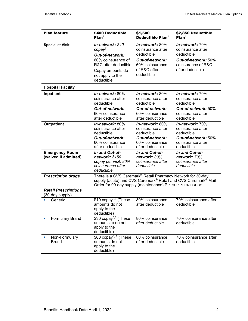| <b>Plan feature</b>                            | \$400 Deductible<br>Plan <sup>1</sup>                                                                                                                                                                              | \$1,500<br>Deductible $Plan1$                                                                                                   | \$2,850 Deductible<br>Plan <sup>1</sup>                                                                                      |
|------------------------------------------------|--------------------------------------------------------------------------------------------------------------------------------------------------------------------------------------------------------------------|---------------------------------------------------------------------------------------------------------------------------------|------------------------------------------------------------------------------------------------------------------------------|
| <b>Specialist Visit</b>                        | In-network: \$40<br>copay <sup>5</sup><br>Out-of-network:<br>60% coinsurance of<br>R&C after deductible<br>Copay amounts do<br>not apply to the<br>deductible.                                                     | $In-network: 80%$<br>coinsurance after<br>deductible<br><b>Out-of-network:</b><br>60% coinsurance<br>of R&C after<br>deductible | $In-network: 70%$<br>coinsurance after<br>deductible<br><b>Out-of-network: 50%</b><br>coinsurance of R&C<br>after deductible |
| <b>Hospital Facility</b>                       |                                                                                                                                                                                                                    |                                                                                                                                 |                                                                                                                              |
| Inpatient                                      | In-network: 80%<br>coinsurance after<br>deductible<br><b>Out-of-network:</b><br>60% coinsurance<br>after deductible                                                                                                | In-network: $80\%$<br>coinsurance after<br>deductible<br><b>Out-of-network:</b><br>60% coinsurance<br>after deductible          | In-network: 70%<br>coinsurance after<br>deductible<br>Out-of-network: 50%<br>coinsurance after<br>deductible                 |
| <b>Outpatient</b>                              | In-network: 80%<br>coinsurance after<br>deductible<br><b>Out-of-network:</b><br>60% coinsurance<br>after deductible                                                                                                | In-network: 80%<br>coinsurance after<br>deductible<br><b>Out-of-network:</b><br>60% coinsurance<br>after deductible             | In-network: 70%<br>coinsurance after<br>deductible<br>Out-of-network: 50%<br>coinsurance after<br>deductible                 |
| <b>Emergency Room</b><br>(waived if admitted)  | In and Out-of-<br>network: \$150<br>copay per visit, 80%<br>coinsurance after<br>deductible                                                                                                                        | In and Out-of-<br>network: 80%<br>coinsurance after<br>deductible                                                               | In and Out-of-<br>network: 70%<br>coinsurance after<br>deductible                                                            |
| <b>Prescription drugs</b>                      | There is a CVS Caremark® Retail Pharmacy Network for 30-day<br>supply (acute) and CVS Caremark <sup>®</sup> Retail and CVS Caremark <sup>®</sup> Mail<br>Order for 90-day supply (maintenance) PRESCRIPTION DRUGS. |                                                                                                                                 |                                                                                                                              |
| <b>Retail Prescriptions</b><br>(30-day supply) |                                                                                                                                                                                                                    |                                                                                                                                 |                                                                                                                              |
| Generic                                        | \$10 copay <sup>5,6</sup> (These<br>amounts do not<br>apply to the<br>deductible)                                                                                                                                  | 80% coinsurance<br>after deductible                                                                                             | 70% coinsurance after<br>deductible                                                                                          |
| <b>Formulary Brand</b>                         | $$30$ copay <sup>5,6</sup> (These<br>amounts to do not<br>apply to the<br>deductible)                                                                                                                              | 80% coinsurance<br>after deductible                                                                                             | 70% coinsurance after<br>deductible                                                                                          |
| Non-Formulary<br><b>Brand</b>                  | \$60 copay <sup>5, 6</sup> (These<br>amounts do not<br>apply to the<br>deductible)                                                                                                                                 | 80% coinsurance<br>after deductible                                                                                             | 70% coinsurance after<br>deductible                                                                                          |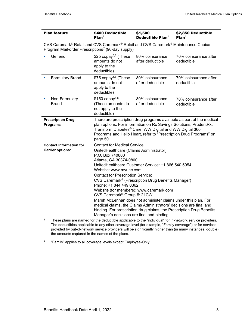| <b>Plan feature</b>                                                                                                                                                                                                                                                                                                                                                                                                                                                                                                                                                                                                                                                                                                                                                   | \$400 Deductible<br>Plan <sup>1</sup>                                                                                                                                                                                                                                                   |                                     | \$2,850 Deductible<br>Plan <sup>1</sup> |  |
|-----------------------------------------------------------------------------------------------------------------------------------------------------------------------------------------------------------------------------------------------------------------------------------------------------------------------------------------------------------------------------------------------------------------------------------------------------------------------------------------------------------------------------------------------------------------------------------------------------------------------------------------------------------------------------------------------------------------------------------------------------------------------|-----------------------------------------------------------------------------------------------------------------------------------------------------------------------------------------------------------------------------------------------------------------------------------------|-------------------------------------|-----------------------------------------|--|
| CVS Caremark® Retail and CVS Caremark® Retail and CVS Caremark® Maintenance Choice<br>Program Mail-order Prescriptions <sup>7</sup> (90-day supply)                                                                                                                                                                                                                                                                                                                                                                                                                                                                                                                                                                                                                   |                                                                                                                                                                                                                                                                                         |                                     |                                         |  |
| Generic                                                                                                                                                                                                                                                                                                                                                                                                                                                                                                                                                                                                                                                                                                                                                               | \$25 copay <sup>5,6</sup> (These<br>amounts do not<br>apply to the<br>deductible)                                                                                                                                                                                                       | 80% coinsurance<br>after deductible | 70% coinsurance after<br>deductible     |  |
| <b>Formulary Brand</b>                                                                                                                                                                                                                                                                                                                                                                                                                                                                                                                                                                                                                                                                                                                                                | \$75 copay <sup>5,6</sup> (These<br>amounts do not<br>apply to the<br>deductible)                                                                                                                                                                                                       | 80% coinsurance<br>after deductible | 70% coinsurance after<br>deductible     |  |
| Non-Formulary<br><b>Brand</b>                                                                                                                                                                                                                                                                                                                                                                                                                                                                                                                                                                                                                                                                                                                                         | $$150$ copay <sup>5,6</sup><br>(These amounts do<br>not apply to the<br>deductible)                                                                                                                                                                                                     | 80% coinsurance<br>after deductible | 70% coinsurance after<br>deductible     |  |
| <b>Prescription Drug</b><br><b>Programs</b>                                                                                                                                                                                                                                                                                                                                                                                                                                                                                                                                                                                                                                                                                                                           | There are prescription drug programs available as part of the medical<br>plan options. For information on Rx Savings Solutions, PrudentRx,<br>Transform Diabetes® Care, WW Digital and WW Digital 360<br>Programs and Hello Heart, refer to "Prescription Drug Programs" on<br>page 50. |                                     |                                         |  |
| <b>Contact for Medical Service:</b><br><b>Contact Information for</b><br><b>Carrier options:</b><br>UnitedHealthcare (Claims Administrator)<br>P.O. Box 740800<br>Atlanta, GA 30374-0800<br>UnitedHealthcare Customer Service: +1 866 540 5954<br>Website: www.myuhc.com<br><b>Contact for Prescription Service:</b><br>CVS Caremark <sup>®</sup> (Prescription Drug Benefits Manager)<br>Phone: +1 844 449 0362<br>Website (for members): www.caremark.com<br>CVS Caremark <sup>®</sup> Group #: 21CW<br>Marsh McLennan does not administer claims under this plan. For<br>medical claims, the Claims Administrators' decisions are final and<br>binding. For prescription drug claims, the Prescription Drug Benefits<br>Manager's decisions are final and binding. |                                                                                                                                                                                                                                                                                         |                                     |                                         |  |

These plans are named for the deductible applicable to the "individual" for in-network service providers. The deductibles applicable to any other coverage level (for example, "Family coverage") or for services provided by out-of-network service providers will be significantly higher than (in many instances, double) the amounts captured in the names of the plans.

2 "Family" applies to all coverage levels except Employee-Only.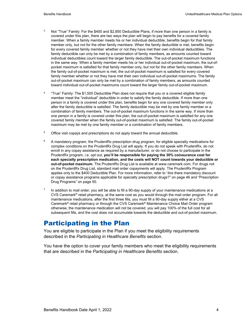- <sup>3</sup> Not "True" Family: For the \$400 and \$2,850 Deductible Plans, if more than one person in a family is covered under this plan, there are two ways the plan will begin to pay benefits for a covered family member. When a family member meets his or her individual deductible, benefits begin for that family member only, but not for the other family members. When the family deductible is met, benefits begin for every covered family member whether or not they have met their own individual deductibles. The family deductible can only be met by a combination of family members, as amounts counted toward individual deductibles count toward the larger family deductible. The out-of-pocket maximum functions in the same way. When a family member meets his or her individual out-of-pocket maximum, the out-ofpocket maximum is satisfied for that family member only, but not for the other family members. When the family out-of-pocket maximum is met, the out-of-pocket maximum is satisfied for every covered family member whether or not they have met their own individual out-of-pocket maximums. The family out-of-pocket maximum can only be met by a combination of family members, as amounts counted toward individual out-of-pocket maximums count toward the larger family out-of-pocket maximum.
- 4 "True" Family: The \$1,500 Deductible Plan does not require that you or a covered eligible family member meet the "individual" deductible in order to satisfy the family deductible. If more than one person in a family is covered under this plan, benefits begin for any one covered family member only after the family deductible is satisfied. The family deductible may be met by one family member or a combination of family members. The out-of-pocket maximum functions in the same way. If more than one person in a family is covered under this plan, the out-of-pocket maximum is satisfied for any one covered family member when the family out-of-pocket maximum is satisfied. The family out-of-pocket maximum may be met by one family member or a combination of family members.
- <sup>5</sup> Office visit copays and prescriptions do not apply toward the annual deductible.
- $6$  A mandatory program, the PrudentRx prescription drug program, for eligible specialty medications for complex conditions on the PrudentRx Drug List will apply. If you do not speak with PrudentRx, do not enroll in any copay assistance as required by a manufacturer, or do not choose to participate in the PrudentRx program, i.e. opt out, **you'll be responsible for paying the 30% coinsurance cost for each specialty prescription medication, and the costs will NOT count towards your deductible or out-of-pocket maximum.** The PrudentRx Drug List is available at www.caremark.com. For drugs not on the PrudentRx Drug List, standard mail order copayments will apply. The PrudentRx Program applies only to the \$400 Deductible Plan. For more information, refer to "Are there mandatory discount or copay assistance programs applicable for specialty prescription drugs?" on page 46 and "Prescription Drug Programs" on page 50.
- $7$  In addition to mail order, you will be able to fill a 90-day supply of your maintenance medications at a CVS Caremark® retail pharmacy, at the same cost as you would through the mail order program. For all maintenance medications, after the first three fills, you must fill a 90-day supply either at a CVS Caremark® retail pharmacy or through the CVS Caremark® Maintenance Choice Mail Order program otherwise, the maintenance medication will not be covered, you will pay 100% of the full cost for all subsequent fills, and the cost does not accumulate towards the deductible and out-of-pocket maximum.

# Participating in the Plan

You are eligible to participate in the Plan if you meet the eligibility requirements described in the *Participating in Healthcare Benefits* section.

You have the option to cover your family members who meet the eligibility requirements that are described in the *Participating in Healthcare Benefits* section.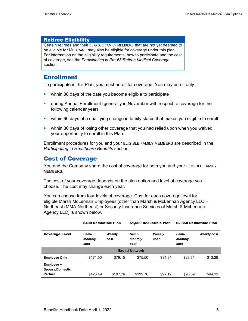### Retiree Eligibility

Certain retirees and their ELIGIBLE FAMILY MEMBERS that are not yet deemed to be eligible for MEDICARE may also be eligible for coverage under this plan. For information on the eligibility requirements, how to participate and the cost of coverage, see the *Participating in Pre-65 Retiree Medical Coverage* section.

# **Enrollment**

To participate in this Plan, you must enroll for coverage. You may enroll only:

- **•** within 30 days of the date you become eligible to participate
- during Annual Enrollment (generally in November with respect to coverage for the following calendar year)
- within 60 days of a qualifying change in family status that makes you eligible to enroll
- within 30 days of losing other coverage that you had relied upon when you waived your opportunity to enroll in this Plan.

Enrollment procedures for you and your ELIGIBLE FAMILY MEMBERS are described in the *Participating in Healthcare Benefits* section.

# Cost of Coverage

You and the Company share the cost of coverage for both you and your ELIGIBLE FAMILY MEMBERS.

The cost of your coverage depends on the plan option and level of coverage you choose. The cost may change each year.

You can choose from four levels of coverage. Cost for each coverage level for eligible Marsh McLennan Employees (other than Marsh & McLennan Agency LLC – Northeast (MMA-Northeast) or Security Insurance Services of Marsh & McLennan Agency LLC) is shown below.

|                                                        | \$400 Deductible Plan    |                | \$1,500 Deductible Plan  |                | \$2,850 Deductible Plan  |                    |
|--------------------------------------------------------|--------------------------|----------------|--------------------------|----------------|--------------------------|--------------------|
| <b>Coverage Level</b>                                  | Semi-<br>monthly<br>cost | Weekly<br>cost | Semi-<br>monthly<br>cost | Weekly<br>cost | Semi-<br>monthly<br>cost | <b>Weekly cost</b> |
| <b>Broad Network</b>                                   |                          |                |                          |                |                          |                    |
| <b>Employee Only</b>                                   | \$171.50                 | \$79.15        | \$75.50                  | \$34.84        | \$28.81                  | \$13.29            |
| Employee +<br><b>Spouse/Domestic</b><br><b>Partner</b> | \$428.49                 | \$197.76       | \$199.76                 | \$92.19        | \$95.59                  | \$44.12            |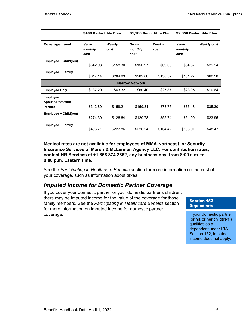|                                                        | \$400 Deductible Plan    |                | \$1,500 Deductible Plan  |                | \$2,850 Deductible Plan  |                    |
|--------------------------------------------------------|--------------------------|----------------|--------------------------|----------------|--------------------------|--------------------|
| <b>Coverage Level</b>                                  | Semi-<br>monthly<br>cost | Weekly<br>cost | Semi-<br>monthly<br>cost | Weekly<br>cost | Semi-<br>monthly<br>cost | <b>Weekly cost</b> |
| Employee + Child(ren)                                  | \$342.98                 | \$158.30       | \$150.97                 | \$69.68        | \$64.87                  | \$29.94            |
| <b>Employee + Family</b>                               | \$617.14                 | \$284.83       | \$282.80                 | \$130.52       | \$131.27                 | \$60.58            |
|                                                        |                          |                | <b>Narrow Network</b>    |                |                          |                    |
| <b>Employee Only</b>                                   | \$137.20                 | \$63.32        | \$60.40                  | \$27.87        | \$23.05                  | \$10.64            |
| Employee +<br><b>Spouse/Domestic</b><br><b>Partner</b> | \$342.80                 | \$158.21       | \$159.81                 | \$73.76        | \$76.48                  | \$35.30            |
| Employee + Child(ren)                                  | \$274.39                 | \$126.64       | \$120.78                 | \$55.74        | \$51.90                  | \$23.95            |
| <b>Employee + Family</b>                               | \$493.71                 | \$227.86       | \$226.24                 | \$104.42       | \$105.01                 | \$48.47            |

**Medical rates are not available for employees of MMA-Northeast, or Security Insurance Services of Marsh & McLennan Agency LLC. For contribution rates, contact HR Services at +1 866 374 2662, any business day, from 8:00 a.m. to 8:00 p.m. Eastern time.** 

See the *Participating in Healthcare Benefits* section for more information on the cost of your coverage, such as information about taxes.

### *Imputed Income for Domestic Partner Coverage*

If you cover your domestic partner or your domestic partner's children, there may be imputed income for the value of the coverage for those family members. See the *Participating in Healthcare Benefits* section for more information on imputed income for domestic partner coverage.

#### Section 152 **Dependents**

If your domestic partner (or his or her child(ren)) qualifies as a dependent under IRS Section 152, imputed income does not apply.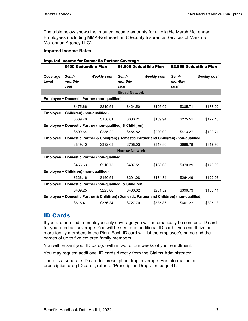The table below shows the imputed income amounts for all eligible Marsh McLennan Employees (including MMA-Northeast and Security Insurance Services of Marsh & McLennan Agency LLC):

#### **Imputed Income Rates**

| <b>Imputed Income for Domestic Partner Coverage</b>                                       |                                                    |                    |                                                                                           |                    |                          |                    |
|-------------------------------------------------------------------------------------------|----------------------------------------------------|--------------------|-------------------------------------------------------------------------------------------|--------------------|--------------------------|--------------------|
|                                                                                           | \$400 Deductible Plan                              |                    | \$1,500 Deductible Plan                                                                   |                    | \$2,850 Deductible Plan  |                    |
| Coverage<br>Level                                                                         | Semi-<br>monthly<br>cost                           | <b>Weekly cost</b> | Semi-<br>monthly<br>cost                                                                  | <b>Weekly cost</b> | Semi-<br>monthly<br>cost | <b>Weekly cost</b> |
|                                                                                           |                                                    |                    | <b>Broad Network</b>                                                                      |                    |                          |                    |
|                                                                                           | <b>Employee + Domestic Partner (non-qualified)</b> |                    |                                                                                           |                    |                          |                    |
|                                                                                           | \$475.66                                           | \$219.54           | \$424.50                                                                                  | \$195.92           | \$385.71                 | \$178.02           |
|                                                                                           | Employee + Child(ren) (non-qualified)              |                    |                                                                                           |                    |                          |                    |
|                                                                                           | \$339.76                                           | \$156.81           | \$303.21                                                                                  | \$139.94           | \$275.51                 | \$127.16           |
|                                                                                           |                                                    |                    | Employee + Domestic Partner (non-qualified) & Child(ren)                                  |                    |                          |                    |
|                                                                                           | \$509.64                                           | \$235.22           | \$454.82                                                                                  | \$209.92           | \$413.27                 | \$190.74           |
| Employee + Domestic Partner & Child(ren) (Domestic Partner and Child(ren) (non-qualified) |                                                    |                    |                                                                                           |                    |                          |                    |
|                                                                                           | \$849.40                                           | \$392.03           | \$758.03                                                                                  | \$349.86           | \$688.78                 | \$317.90           |
| <b>Narrow Network</b>                                                                     |                                                    |                    |                                                                                           |                    |                          |                    |
|                                                                                           | <b>Employee + Domestic Partner (non-qualified)</b> |                    |                                                                                           |                    |                          |                    |
|                                                                                           | \$456.63                                           | \$210.75           | \$407.51                                                                                  | \$188.08           | \$370.29                 | \$170.90           |
|                                                                                           | Employee + Child(ren) (non-qualified)              |                    |                                                                                           |                    |                          |                    |
|                                                                                           | \$326.16                                           | \$150.54           | \$291.08                                                                                  | \$134.34           | \$264.49                 | \$122.07           |
| Employee + Domestic Partner (non-qualified) & Child(ren)                                  |                                                    |                    |                                                                                           |                    |                          |                    |
|                                                                                           | \$489.25                                           | \$225.80           | \$436.62                                                                                  | \$201.52           | \$396.73                 | \$183.11           |
|                                                                                           |                                                    |                    | Employee + Domestic Partner & Child(ren) (Domestic Partner and Child(ren) (non-qualified) |                    |                          |                    |
|                                                                                           | \$815.41                                           | \$376.34           | \$727.70                                                                                  | \$335.86           | \$661.22                 | \$305.18           |

# ID Cards

If you are enrolled in employee only coverage you will automatically be sent one ID card for your medical coverage. You will be sent one additional ID card if you enroll five or more family members in the Plan. Each ID card will list the employee's name and the names of up to five covered family members.

You will be sent your ID card(s) within two to four weeks of your enrollment.

You may request additional ID cards directly from the Claims Administrator.

There is a separate ID card for prescription drug coverage. For information on prescription drug ID cards, refer to "Prescription Drugs" on page 41.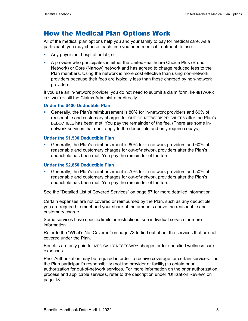# How the Medical Plan Options Work

All of the medical plan options help you and your family to pay for medical care. As a participant, you may choose, each time you need medical treatment, to use:

- **Any physician, hospital or lab, or**
- A provider who participates in either the UnitedHealthcare Choice Plus (Broad Network) or Core (Narrow) network and has agreed to charge reduced fees to the Plan members. Using the network is more cost effective than using non-network providers because their fees are typically less than those charged by non-network providers.

If you use an in-network provider, you do not need to submit a claim form. IN-NETWORK PROVIDERS bill the Claims Administrator directly.

### **Under the \$400 Deductible Plan**

 Generally, the Plan's reimbursement is 80% for in-network providers and 60% of reasonable and customary charges for OUT-OF-NETWORK PROVIDERS after the Plan's DEDUCTIBLE has been met. You pay the remainder of the fee. (There are some innetwork services that don't apply to the deductible and only require copays).

#### **Under the \$1,500 Deductible Plan**

 Generally, the Plan's reimbursement is 80% for in-network providers and 60% of reasonable and customary charges for out-of-network providers after the Plan's deductible has been met. You pay the remainder of the fee.

### **Under the \$2,850 Deductible Plan**

 Generally, the Plan's reimbursement is 70% for in-network providers and 50% of reasonable and customary charges for out-of-network providers after the Plan's deductible has been met. You pay the remainder of the fee.

See the "Detailed List of Covered Services" on page 57 for more detailed information.

Certain expenses are not covered or reimbursed by the Plan, such as any deductible you are required to meet and your share of the amounts above the reasonable and customary charge.

Some services have specific limits or restrictions; see individual service for more information.

Refer to the "What's Not Covered" on page 73 to find out about the services that are not covered under the Plan.

Benefits are only paid for MEDICALLY NECESSARY charges or for specified wellness care expenses.

Prior Authorization may be required in order to receive coverage for certain services. It is the Plan participant's responsibility (not the provider or facility) to obtain prior authorization for out-of-network services. For more information on the prior authorization process and applicable services, refer to the description under "Utilization Review" on page 18.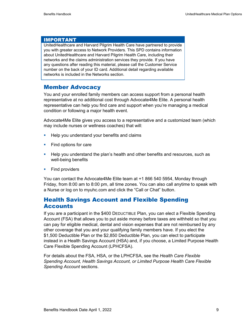### IMPORTANT

UnitedHealthcare and Harvard Pilgrim Health Care have partnered to provide you with greater access to Network Providers. This SPD contains information about UnitedHealthcare and Harvard Pilgrim Health Care, including their networks and the claims administration services they provide. If you have any questions after reading this material, please call the Customer Service number on the back of your ID card. Additional detail regarding available networks is included in the Networks section.

### Member Advocacy

You and your enrolled family members can access support from a personal health representative at no additional cost through Advocate4Me Elite. A personal health representative can help you find care and support when you're managing a medical condition or following a major health event.

Advocate4Me Elite gives you access to a representative and a customized team (which may include nurses or wellness coaches) that will:

- **Help you understand your benefits and claims**
- **Find options for care**
- **Help you understand the plan's health and other benefits and resources, such as** well-being benefits
- **Find providers**

You can contact the Advocate4Me Elite team at +1 866 540 5954, Monday through Friday, from 8:00 am to 8:00 pm, all time zones. You can also call anytime to speak with a Nurse or log on to myuhc.com and click the "Call or Chat" button.

# Health Savings Account and Flexible Spending **Accounts**

If you are a participant in the \$400 DEDUCTIBLE Plan, you can elect a Flexible Spending Account (FSA) that allows you to put aside money before taxes are withheld so that you can pay for eligible medical, dental and vision expenses that are not reimbursed by any other coverage that you and your qualifying family members have. If you elect the \$1,500 Deductible Plan or the \$2,850 Deductible Plan, you can elect to participate instead in a Health Savings Account (HSA) and, if you choose, a Limited Purpose Health Care Flexible Spending Account (LPHCFSA).

For details about the FSA, HSA, or the LPHCFSA, see the *Health Care Flexible Spending Account, Health Savings Account, or Limited Purpose Health Care Flexible Spending Account* sections.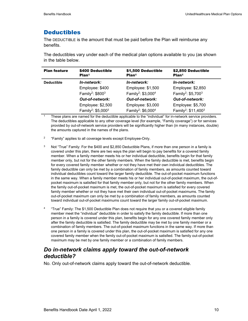# **Deductibles**

The DEDUCTIBLE is the amount that must be paid before the Plan will reimburse any benefits.

The deductibles vary under each of the medical plan options available to you (as shown in the table below.

| <b>Plan feature</b> | \$400 Deductible<br>Plan <sup>1</sup>      | \$1,500 Deductible<br>Plan <sup>1</sup>    | \$2,850 Deductible<br>Plan <sup>1</sup>     |
|---------------------|--------------------------------------------|--------------------------------------------|---------------------------------------------|
| <b>Deductible</b>   | In-network:                                | In-network:                                | In-network:                                 |
|                     | Employee: \$400                            | Employee: \$1,500                          | Employee: \$2,850                           |
|                     | Family <sup>2</sup> : $$800^3$             | Family <sup>2</sup> : \$3,000 <sup>4</sup> | Family <sup>2</sup> : \$5,700 <sup>3</sup>  |
|                     | <b>Out-of-network:</b>                     | <b>Out-of-network:</b>                     | <b>Out-of-network:</b>                      |
|                     | Employee: \$2,500                          | Employee: \$3,000                          | Employee: \$5,700                           |
|                     | Family <sup>2</sup> : \$5,000 <sup>3</sup> | Family <sup>2</sup> : \$6,000 <sup>4</sup> | Family <sup>2</sup> : \$11,400 <sup>3</sup> |

1 These plans are named for the deductible applicable to the "individual" for in-network service providers. The deductibles applicable to any other coverage level (for example, "Family coverage") or for services provided by out-of-network service providers will be significantly higher than (in many instances, double) the amounts captured in the names of the plans.

- <sup>2</sup> "Family" applies to all coverage levels except Employee-Only.
- $3$  Not "True" Family: For the \$400 and \$2,850 Deductible Plans, if more than one person in a family is covered under this plan, there are two ways the plan will begin to pay benefits for a covered family member. When a family member meets his or her individual deductible, benefits begin for that family member only, but not for the other family members. When the family deductible is met, benefits begin for every covered family member whether or not they have met their own individual deductibles. The family deductible can only be met by a combination of family members, as amounts counted toward individual deductibles count toward the larger family deductible. The out-of-pocket maximum functions in the same way. When a family member meets his or her individual out-of-pocket maximum, the out-ofpocket maximum is satisfied for that family member only, but not for the other family members. When the family out-of-pocket maximum is met, the out-of-pocket maximum is satisfied for every covered family member whether or not they have met their own individual out-of-pocket maximums. The family out-of-pocket maximum can only be met by a combination of family members, as amounts counted toward individual out-of-pocket maximums count toward the larger family out-of-pocket maximum.
- <sup>4</sup> "True" Family: The \$1,500 Deductible Plan does not require that you or a covered eligible family member meet the "individual" deductible in order to satisfy the family deductible. If more than one person in a family is covered under this plan, benefits begin for any one covered family member only after the family deductible is satisfied. The family deductible may be met by one family member or a combination of family members. The out-of-pocket maximum functions in the same way. If more than one person in a family is covered under this plan, the out-of-pocket maximum is satisfied for any one covered family member when the family out-of-pocket maximum is satisfied. The family out-of-pocket maximum may be met by one family member or a combination of family members.

# *Do in-network claims apply toward the out-of-network deductible?*

No. Only out-of-network claims apply toward the out-of-network deductible.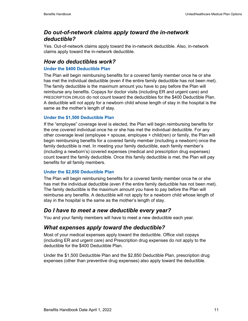# *Do out-of-network claims apply toward the in-network deductible?*

Yes. Out-of-network claims apply toward the in-network deductible. Also, in-network claims apply toward the in-network deductible.

# *How do deductibles work?*

### **Under the \$400 Deductible Plan**

The Plan will begin reimbursing benefits for a covered family member once he or she has met the individual deductible (even if the entire family deductible has not been met). The family deductible is the maximum amount you have to pay before the Plan will reimburse any benefits. Copays for doctor visits (including ER and urgent care) and PRESCRIPTION DRUGS do not count toward the deductibles for the \$400 Deductible Plan. A deductible will not apply for a newborn child whose length of stay in the hospital is the same as the mother's length of stay.

### **Under the \$1,500 Deductible Plan**

If the "employee" coverage level is elected, the Plan will begin reimbursing benefits for the one covered individual once he or she has met the individual deductible. For any other coverage level (employee + spouse, employee + child(ren) or family, the Plan will begin reimbursing benefits for a covered family member (including a newborn) once the family deductible is met. In meeting your family deductible, each family member's (including a newborn's) covered expenses (medical and prescription drug expenses) count toward the family deductible. Once this family deductible is met, the Plan will pay benefits for all family members.

### **Under the \$2,850 Deductible Plan**

The Plan will begin reimbursing benefits for a covered family member once he or she has met the individual deductible (even if the entire family deductible has not been met). The family deductible is the maximum amount you have to pay before the Plan will reimburse any benefits. A deductible will not apply for a newborn child whose length of stay in the hospital is the same as the mother's length of stay.

# *Do I have to meet a new deductible every year?*

You and your family members will have to meet a new deductible each year.

# *What expenses apply toward the deductible?*

Most of your medical expenses apply toward the deductible. Office visit copays (including ER and urgent care) and Prescription drug expenses do not apply to the deductible for the \$400 Deductible Plan.

Under the \$1,500 Deductible Plan and the \$2,850 Deductible Plan, prescription drug expenses (other than preventive drug expenses) also apply toward the deductible.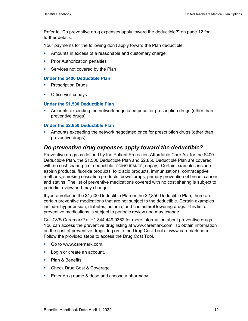Refer to "Do preventive drug expenses apply toward the deductible?" on page 12 for further details.

Your payments for the following don't apply toward the Plan deductible:

- **Amounts in excess of a reasonable and customary charge**
- **Prior Authorization penalties**
- Services not covered by the Plan

### **Under the \$400 Deductible Plan**

- **Prescription Drugs**
- **•** Office visit copays

### **Under the \$1,500 Deductible Plan**

**• Amounts exceeding the network negotiated price for prescription drugs (other than** preventive drugs)

### **Under the \$2,850 Deductible Plan**

**• Amounts exceeding the network negotiated price for prescription drugs (other than** preventive drugs)

# *Do preventive drug expenses apply toward the deductible?*

Preventive drugs as defined by the Patient Protection Affordable Care Act for the \$400 Deductible Plan, the \$1,500 Deductible Plan and \$2,850 Deductible Plan are covered with no cost sharing (i.e. deductible, COINSURANCE, copay). Certain examples include: aspirin products, fluoride products, folic acid products, immunizations, contraceptive methods, smoking cessation products, bowel preps, primary prevention of breast cancer and statins. The list of preventive medications covered with no cost sharing is subject to periodic review and may change.

If you enrolled in the \$1,500 Deductible Plan or the \$2,850 Deductible Plan, there are certain preventive medications that are not subject to the deductible. Certain examples include: hypertension, diabetes, asthma, and cholesterol lowering drugs. This list of preventive medications is subject to periodic review and may change.

Call CVS Caremark® at +1 844 449 0362 for more information about preventive drugs. You can access the preventive drug listing at www.caremark.com. To obtain information on the cost of preventive drugs, log on to the Drug Cost Tool at www.caremark.com. Follow the provided steps to access the Drug Cost Tool.

- Go to www.caremark.com.
- **Login or create an account.**
- Plan & Benefits.
- **Check Drug Cost & Coverage.**
- **Enter drug name & dose and choose a pharmacy.**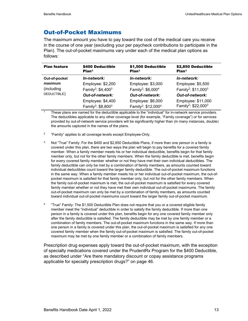# Out-of-Pocket Maximums

The maximum amount you have to pay toward the cost of the medical care you receive in the course of one year (excluding your per paycheck contributions to participate in the Plan). The out-of-pocket maximums vary under each of the medical plan options as follows:

| <b>Plan feature</b> | \$400 Deductible<br>Plan <sup>1</sup>                           | \$1,500 Deductible<br>Plan <sup>1</sup>                          | \$2,850 Deductible<br>Plan <sup>1</sup>                           |
|---------------------|-----------------------------------------------------------------|------------------------------------------------------------------|-------------------------------------------------------------------|
| Out-of-pocket       | In-network:                                                     | In-network:                                                      | In-network:                                                       |
| maximum             | Employee: \$2,200                                               | Employee: \$3,000                                                | Employee: \$5,500                                                 |
| (including          | Family <sup>2</sup> : \$4,400 <sup>3</sup>                      | Family <sup>2</sup> : \$6,000 <sup>4</sup>                       | Family <sup>2</sup> : \$11,000 <sup>3</sup>                       |
| DEDUCTIBLE)         | <b>Out-of-network:</b>                                          | Out-of-network:                                                  | <b>Out-of-network:</b>                                            |
|                     | Employee: \$4,400<br>Family <sup>2</sup> : \$8,800 <sup>3</sup> | Employee: \$6,000<br>Family <sup>2</sup> : \$12,000 <sup>4</sup> | Employee: \$11,000<br>Family <sup>2</sup> : \$22,000 <sup>3</sup> |

 $\frac{1}{1}$  These plans are named for the deductible applicable to the "individual" for in-network service providers. The deductibles applicable to any other coverage level (for example, "Family coverage") or for services provided by out-of-network service providers will be significantly higher than (in many instances, double) the amounts captured in the names of the plans.

- <sup>2</sup> "Family" applies to all coverage levels except Employee-Only.
- $3$  Not "True" Family: For the \$400 and \$2,850 Deductible Plans, if more than one person in a family is covered under this plan, there are two ways the plan will begin to pay benefits for a covered family member. When a family member meets his or her individual deductible, benefits begin for that family member only, but not for the other family members. When the family deductible is met, benefits begin for every covered family member whether or not they have met their own individual deductibles. The family deductible can only be met by a combination of family members, as amounts counted toward individual deductibles count toward the larger family deductible. The out-of-pocket maximum functions in the same way. When a family member meets his or her individual out-of-pocket maximum, the out-ofpocket maximum is satisfied for that family member only, but not for the other family members. When the family out-of-pocket maximum is met, the out-of-pocket maximum is satisfied for every covered family member whether or not they have met their own individual out-of-pocket maximums. The family out-of-pocket maximum can only be met by a combination of family members, as amounts counted toward individual out-of-pocket maximums count toward the larger family out-of-pocket maximum.
- <sup>4</sup> "True" Family: The \$1,500 Deductible Plan does not require that you or a covered eligible family member meet the "individual" deductible in order to satisfy the family deductible. If more than one person in a family is covered under this plan, benefits begin for any one covered family member only after the family deductible is satisfied. The family deductible may be met by one family member or a combination of family members. The out-of-pocket maximum functions in the same way. If more than one person in a family is covered under this plan, the out-of-pocket maximum is satisfied for any one covered family member when the family out-of-pocket maximum is satisfied. The family out-of-pocket maximum may be met by one family member or a combination of family members.

Prescription drug expenses apply toward the out-of-pocket maximum, with the exception of specialty medications covered under the PrudentRx Program for the \$400 Deductible, as described under "Are there mandatory discount or copay assistance programs applicable for specialty prescription drugs?" on page 46.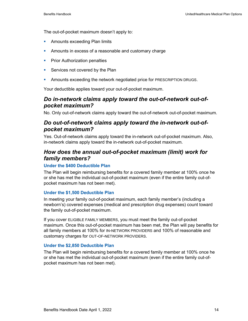The out-of-pocket maximum doesn't apply to:

- **Amounts exceeding Plan limits**
- **Amounts in excess of a reasonable and customary charge**
- **Prior Authorization penalties**
- **Services not covered by the Plan**
- **Amounts exceeding the network negotiated price for PRESCRIPTION DRUGS.**

Your deductible applies toward your out-of-pocket maximum.

# *Do in-network claims apply toward the out-of-network out-ofpocket maximum?*

No. Only out-of-network claims apply toward the out-of-network out-of-pocket maximum.

### *Do out-of-network claims apply toward the in-network out-ofpocket maximum?*

Yes. Out-of-network claims apply toward the in-network out-of-pocket maximum. Also, in-network claims apply toward the in-network out-of-pocket maximum.

# *How does the annual out-of-pocket maximum (limit) work for family members?*

### **Under the \$400 Deductible Plan**

The Plan will begin reimbursing benefits for a covered family member at 100% once he or she has met the individual out-of-pocket maximum (even if the entire family out-ofpocket maximum has not been met).

### **Under the \$1,500 Deductible Plan**

In meeting your family out-of-pocket maximum, each family member's (including a newborn's) covered expenses (medical and prescription drug expenses) count toward the family out-of-pocket maximum.

If you cover ELIGIBLE FAMILY MEMBERS, you must meet the family out-of-pocket maximum. Once this out-of-pocket maximum has been met, the Plan will pay benefits for all family members at 100% for IN-NETWORK PROVIDERS and 100% of reasonable and customary charges for OUT-OF-NETWORK PROVIDERS.

### **Under the \$2,850 Deductible Plan**

The Plan will begin reimbursing benefits for a covered family member at 100% once he or she has met the individual out-of-pocket maximum (even if the entire family out-ofpocket maximum has not been met).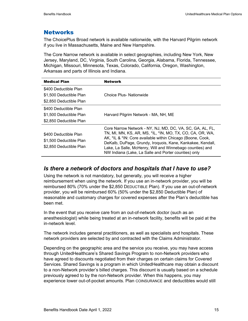# **Networks**

The ChoicePlus Broad network is available nationwide, with the Harvard Pilgrim network if you live in Massachusetts, Maine and New Hampshire.

The Core Narrow network is available in select geographies, including New York, New Jersey, Maryland, DC, Virginia, South Carolina, Georgia, Alabama, Florida, Tennessee, Michigan, Missouri, Minnesota, Texas, Colorado, California, Oregon, Washington, Arkansas and parts of Illinois and Indiana.

| <b>Medical Plan</b>                                                         | <b>Network</b>                                                                                                                                                                                                                                                                                                                                                          |
|-----------------------------------------------------------------------------|-------------------------------------------------------------------------------------------------------------------------------------------------------------------------------------------------------------------------------------------------------------------------------------------------------------------------------------------------------------------------|
| \$400 Deductible Plan<br>\$1,500 Deductible Plan<br>\$2,850 Deductible Plan | Choice Plus- Nationwide                                                                                                                                                                                                                                                                                                                                                 |
| \$400 Deductible Plan<br>\$1,500 Deductible Plan<br>\$2,850 Deductible Plan | Harvard Pilgrim Network - MA, NH, ME                                                                                                                                                                                                                                                                                                                                    |
| \$400 Deductible Plan<br>\$1,500 Deductible Plan<br>\$2,850 Deductible Plan | Core Narrow Network - NY, NJ, MD, DC, VA, SC, GA, AL, FL,<br>TN, MI, MN, KS, AR, MS, *IL, *IN, MO, TX, CO, CA, OR, WA,<br>AK, *IL & *IN: Core available within Chicago (Boone, Cook,<br>DeKalb, DuPage, Grundy, Iroquois, Kane, Kankakee, Kendall,<br>Lake, La Salle, McHenry, Will and Winnebago counties) and<br>NW Indiana (Lake, La Salle and Porter counties) only |

### *Is there a network of doctors and hospitals that I have to use?*

Using the network is not mandatory, but generally, you will receive a higher reimbursement when using the network. If you use an in-network provider, you will be reimbursed 80% (70% under the \$2,850 DEDUCTIBLE Plan). If you use an out-of-network provider, you will be reimbursed 60% (50% under the \$2,850 Deductible Plan) of reasonable and customary charges for covered expenses after the Plan's deductible has been met.

In the event that you receive care from an out-of-network doctor (such as an anesthesiologist) while being treated at an in-network facility, benefits will be paid at the in-network level.

The network includes general practitioners, as well as specialists and hospitals. These network providers are selected by and contracted with the Claims Administrator.

Depending on the geographic area and the service you receive, you may have access through UnitedHealthcare's Shared Savings Program to non-Network providers who have agreed to discounts negotiated from their charges on certain claims for Covered Services. Shared Savings is a program in which UnitedHealthcare may obtain a discount to a non-Network provider's billed charges. This discount is usually based on a schedule previously agreed to by the non-Network provider. When this happens, you may experience lower out-of-pocket amounts. Plan COINSURANCE and deductibles would still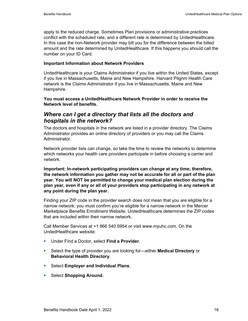apply to the reduced charge. Sometimes Plan provisions or administrative practices conflict with the scheduled rate, and a different rate is determined by UnitedHealthcare. In this case the non-Network provider may bill you for the difference between the billed amount and the rate determined by UnitedHealthcare. If this happens you should call the number on your ID Card.

### **Important Information about Network Providers**

UnitedHealthcare is your Claims Administrator if you live within the United States, except if you live in Massachusetts, Maine and New Hampshire. Harvard Pilgrim Health Care network is the Claims Administrator if you live in Massachusetts, Maine and New Hampshire.

### **You must access a UnitedHealthcare Network Provider in order to receive the Network level of benefits.**

# *Where can I get a directory that lists all the doctors and hospitals in the network?*

The doctors and hospitals in the network are listed in a provider directory. The Claims Administrator provides an online directory of providers or you may call the Claims Administrator.

Network provider lists can change, so take the time to review the networks to determine which networks your health care providers participate in before choosing a carrier and network.

**Important: In-network participating providers can change at any time; therefore, the network information you gather may not be accurate for all or part of the plan year. You will NOT be permitted to change your medical plan election during the plan year, even if any or all of your providers stop participating in any network at any point during the plan year.** 

Finding your ZIP code in the provider search does not mean that you are eligible for a narrow network; you must confirm you're eligible for a narrow network in the Mercer Marketplace Benefits Enrollment Website. UnitedHealthcare determines the ZIP codes that are included within their narrow network.

Call Member Services at +1 866 540 5954 or visit www.myuhc.com. On the UnitedHealthcare website:

- Under Find a Doctor, select **Find a Provider**.
- Select the type of provider you are looking for—either **Medical Directory** or **Behavioral Health Directory**.
- Select **Employer and Individual Plans.**
- **F** Select **Shopping Around.**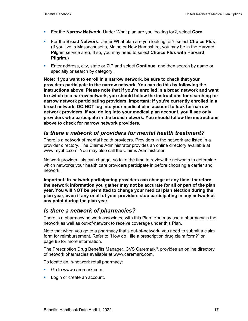- For the **Narrow Network**: Under What plan are you looking for?, select **Core**.
- For the **Broad Network**: Under What plan are you looking for?, select **Choice Plus**. (If you live in Massachusetts, Maine or New Hampshire, you may be in the Harvard Pilgrim service area. If so, you may need to select **Choice Plus with Harvard Pilgrim**.)
- Enter address, city, state or ZIP and select **Continue**, and then search by name or specialty or search by category.

**Note: If you want to enroll in a narrow network, be sure to check that your providers participate in the narrow network. You can do this by following the instructions above. Please note that if you're enrolled in a broad network and want to switch to a narrow network, you should follow the instructions for searching for narrow network participating providers. Important: If you're currently enrolled in a broad network, DO NOT log into your medical plan account to look for narrow network providers. If you do log into your medical plan account, you'll see only providers who participate in the broad network. You should follow the instructions above to check for narrow network providers.** 

### *Is there a network of providers for mental health treatment?*

There is a network of mental health providers. Providers in the network are listed in a provider directory. The Claims Administrator provides an online directory available at www.myuhc.com. You may also call the Claims Administrator.

Network provider lists can change, so take the time to review the networks to determine which networks your health care providers participate in before choosing a carrier and network.

**Important: In-network participating providers can change at any time; therefore, the network information you gather may not be accurate for all or part of the plan year. You will NOT be permitted to change your medical plan election during the plan year, even if any or all of your providers stop participating in any network at any point during the plan year.**

# *Is there a network of pharmacies?*

There is a pharmacy network associated with this Plan. You may use a pharmacy in the network as well as out-of-network to receive coverage under this Plan.

Note that when you go to a pharmacy that's out-of-network, you need to submit a claim form for reimbursement. Refer to "How do I file a prescription drug claim form?" on page 85 for more information.

The Prescription Drug Benefits Manager, CVS Caremark®, provides an online directory of network pharmacies available at www.caremark.com.

To locate an in-network retail pharmacy:

- Go to www.caremark.com.
- **Login or create an account.**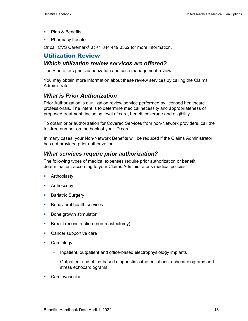- Plan & Benefits.
- Pharmacy Locator.

Or call CVS Caremark® at +1 844 449 0362 for more information.

# Utilization Review

### *Which utilization review services are offered?*

The Plan offers prior authorization and case management review.

You may obtain more information about these review services by calling the Claims Administrator.

# *What is Prior Authorization*

Prior Authorization is a utilization review service performed by licensed healthcare professionals. The intent is to determine medical necessity and appropriateness of proposed treatment, including level of care, benefit coverage and eligibility.

To obtain prior authorization for Covered Services from non-Network providers, call the toll-free number on the back of your ID card.

In many cases, your Non-Network Benefits will be reduced if the Claims Administrator has not provided prior authorization.

### *What services require prior authorization?*

The following types of medical expenses require prior authorization or benefit determination, according to your Claims Administrator's medical policies:

- **Arthoplasty**
- **Arthoscopy**
- **Bariatric Surgery**
- **Behavioral health services**
- **Bone growth stimulator**
- **Breast reconstruction (non-mastectomy)**
- **Cancer supportive care**
- **Cardiology** 
	- − Inpatient, outpatient and office-based electrophysiology implants
	- − Outpatient and office-based diagnostic catheterizations, echocardiograms and stress echocardiograms
- **Cardiovascular**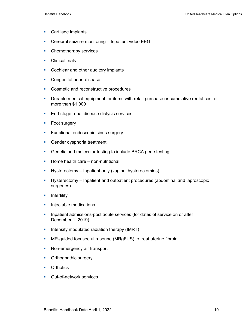- **Cartilage implants**
- **Cerebral seizure monitoring Inpatient video EEG**
- **Chemotherapy services**
- **Clinical trials**
- **Cochlear and other auditory implants**
- **Congenital heart disease**
- Cosmetic and reconstructive procedures
- **Durable medical equipment for items with retail purchase or cumulative rental cost of** more than \$1,000
- **End-stage renal disease dialysis services**
- **Foot surgery**
- **Functional endoscopic sinus surgery**
- **Gender dysphoria treatment**
- **Genetic and molecular testing to include BRCA gene testing**
- $\blacksquare$  Home health care non-nutritional
- **Hysterectomy Inpatient only (vaginal hysterectomies)**
- Hysterectomy Inpatient and outpatient procedures (abdominal and laproscopic surgeries)
- $\blacksquare$  Infertility
- **Injectable medications**
- **Inpatient admissions-post acute services (for dates of service on or after** December 1, 2019)
- **Intensity modulated radiation therapy (IMRT)**
- **MR-guided focused ultrasound (MRgFUS) to treat uterine fibroid**
- Non-emergency air transport
- Orthognathic surgery
- **•** Orthotics
- **Dut-of-network services**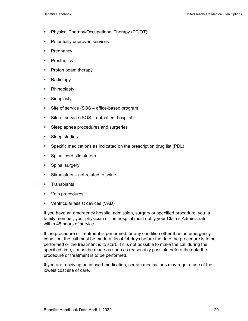- **Physical Therapy/Occupational Therapy (PT/OT)**
- **Potentially unproven services**
- Pregnancy
- **•** Prosthetics
- Proton beam therapy
- Radiology
- Rhinoplasty
- **Sinuplasty**
- Site of service (SOS office-based program
- Site of service (SOS outpatient hospital
- **Sleep apnea procedures and surgeries**
- Sleep studies
- Specific medications as indicated on the prescription drug list (PDL)
- **Spinal cord stimulators**
- **Spinal surgery**
- $\blacksquare$  Stimulators not related to spine
- **Transplants**
- **v** Vein procedures
- **•** Ventricular assist devices (VAD)

If you have an emergency hospital admission, surgery or specified procedure, you, a family member, your physician or the hospital must notify your Claims Administrator within 48 hours of service.

If the procedure or treatment is performed for any condition other than an emergency condition, the call must be made at least 14 days before the date the procedure is to be performed or the treatment is to start. If it is not possible to make the call during the specified time, it must be made as soon as reasonably possible before the date the procedure or treatment is to be performed.

If you are receiving an infused medication, certain medications may require use of the lowest cost site of care.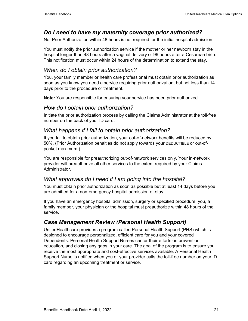# *Do I need to have my maternity coverage prior authorized?*

No. Prior Authorization within 48 hours is not required for the initial hospital admission.

You must notify the prior authorization service if the mother or her newborn stay in the hospital longer than 48 hours after a vaginal delivery or 96 hours after a Cesarean birth. This notification must occur within 24 hours of the determination to extend the stay.

# *When do I obtain prior authorization?*

You, your family member or health care professional must obtain prior authorization as soon as you know you need a service requiring prior authorization, but not less than 14 days prior to the procedure or treatment.

**Note:** You are responsible for ensuring your service has been prior authorized.

### *How do I obtain prior authorization?*

Initiate the prior authorization process by calling the Claims Administrator at the toll-free number on the back of your ID card.

# *What happens if I fail to obtain prior authorization?*

If you fail to obtain prior authorization, your out-of-network benefits will be reduced by 50%. (Prior Authorization penalties do not apply towards your DEDUCTIBLE or out-ofpocket maximum.)

You are responsible for preauthorizing out-of-network services only. Your in-network provider will preauthorize all other services to the extent required by your Claims Administrator.

# *What approvals do I need if I am going into the hospital?*

You must obtain prior authorization as soon as possible but at least 14 days before you are admitted for a non-emergency hospital admission or stay.

If you have an emergency hospital admission, surgery or specified procedure, you, a family member, your physician or the hospital must preauthorize within 48 hours of the service.

# *Case Management Review (Personal Health Support)*

UnitedHealthcare provides a program called Personal Health Support (PHS) which is designed to encourage personalized, efficient care for you and your covered Dependents. Personal Health Support Nurses center their efforts on prevention, education, and closing any gaps in your care. The goal of the program is to ensure you receive the most appropriate and cost-effective services available. A Personal Health Support Nurse is notified when you or your provider calls the toll-free number on your ID card regarding an upcoming treatment or service.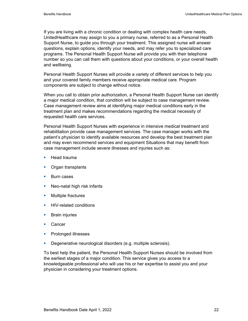If you are living with a chronic condition or dealing with complex health care needs, UnitedHealthcare may assign to you a primary nurse, referred to as a Personal Health Support Nurse, to guide you through your treatment. This assigned nurse will answer questions, explain options, identify your needs, and may refer you to specialized care programs. The Personal Health Support Nurse will provide you with their telephone number so you can call them with questions about your conditions, or your overall health and wellbeing.

Personal Health Support Nurses will provide a variety of different services to help you and your covered family members receive appropriate medical care. Program components are subject to change without notice.

When you call to obtain prior authorization, a Personal Health Support Nurse can identify a major medical condition, that condition will be subject to case management review. Case management review aims at identifying major medical conditions early in the treatment plan and makes recommendations regarding the medical necessity of requested health care services.

Personal Health Support Nurses with experience in intensive medical treatment and rehabilitation provide case management services. The case manager works with the patient's physician to identify available resources and develop the best treatment plan and may even recommend services and equipment Situations that may benefit from case management include severe illnesses and injuries such as:

- $\blacksquare$  Head trauma
- **•** Organ transplants
- Burn cases
- Neo-natal high risk infants
- **Multiple fractures**
- **HIV-related conditions**
- **Brain injuries**
- **Cancer**
- **Prolonged illnesses**
- **Degenerative neurological disorders (e.g. multiple sclerosis).**

To best help the patient, the Personal Health Support Nurses should be involved from the earliest stages of a major condition. This service gives you access to a knowledgeable professional who will use his or her expertise to assist you and your physician in considering your treatment options.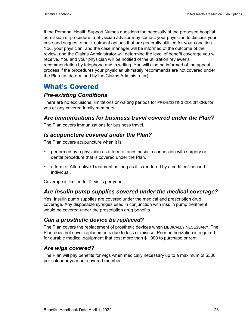If the Personal Health Support Nurses questions the necessity of the proposed hospital admission or procedure, a physician advisor may contact your physician to discuss your case and suggest other treatment options that are generally utilized for your condition. You, your physician, and the case manager will be informed of the outcome of the review, and the Claims Administrator will determine the level of benefit coverage you will receive. You and your physician will be notified of the utilization reviewer's recommendation by telephone and in writing. You will also be informed of the appeal process if the procedures your physician ultimately recommends are not covered under the Plan (as determined by the Claims Administrator).

# What's Covered

# *Pre-existing Conditions*

There are no exclusions, limitations or waiting periods for PRE-EXISTING CONDITIONs for you or any covered family members.

# *Are immunizations for business travel covered under the Plan?*

The Plan covers immunizations for business travel.

# *Is acupuncture covered under the Plan?*

The Plan covers acupuncture when it is:

- performed by a physician as a form of anesthesia in connection with surgery or dental procedure that is covered under the Plan.
- a form of Alternative Treatment as long as it is rendered by a certified/licensed individual.

Coverage is limited to 12 visits per year.

# *Are insulin pump supplies covered under the medical coverage?*

Yes. Insulin pump supplies are covered under the medical and prescription drug coverage. Any disposable syringes used in conjunction with insulin pump treatment would be covered under the prescription drug benefits.

# *Can a prosthetic device be replaced?*

The Plan covers the replacement of prosthetic devices when MEDICALLY NECESSARY. The Plan does not cover replacements due to loss or misuse. Prior authorization is required for durable medical equipment that cost more than \$1,000 to purchase or rent.

# *Are wigs covered?*

The Plan will pay benefits for wigs when medically necessary up to a maximum of \$300 per calendar year per covered member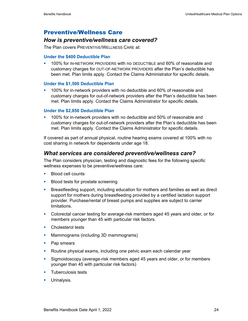# Preventive/Wellness Care

### *How is preventive/wellness care covered?*

The Plan covers PREVENTIVE/WELLNESS CARE at:

### **Under the \$400 Deductible Plan**

**100% for IN-NETWORK PROVIDERS with no DEDUCTIBLE and 60% of reasonable and** customary charges for OUT-OF-NETWORK PROVIDERS after the Plan's deductible has been met. Plan limits apply. Contact the Claims Administrator for specific details.

### **Under the \$1,500 Deductible Plan**

 100% for in-network providers with no deductible and 60% of reasonable and customary charges for out-of-network providers after the Plan's deductible has been met. Plan limits apply. Contact the Claims Administrator for specific details.

### **Under the \$2,850 Deductible Plan**

 100% for in-network providers with no deductible and 50% of reasonable and customary charges for out-of-network providers after the Plan's deductible has been met. Plan limits apply. Contact the Claims Administrator for specific details.

If covered as part of annual physical, routine hearing exams covered at 100% with no cost sharing in network for dependents under age 18.

### *What services are considered preventive/wellness care?*

The Plan considers physician, testing and diagnostic fees for the following specific wellness expenses to be preventive/wellness care:

- **Blood cell counts**
- **Blood tests for prostate screening**
- **Breastfeeding support, including education for mothers and families as well as direct** support for mothers during breastfeeding provided by a certified lactation support provider. Purchase/rental of breast pumps and supplies are subject to carrier limitations.
- Colorectal cancer testing for average-risk members aged 45 years and older, or for members younger than 45 with particular risk factors.
- **Cholesterol tests**
- **Mammograms (including 3D mammograms)**
- Pap smears
- **Routine physical exams, including one pelvic exam each calendar year**
- Sigmoidoscopy (average-risk members aged 45 years and older, or for members younger than 45 with particular risk factors)
- **Tuberculosis tests**
- **Urinalysis.**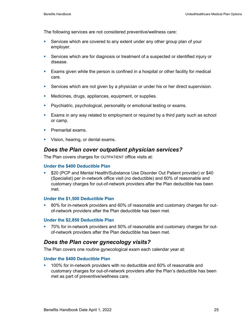The following services are not considered preventive/wellness care:

- Services which are covered to any extent under any other group plan of your employer.
- Services which are for diagnosis or treatment of a suspected or identified injury or disease.
- **Exams given while the person is confined in a hospital or other facility for medical** care.
- **Services which are not given by a physician or under his or her direct supervision.**
- **Medicines, drugs, appliances, equipment, or supplies.**
- **Psychiatric, psychological, personality or emotional testing or exams.**
- Exams in any way related to employment or required by a third party such as school or camp.
- **Premarital exams.**
- **Vision, hearing, or dental exams.**

# *Does the Plan cover outpatient physician services?*

The Plan covers charges for OUTPATIENT office visits at:

### **Under the \$400 Deductible Plan**

 \$20 (PCP and Mental Health/Substance Use Disorder Out Patient provider) or \$40 (Specialist) per in-network office visit (no deductible) and 60% of reasonable and customary charges for out-of-network providers after the Plan deductible has been met.

### **Under the \$1,500 Deductible Plan**

<sup>80%</sup> for in-network providers and 60% of reasonable and customary charges for outof-network providers after the Plan deductible has been met.

### **Under the \$2,850 Deductible Plan**

 70% for in-network providers and 50% of reasonable and customary charges for outof-network providers after the Plan deductible has been met.

# *Does the Plan cover gynecology visits?*

The Plan covers one routine gynecological exam each calendar year at:

### **Under the \$400 Deductible Plan**

 100% for in-network providers with no deductible and 60% of reasonable and customary charges for out-of-network providers after the Plan's deductible has been met as part of preventive/wellness care.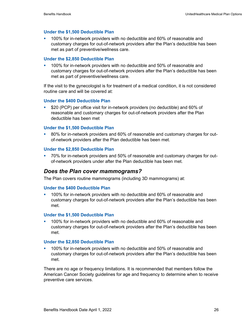#### **Under the \$1,500 Deductible Plan**

 100% for in-network providers with no deductible and 60% of reasonable and customary charges for out-of-network providers after the Plan's deductible has been met as part of preventive/wellness care.

#### **Under the \$2,850 Deductible Plan**

 100% for in-network providers with no deductible and 50% of reasonable and customary charges for out-of-network providers after the Plan's deductible has been met as part of preventive/wellness care.

If the visit to the gynecologist is for treatment of a medical condition, it is not considered routine care and will be covered at:

#### **Under the \$400 Deductible Plan**

 \$20 (PCP) per office visit for in-network providers (no deductible) and 60% of reasonable and customary charges for out-of-network providers after the Plan deductible has been met

#### **Under the \$1,500 Deductible Plan**

 80% for in-network providers and 60% of reasonable and customary charges for outof-network providers after the Plan deductible has been met.

#### **Under the \$2,850 Deductible Plan**

 70% for in-network providers and 50% of reasonable and customary charges for outof-network providers under after the Plan deductible has been met.

### *Does the Plan cover mammograms?*

The Plan covers routine mammograms (including 3D mammograms) at:

#### **Under the \$400 Deductible Plan**

 100% for in-network providers with no deductible and 60% of reasonable and customary charges for out-of-network providers after the Plan's deductible has been met.

#### **Under the \$1,500 Deductible Plan**

 100% for in-network providers with no deductible and 60% of reasonable and customary charges for out-of-network providers after the Plan's deductible has been met.

#### **Under the \$2,850 Deductible Plan**

 100% for in-network providers with no deductible and 50% of reasonable and customary charges for out-of-network providers after the Plan's deductible has been met.

There are no age or frequency limitations. It is recommended that members follow the American Cancer Society guidelines for age and frequency to determine when to receive preventive care services.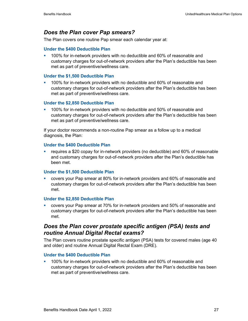# *Does the Plan cover Pap smears?*

The Plan covers one routine Pap smear each calendar year at:

### **Under the \$400 Deductible Plan**

 100% for in-network providers with no deductible and 60% of reasonable and customary charges for out-of-network providers after the Plan's deductible has been met as part of preventive/wellness care.

### **Under the \$1,500 Deductible Plan**

 100% for in-network providers with no deductible and 60% of reasonable and customary charges for out-of-network providers after the Plan's deductible has been met as part of preventive/wellness care.

### **Under the \$2,850 Deductible Plan**

 100% for in-network providers with no deductible and 50% of reasonable and customary charges for out-of-network providers after the Plan's deductible has been met as part of preventive/wellness care.

If your doctor recommends a non-routine Pap smear as a follow up to a medical diagnosis, the Plan:

### **Under the \$400 Deductible Plan**

 requires a \$20 copay for in-network providers (no deductible) and 60% of reasonable and customary charges for out-of-network providers after the Plan's deductible has been met.

### **Under the \$1,500 Deductible Plan**

 covers your Pap smear at 80% for in-network providers and 60% of reasonable and customary charges for out-of-network providers after the Plan's deductible has been met.

### **Under the \$2,850 Deductible Plan**

 covers your Pap smear at 70% for in-network providers and 50% of reasonable and customary charges for out-of-network providers after the Plan's deductible has been met.

# *Does the Plan cover prostate specific antigen (PSA) tests and routine Annual Digital Rectal exams?*

The Plan covers routine prostate specific antigen (PSA) tests for covered males (age 40 and older) and routine Annual Digital Rectal Exam (DRE).

### **Under the \$400 Deductible Plan**

 100% for in-network providers with no deductible and 60% of reasonable and customary charges for out-of-network providers after the Plan's deductible has been met as part of preventive/wellness care.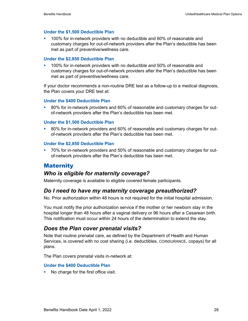### **Under the \$1,500 Deductible Plan**

 100% for in-network providers with no deductible and 60% of reasonable and customary charges for out-of-network providers after the Plan's deductible has been met as part of preventive/wellness care.

#### **Under the \$2,850 Deductible Plan**

 100% for in-network providers with no deductible and 50% of reasonable and customary charges for out-of-network providers after the Plan's deductible has been met as part of preventive/wellness care.

If your doctor recommends a non-routine DRE test as a follow-up to a medical diagnosis, the Plan covers your DRE test at:

#### **Under the \$400 Deductible Plan**

 80% for in-network providers and 60% of reasonable and customary charges for outof-network providers after the Plan's deductible has been met.

#### **Under the \$1,500 Deductible Plan**

 80% for in-network providers and 60% of reasonable and customary charges for outof-network providers after the Plan's deductible has been met.

#### **Under the \$2,850 Deductible Plan**

 70% for in-network providers and 50% of reasonable and customary charges for outof-network providers after the Plan's deductible has been met.

### **Maternity**

### *Who is eligible for maternity coverage?*

Maternity coverage is available to eligible covered female participants.

### *Do I need to have my maternity coverage preauthorized?*

No. Prior authorization within 48 hours is not required for the initial hospital admission.

You must notify the prior authorization service if the mother or her newborn stay in the hospital longer than 48 hours after a vaginal delivery or 96 hours after a Cesarean birth. This notification must occur within 24 hours of the determination to extend the stay.

### *Does the Plan cover prenatal visits?*

Note that routine prenatal care, as defined by the Department of Health and Human Services, is covered with no cost sharing (i.e. deductibles, COINSURANCE, copays) for all plans.

The Plan covers prenatal visits in-network at:

### **Under the \$400 Deductible Plan**

No charge for the first office visit.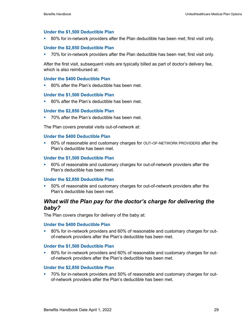#### **Under the \$1,500 Deductible Plan**

80% for in-network providers after the Plan deductible has been met; first visit only.

### **Under the \$2,850 Deductible Plan**

70% for in-network providers after the Plan deductible has been met; first visit only.

After the first visit, subsequent visits are typically billed as part of doctor's delivery fee, which is also reimbursed at:

#### **Under the \$400 Deductible Plan**

■ 80% after the Plan's deductible has been met.

#### **Under the \$1,500 Deductible Plan**

80% after the Plan's deductible has been met.

#### **Under the \$2,850 Deductible Plan**

70% after the Plan's deductible has been met.

The Plan covers prenatal visits out-of-network at:

#### **Under the \$400 Deductible Plan**

 60% of reasonable and customary charges for OUT-OF-NETWORK PROVIDERS after the Plan's deductible has been met.

#### **Under the \$1,500 Deductible Plan**

 60% of reasonable and customary charges for out-of-network providers after the Plan's deductible has been met.

#### **Under the \$2,850 Deductible Plan**

 50% of reasonable and customary charges for out-of-network providers after the Plan's deductible has been met.

### *What will the Plan pay for the doctor's charge for delivering the baby?*

The Plan covers charges for delivery of the baby at:

#### **Under the \$400 Deductible Plan**

 80% for in-network providers and 60% of reasonable and customary charges for outof-network providers after the Plan's deductible has been met.

#### **Under the \$1,500 Deductible Plan**

 80% for in-network providers and 60% of reasonable and customary charges for outof-network providers after the Plan's deductible has been met.

#### **Under the \$2,850 Deductible Plan**

<sup>2</sup> 70% for in-network providers and 50% of reasonable and customary charges for outof-network providers after the Plan's deductible has been met.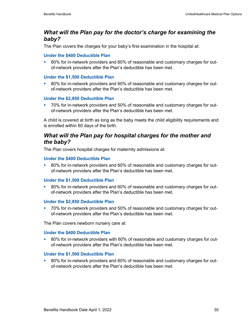# *What will the Plan pay for the doctor's charge for examining the baby?*

The Plan covers the charges for your baby's first examination in the hospital at:

### **Under the \$400 Deductible Plan**

<sup>80%</sup> for in-network providers and 60% of reasonable and customary charges for outof-network providers after the Plan's deductible has been met.

### **Under the \$1,500 Deductible Plan**

 80% for in-network providers and 60% of reasonable and customary charges for outof-network providers after the Plan's deductible has been met.

### **Under the \$2,850 Deductible Plan**

 70% for in-network providers and 50% of reasonable and customary charges for outof-network providers after the Plan's deductible has been met.

A child is covered at birth as long as the baby meets the child eligibility requirements and is enrolled within 60 days of the birth.

# *What will the Plan pay for hospital charges for the mother and the baby?*

The Plan covers hospital charges for maternity admissions at:

### **Under the \$400 Deductible Plan**

 80% for in-network providers and 60% of reasonable and customary charges for outof-network providers after the Plan's deductible has been met.

### **Under the \$1,500 Deductible Plan**

 80% for in-network providers and 60% of reasonable and customary charges for outof-network providers after the Plan's deductible has been met.

### **Under the \$2,850 Deductible Plan**

 70% for in-network providers and 50% of reasonable and customary charges for outof-network providers after the Plan's deductible has been met.

The Plan covers newborn nursery care at:

### **Under the \$400 Deductible Plan**

 80% for in-network providers with 60% of reasonable and customary charges for outof-network providers after the Plan's deductible has been met.

### **Under the \$1,500 Deductible Plan**

<sup>80%</sup> for in-network providers and 60% of reasonable and customary charges for outof-network providers after the Plan's deductible has been met.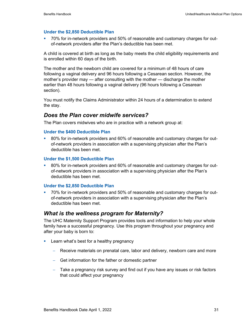### **Under the \$2,850 Deductible Plan**

 70% for in-network providers and 50% of reasonable and customary charges for outof-network providers after the Plan's deductible has been met.

A child is covered at birth as long as the baby meets the child eligibility requirements and is enrolled within 60 days of the birth.

The mother and the newborn child are covered for a minimum of 48 hours of care following a vaginal delivery and 96 hours following a Cesarean section. However, the mother's provider may — after consulting with the mother — discharge the mother earlier than 48 hours following a vaginal delivery (96 hours following a Cesarean section).

You must notify the Claims Administrator within 24 hours of a determination to extend the stay.

### *Does the Plan cover midwife services?*

The Plan covers midwives who are in practice with a network group at:

### **Under the \$400 Deductible Plan**

 80% for in-network providers and 60% of reasonable and customary charges for outof-network providers in association with a supervising physician after the Plan's deductible has been met.

#### **Under the \$1,500 Deductible Plan**

 80% for in-network providers and 60% of reasonable and customary charges for outof-network providers in association with a supervising physician after the Plan's deductible has been met.

#### **Under the \$2,850 Deductible Plan**

 70% for in-network providers and 50% of reasonable and customary charges for outof-network providers in association with a supervising physician after the Plan's deductible has been met.

### *What is the wellness program for Maternity?*

The UHC Maternity Support Program provides tools and information to help your whole family have a successful pregnancy. Use this program throughout your pregnancy and after your baby is born to:

- **Learn what's best for a healthy pregnancy** 
	- − Receive materials on prenatal care, labor and delivery, newborn care and more
	- − Get information for the father or domestic partner
	- − Take a pregnancy risk survey and find out if you have any issues or risk factors that could affect your pregnancy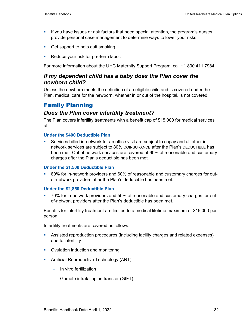- If you have issues or risk factors that need special attention, the program's nurses provide personal case management to determine ways to lower your risks
- Get support to help quit smoking
- Reduce your risk for pre-term labor.

For more information about the UHC Maternity Support Program, call +1 800 411 7984.

### *If my dependent child has a baby does the Plan cover the newborn child?*

Unless the newborn meets the definition of an eligible child and is covered under the Plan, medical care for the newborn, whether in or out of the hospital, is not covered.

## Family Planning

#### *Does the Plan cover infertility treatment?*

The Plan covers infertility treatments with a benefit cap of \$15,000 for medical services at:

#### **Under the \$400 Deductible Plan**

 Services billed in-network for an office visit are subject to copay and all other innetwork services are subject to 80% COINSURANCE after the Plan's DEDUCTIBLE has been met. Out of network services are covered at 60% of reasonable and customary charges after the Plan's deductible has been met.

#### **Under the \$1,500 Deductible Plan**

 80% for in-network providers and 60% of reasonable and customary charges for outof-network providers after the Plan's deductible has been met.

#### **Under the \$2,850 Deductible Plan**

 70% for in-network providers and 50% of reasonable and customary charges for outof-network providers after the Plan's deductible has been met.

Benefits for infertility treatment are limited to a medical lifetime maximum of \$15,000 per person.

Infertility treatments are covered as follows:

- Assisted reproduction procedures (including facility charges and related expenses) due to infertility
- Ovulation induction and monitoring
- **•** Artificial Reproductive Technology (ART)
	- − In vitro fertilization
	- − Gamete intrafallopian transfer (GIFT)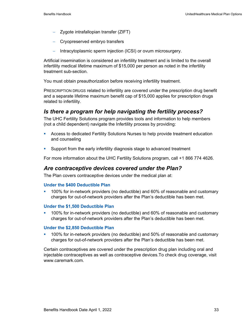- − Zygote intrafallopian transfer (ZIFT)
- − Cryopreserved embryo transfers
- − Intracytoplasmic sperm injection (ICSI) or ovum microsurgery.

Artificial insemination is considered an infertility treatment and is limited to the overall infertility medical lifetime maximum of \$15,000 per person as noted in the infertility treatment sub-section.

You must obtain preauthorization before receiving infertility treatment.

PRESCRIPTION DRUGS related to infertility are covered under the prescription drug benefit and a separate lifetime maximum benefit cap of \$15,000 applies for prescription drugs related to infertility.

### *Is there a program for help navigating the fertility process?*

The UHC Fertility Solutions program provides tools and information to help members (not a child dependent) navigate the Infertility process by providing:

- **Access to dedicated Fertility Solutions Nurses to help provide treatment education** and counseling
- Support from the early infertility diagnosis stage to advanced treatment

For more information about the UHC Fertility Solutions program, call +1 866 774 4626.

#### *Are contraceptive devices covered under the Plan?*

The Plan covers contraceptive devices under the medical plan at:

#### **Under the \$400 Deductible Plan**

 100% for in-network providers (no deductible) and 60% of reasonable and customary charges for out-of-network providers after the Plan's deductible has been met.

#### **Under the \$1,500 Deductible Plan**

 100% for in-network providers (no deductible) and 60% of reasonable and customary charges for out-of-network providers after the Plan's deductible has been met.

#### **Under the \$2,850 Deductible Plan**

 100% for in-network providers (no deductible) and 50% of reasonable and customary charges for out-of-network providers after the Plan's deductible has been met.

Certain contraceptives are covered under the prescription drug plan including oral and injectable contraceptives as well as contraceptive devices.To check drug coverage, visit www.caremark.com.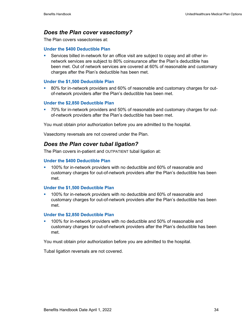### *Does the Plan cover vasectomy?*

The Plan covers vasectomies at:

#### **Under the \$400 Deductible Plan**

 Services billed in-network for an office visit are subject to copay and all other innetwork services are subject to 80% coinsurance after the Plan's deductible has been met. Out of network services are covered at 60% of reasonable and customary charges after the Plan's deductible has been met.

#### **Under the \$1,500 Deductible Plan**

 80% for in-network providers and 60% of reasonable and customary charges for outof-network providers after the Plan's deductible has been met.

#### **Under the \$2,850 Deductible Plan**

 70% for in-network providers and 50% of reasonable and customary charges for outof-network providers after the Plan's deductible has been met.

You must obtain prior authorization before you are admitted to the hospital.

Vasectomy reversals are not covered under the Plan.

### *Does the Plan cover tubal ligation?*

The Plan covers in-patient and OUTPATIENT tubal ligation at:

#### **Under the \$400 Deductible Plan**

 100% for in-network providers with no deductible and 60% of reasonable and customary charges for out-of-network providers after the Plan's deductible has been met.

#### **Under the \$1,500 Deductible Plan**

 100% for in-network providers with no deductible and 60% of reasonable and customary charges for out-of-network providers after the Plan's deductible has been met.

#### **Under the \$2,850 Deductible Plan**

 100% for in-network providers with no deductible and 50% of reasonable and customary charges for out-of-network providers after the Plan's deductible has been met.

You must obtain prior authorization before you are admitted to the hospital.

Tubal ligation reversals are not covered.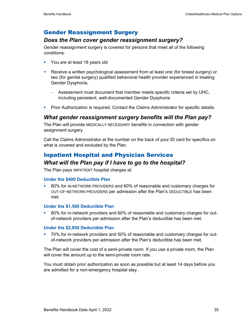## Gender Reassignment Surgery

### *Does the Plan cover gender reassignment surgery?*

Gender reassignment surgery is covered for persons that meet all of the following conditions:

- You are at least 18 years old
- Receive a written psychological assessment from at least one (for breast surgery) or two (for genital surgery) qualified behavioral health provider experienced in treating Gender Dysphoria.
	- − Assessment must document that member meets specific criteria set by UHC, including persistent, well-documented Gender Dysphoria
- Prior Authorization is required*.* Contact the Claims Administrator for specific details.

### *What gender reassignment surgery benefits will the Plan pay?*

The Plan will provide MEDICALLY NECESSARY benefits in connection with gender assignment surgery.

Call the Claims Administrator at the number on the back of your ID card for specifics on what is covered and excluded by the Plan.

## Inpatient Hospital and Physician Services

### *What will the Plan pay if I have to go to the hospital?*

The Plan pays INPATIENT hospital charges at:

#### **Under the \$400 Deductible Plan**

 80% for IN-NETWORK PROVIDERS and 60% of reasonable and customary charges for OUT-OF-NETWORK PROVIDERS per admission after the Plan's DEDUCTIBLE has been met.

#### **Under the \$1,500 Deductible Plan**

 80% for in-network providers and 60% of reasonable and customary charges for outof-network providers per admission after the Plan's deductible has been met.

#### **Under the \$2,850 Deductible Plan**

 70% for in-network providers and 50% of reasonable and customary charges for outof-network providers per admission after the Plan's deductible has been met.

The Plan will cover the cost of a semi-private room. If you use a private room, the Plan will cover the amount up to the semi-private room rate.

You must obtain prior authorization as soon as possible but at least 14 days before you are admitted for a non-emergency hospital stay.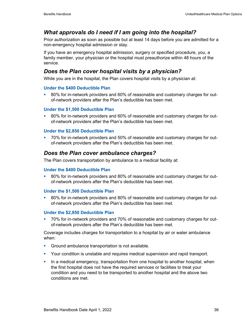# *What approvals do I need if I am going into the hospital?*

Prior authorization as soon as possible but at least 14 days before you are admitted for a non-emergency hospital admission or stay.

If you have an emergency hospital admission, surgery or specified procedure, you, a family member, your physician or the hospital must preauthorize within 48 hours of the service.

# *Does the Plan cover hospital visits by a physician?*

While you are in the hospital, the Plan covers hospital visits by a physician at:

#### **Under the \$400 Deductible Plan**

 80% for in-network providers and 60% of reasonable and customary charges for outof-network providers after the Plan's deductible has been met.

#### **Under the \$1,500 Deductible Plan**

 80% for in-network providers and 60% of reasonable and customary charges for outof-network providers after the Plan's deductible has been met.

#### **Under the \$2,850 Deductible Plan**

 70% for in-network providers and 50% of reasonable and customary charges for outof-network providers after the Plan's deductible has been met.

### *Does the Plan cover ambulance charges?*

The Plan covers transportation by ambulance to a medical facility at:

#### **Under the \$400 Deductible Plan**

<sup>80%</sup> for in-network providers and 80% of reasonable and customary charges for outof-network providers after the Plan's deductible has been met.

#### **Under the \$1,500 Deductible Plan**

 80% for in-network providers and 80% of reasonable and customary charges for outof-network providers after the Plan's deductible has been met.

#### **Under the \$2,850 Deductible Plan**

 70% for in-network providers and 70% of reasonable and customary charges for outof-network providers after the Plan's deductible has been met.

Coverage includes charges for transportation to a hospital by air or water ambulance when:

- Ground ambulance transportation is not available.
- **Your condition is unstable and requires medical supervision and rapid transport.**
- In a medical emergency, transportation from one hospital to another hospital; when the first hospital does not have the required services or facilities to treat your condition and you need to be transported to another hospital and the above two conditions are met.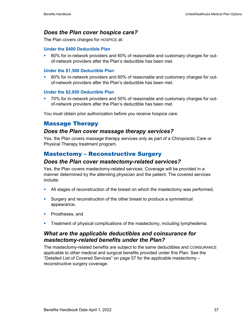## *Does the Plan cover hospice care?*

The Plan covers charges for HOSPICE at:

#### **Under the \$400 Deductible Plan**

<sup>80%</sup> for in-network providers and 60% of reasonable and customary charges for outof-network providers after the Plan's deductible has been met.

#### **Under the \$1,500 Deductible Plan**

 80% for in-network providers and 60% of reasonable and customary charges for outof-network providers after the Plan's deductible has been met.

#### **Under the \$2,850 Deductible Plan**

 70% for in-network providers and 50% of reasonable and customary charges for outof-network providers after the Plan's deductible has been met.

You must obtain prior authorization before you receive hospice care.

## Massage Therapy

### *Does the Plan cover massage therapy services?*

Yes, the Plan covers massage therapy services only as part of a Chiropractic Care or Physical Therapy treatment program.

## Mastectomy – Reconstructive Surgery

#### *Does the Plan cover mastectomy-related services?*

Yes, the Plan covers mastectomy-related services. Coverage will be provided in a manner determined by the attending physician and the patient. The covered services include:

- All stages of reconstruction of the breast on which the mastectomy was performed,
- Surgery and reconstruction of the other breast to produce a symmetrical appearance,
- **Prostheses, and**
- **Treatment of physical complications of the mastectomy, including lymphedema.**

## *What are the applicable deductibles and coinsurance for mastectomy-related benefits under the Plan?*

The mastectomy-related benefits are subject to the same deductibles and COINSURANCE applicable to other medical and surgical benefits provided under this Plan. See the "Detailed List of Covered Services" on page 57 for the applicable mastectomy – reconstructive surgery coverage.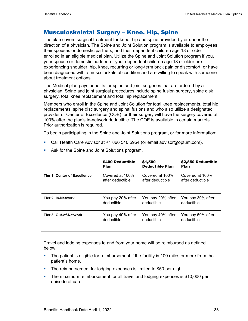## Musculoskeletal Surgery – Knee, Hip, Spine

The plan covers surgical treatment for knee, hip and spine provided by or under the direction of a physician. The Spine and Joint Solution program is available to employees, their spouses or domestic partners, and their dependent children age 18 or older enrolled in an eligible medical plan. Utilize the Spine and Joint Solution program if you, your spouse or domestic partner, or your dependent children age 18 or older are experiencing shoulder, hip, knee, recurring or long-term back pain or discomfort, or have been diagnosed with a musculoskeletal condition and are willing to speak with someone about treatment options.

The Medical plan pays benefits for spine and joint surgeries that are ordered by a physician. Spine and joint surgical procedures include spine fusion surgery, spine disk surgery, total knee replacement and total hip replacement.

Members who enroll in the Spine and Joint Solution for total knee replacements, total hip replacements, spine disc surgery and spinal fusions and who also utilize a designated provider or Center of Excellence (COE) for their surgery will have the surgery covered at 100% after the plan's in-network deductible. The COE is available in certain markets. Prior authorization is required.

To begin participating in the Spine and Joint Solutions program, or for more information:

• Call Health Care Advisor at +1 866 540 5954 (or email advisor@optum.com).

|                                     | <b>\$400 Deductible</b> | \$1,500                | \$2,850 Deductible |
|-------------------------------------|-------------------------|------------------------|--------------------|
|                                     | <b>Plan</b>             | <b>Deductible Plan</b> | <b>Plan</b>        |
| <b>Tier 1: Center of Excellence</b> | Covered at 100%         | Covered at 100%        | Covered at 100%    |
|                                     | after deductible        | after deductible       | after deductible   |
| Tier 2: In-Network                  | You pay 20% after       | You pay 20% after      | You pay 30% after  |
|                                     | deductible              | deductible             | deductible         |
| Tier 3: Out-of-Network              | You pay 40% after       | You pay 40% after      | You pay 50% after  |
|                                     | deductible              | deductible             | deductible         |

• Ask for the Spine and Joint Solutions program.

Travel and lodging expenses to and from your home will be reimbursed as defined below.

- **The patient is eligible for reimbursement if the facility is 100 miles or more from the** patient's home.
- The reimbursement for lodging expenses is limited to \$50 per night.
- The maximum reimbursement for all travel and lodging expenses is \$10,000 per episode of care.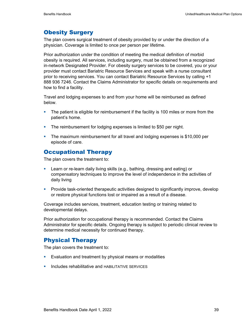## Obesity Surgery

The plan covers surgical treatment of obesity provided by or under the direction of a physician. Coverage is limited to once per person per lifetime.

Prior authorization under the condition of meeting the medical definition of morbid obesity is required. All services, including surgery, must be obtained from a recognized in-network Designated Provider. For obesity surgery services to be covered, you or your provider must contact Bariatric Resource Services and speak with a nurse consultant prior to receiving services. You can contact Bariatric Resource Services by calling +1 888 936 7246. Contact the Claims Administrator for specific details on requirements and how to find a facility.

Travel and lodging expenses to and from your home will be reimbursed as defined below.

- **The patient is eligible for reimbursement if the facility is 100 miles or more from the** patient's home.
- **The reimbursement for lodging expenses is limited to \$50 per night.**
- The maximum reimbursement for all travel and lodging expenses is \$10,000 per episode of care.

# Occupational Therapy

The plan covers the treatment to:

- Learn or re-learn daily living skills (e.g., bathing, dressing and eating) or compensatory techniques to improve the level of independence in the activities of daily living
- **Provide task-oriented therapeutic activities designed to significantly improve, develop** or restore physical functions lost or impaired as a result of a disease.

Coverage includes services, treatment, education testing or training related to developmental delays.

Prior authorization for occupational therapy is recommended. Contact the Claims Administrator for specific details. Ongoing therapy is subject to periodic clinical review to determine medical necessity for continued therapy.

### Physical Therapy

The plan covers the treatment to:

- **Evaluation and treatment by physical means or modalities**
- Includes rehabilitative and HABILITATIVE SERVICES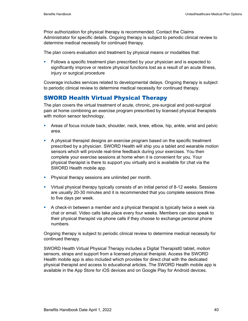Prior authorization for physical therapy is recommended. Contact the Claims Administrator for specific details. Ongoing therapy is subject to periodic clinical review to determine medical necessity for continued therapy.

The plan covers evaluation and treatment by physical means or modalities that:

 Follows a specific treatment plan prescribed by your physician and is expected to significantly improve or restore physical functions lost as a result of an acute illness, injury or surgical procedure

Coverage includes services related to developmental delays. Ongoing therapy is subject to periodic clinical review to determine medical necessity for continued therapy.

## SWORD Health Virtual Physical Therapy

The plan covers the virtual treatment of acute, chronic, pre-surgical and post-surgical pain at home combining an exercise program prescribed by licensed physical therapists with motion sensor technology.

- Areas of focus include back, shoulder, neck, knee, elbow, hip, ankle, wrist and pelvic area.
- A physical therapist designs an exercise program based on the specific treatment prescribed by a physician. SWORD Health will ship you a tablet and wearable motion sensors which will provide real-time feedback during your exercises. You then complete your exercise sessions at home when it is convenient for you. Your physical therapist is there to support you virtually and is available for chat via the SWORD Health mobile app.
- **Physical therapy sessions are unlimited per month.**
- Virtual physical therapy typically consists of an initial period of 8-12 weeks. Sessions are usually 20-30 minutes and it is recommended that you complete sessions three to five days per week.
- A check-in between a member and a physical therapist is typically twice a week via chat or email. Video calls take place every four weeks. Members can also speak to their physical therapist via phone calls if they choose to exchange personal phone numbers.

Ongoing therapy is subject to periodic clinical review to determine medical necessity for continued therapy.

SWORD Health Virtual Physical Therapy includes a Digital Therapist© tablet, motion sensors, straps and support from a licensed physical therapist. Access the SWORD Health mobile app is also included which provides for direct chat with the dedicated physical therapist and access to educational articles. The SWORD Health mobile app is available in the App Store for iOS devices and on Google Play for Android devices.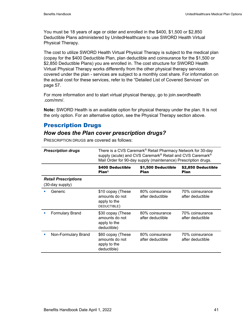You must be 18 years of age or older and enrolled in the \$400, \$1,500 or \$2,850 Deductible Plans administered by UnitedHealthcare to use SWORD Health Virtual Physical Therapy.

The cost to utilize SWORD Health Virtual Physical Therapy is subject to the medical plan (copay for the \$400 Deductible Plan, plan deductible and coinsurance for the \$1,500 or \$2,850 Deductible Plans) you are enrolled in. The cost structure for SWORD Health Virtual Physical Therapy works differently from the other physical therapy services covered under the plan - services are subject to a monthly cost share. For information on the actual cost for these services, refer to the "Detailed List of Covered Services" on page 57.

For more information and to start virtual physical therapy, go to join.swordhealth .com/mm/.

**Note:** SWORD Health is an available option for physical therapy under the plan. It is not the only option. For an alternative option, see the Physical Therapy section above.

# Prescription Drugs

## *How does the Plan cover prescription drugs?*

|                                                | <b>Prescription drugs</b> | There is a CVS Caremark <sup>®</sup> Retail Pharmacy Network for 30-day<br>supply (acute) and CVS Caremark® Retail and CVS Caremark®<br>Mail Order for 90-day supply (maintenance) Prescription drugs. |                                     |                                     |
|------------------------------------------------|---------------------------|--------------------------------------------------------------------------------------------------------------------------------------------------------------------------------------------------------|-------------------------------------|-------------------------------------|
|                                                |                           | \$400 Deductible<br>Plan <sup>1</sup>                                                                                                                                                                  | \$1,500 Deductible<br><b>Plan</b>   | \$2,850 Deductible<br><b>Plan</b>   |
| <b>Retail Prescriptions</b><br>(30-day supply) |                           |                                                                                                                                                                                                        |                                     |                                     |
|                                                | Generic                   | \$10 copay (These<br>amounts do not<br>apply to the<br>DEDUCTIBLE)                                                                                                                                     | 80% coinsurance<br>after deductible | 70% coinsurance<br>after deductible |
|                                                | <b>Formulary Brand</b>    | \$30 copay (These<br>amounts do not<br>apply to the<br>deductible)                                                                                                                                     | 80% coinsurance<br>after deductible | 70% coinsurance<br>after deductible |
|                                                | Non-Formulary Brand       | \$60 copay (These<br>amounts do not<br>apply to the<br>deductible)                                                                                                                                     | 80% coinsurance<br>after deductible | 70% coinsurance<br>after deductible |

PRESCRIPTION DRUGS are covered as follows: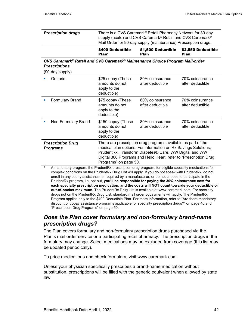Plan

|                           | \$400 Deductible | \$1,500 Deductible                                                                                                                                                                         | \$2,850 Deductible |
|---------------------------|------------------|--------------------------------------------------------------------------------------------------------------------------------------------------------------------------------------------|--------------------|
| <b>Prescription drugs</b> |                  | There is a CVS Caremark® Retail Pharmacy Network for 30-day<br>supply (acute) and CVS Caremark® Retail and CVS Caremark®<br>Mail Order for 90-day supply (maintenance) Prescription drugs. |                    |

Plan

| CVS Caremark® Retail and CVS Caremark® Maintenance Choice Program Mail-order |  |
|------------------------------------------------------------------------------|--|
| <b>Prescriptions</b>                                                         |  |

Plan1

(90-day supply)

|   | Generic                                     | \$25 copay (These<br>amounts do not<br>apply to the<br>deductible)                                                                                                                                                                                                                      | 80% coinsurance<br>after deductible | 70% coinsurance<br>after deductible |
|---|---------------------------------------------|-----------------------------------------------------------------------------------------------------------------------------------------------------------------------------------------------------------------------------------------------------------------------------------------|-------------------------------------|-------------------------------------|
|   | <b>Formulary Brand</b>                      | \$75 copay (These<br>amounts do not<br>apply to the<br>deductible)                                                                                                                                                                                                                      | 80% coinsurance<br>after deductible | 70% coinsurance<br>after deductible |
| ш | Non-Formulary Brand                         | \$150 copay (These<br>amounts do not<br>apply to the<br>deductible)                                                                                                                                                                                                                     | 80% coinsurance<br>after deductible | 70% coinsurance<br>after deductible |
|   | <b>Prescription Drug</b><br><b>Programs</b> | There are prescription drug programs available as part of the<br>medical plan options. For information on Rx Savings Solutions,<br>PrudentRx, Transform Diabetes® Care, WW Digital and WW<br>Digital 360 Programs and Hello Heart, refer to "Prescription Drug<br>Programs" on page 50. |                                     |                                     |

1 A mandatory program, the PrudentRx prescription drug program, for eligible specialty medications for complex conditions on the PrudentRx Drug List will apply. If you do not speak with PrudentRx, do not enroll in any copay assistance as required by a manufacturer, or do not choose to participate in the PrudentRx program, i.e. opt out, **you'll be responsible for paying the 30% coinsurance cost for each specialty prescription medication, and the costs will NOT count towards your deductible or out-of-pocket maximum.** The PrudentRx Drug List is available at www.caremark.com. For specialty drugs not on the PrudentRx Drug List, standard mail order copayments will apply. The PrudentRx Program applies only to the \$400 Deductible Plan. For more information, refer to "Are there mandatory discount or copay assistance programs applicable for specialty prescription drugs?" on page 46 and "Prescription Drug Programs" on page 50.

### *Does the Plan cover formulary and non-formulary brand-name prescription drugs?*

The Plan covers formulary and non-formulary prescription drugs purchased via the Plan's mail order service or a participating retail pharmacy. The prescription drugs in the formulary may change. Select medications may be excluded from coverage (this list may be updated periodically).

To price medications and check formulary, visit www.caremark.com.

Unless your physician specifically prescribes a brand-name medication without substitution, prescriptions will be filled with the generic equivalent when allowed by state law.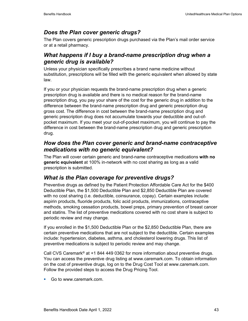# *Does the Plan cover generic drugs?*

The Plan covers generic prescription drugs purchased via the Plan's mail order service or at a retail pharmacy.

## *What happens if I buy a brand-name prescription drug when a generic drug is available?*

Unless your physician specifically prescribes a brand name medicine without substitution, prescriptions will be filled with the generic equivalent when allowed by state law.

If you or your physician requests the brand-name prescription drug when a generic prescription drug is available and there is no medical reason for the brand-name prescription drug, you pay your share of the cost for the generic drug in addition to the difference between the brand-name prescription drug and generic prescription drug gross cost. The difference in cost between the brand-name prescription drug and generic prescription drug does not accumulate towards your deductible and out-ofpocket maximum. If you meet your out-of-pocket maximum, you will continue to pay the difference in cost between the brand-name prescription drug and generic prescription drug.

## *How does the Plan cover generic and brand-name contraceptive medications with no generic equivalent?*

The Plan will cover certain generic and brand-name contraceptive medications **with no generic equivalent** at 100% in-network with no cost sharing as long as a valid prescription is submitted.

# *What is the Plan coverage for preventive drugs?*

Preventive drugs as defined by the Patient Protection Affordable Care Act for the \$400 Deductible Plan, the \$1,500 Deductible Plan and \$2,850 Deductible Plan are covered with no cost sharing (i.e. deductible, coinsurance, copay). Certain examples include: aspirin products, fluoride products, folic acid products, immunizations, contraceptive methods, smoking cessation products, bowel preps, primary prevention of breast cancer and statins. The list of preventive medications covered with no cost share is subject to periodic review and may change.

If you enrolled in the \$1,500 Deductible Plan or the \$2,850 Deductible Plan, there are certain preventive medications that are not subject to the deductible. Certain examples include: hypertension, diabetes, asthma, and cholesterol lowering drugs. This list of preventive medications is subject to periodic review and may change.

Call CVS Caremark® at +1 844 449 0362 for more information about preventive drugs. You can access the preventive drug listing at www.caremark.com. To obtain information on the cost of preventive drugs, log on to the Drug Cost Tool at www.caremark.com. Follow the provided steps to access the Drug Pricing Tool.

Go to www.caremark.com.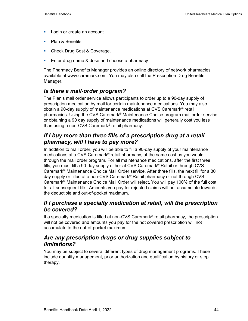- **Login or create an account.**
- Plan & Benefits.
- **Check Drug Cost & Coverage.**
- **Enter drug name & dose and choose a pharmacy**

The Pharmacy Benefits Manager provides an online directory of network pharmacies available at www.caremark.com. You may also call the Prescription Drug Benefits Manager.

#### *Is there a mail-order program?*

The Plan's mail order service allows participants to order up to a 90-day supply of prescription medication by mail for certain maintenance medications. You may also obtain a 90-day supply of maintenance medications at CVS Caremark® retail pharmacies. Using the CVS Caremark® Maintenance Choice program mail order service or obtaining a 90 day supply of maintenance medications will generally cost you less than using a non-CVS Caremark® retail pharmacy.

## *If I buy more than three fills of a prescription drug at a retail pharmacy, will I have to pay more?*

In addition to mail order, you will be able to fill a 90-day supply of your maintenance medications at a CVS Caremark® retail pharmacy, at the same cost as you would through the mail order program. For all maintenance medications, after the first three fills, you must fill a 90-day supply either at CVS Caremark® Retail or through CVS Caremark® Maintenance Choice Mail Order service. After three fills, the next fill for a 30 day supply or filled at a non-CVS Caremark® Retail pharmacy or not through CVS Caremark® Maintenance Choice Mail Order will reject. You will pay 100% of the full cost for all subsequent fills. Amounts you pay for rejected claims will not accumulate towards the deductible and out-of-pocket maximum.

### *If I purchase a specialty medication at retail, will the prescription be covered?*

If a specialty medication is filled at non-CVS Caremark<sup>®</sup> retail pharmacy, the prescription will not be covered and amounts you pay for the not covered prescription will not accumulate to the out-of-pocket maximum.

### *Are any prescription drugs or drug supplies subject to limitations?*

You may be subject to several different types of drug management programs. These include quantity management, prior authorization and qualification by history or step therapy.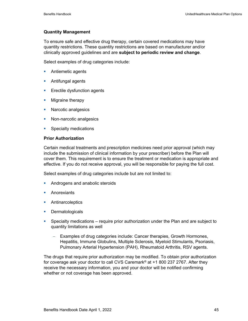#### **Quantity Management**

To ensure safe and effective drug therapy, certain covered medications may have quantity restrictions. These quantity restrictions are based on manufacturer and/or clinically approved guidelines and are **subject to periodic review and change**.

Select examples of drug categories include:

- **Antiemetic agents**
- **Antifungal agents**
- **Exectile dysfunction agents**
- **Migraine therapy**
- **Narcotic analgesics**
- Non-narcotic analgesics
- **Specialty medications**

#### **Prior Authorization**

Certain medical treatments and prescription medicines need prior approval (which may include the submission of clinical information by your prescriber) before the Plan will cover them. This requirement is to ensure the treatment or medication is appropriate and effective. If you do not receive approval, you will be responsible for paying the full cost.

Select examples of drug categories include but are not limited to:

- **Androgens and anabolic steroids**
- Anorexiants
- **Antinarcoleptics**
- **Dermatologicals**
- Specialty medications require prior authorization under the Plan and are subject to quantity limitations as well
	- − Examples of drug categories include: Cancer therapies, Growth Hormones, Hepatitis, Immune Globulins, Multiple Sclerosis, Myeloid Stimulants, Psoriasis, Pulmonary Arterial Hypertension (PAH), Rheumatoid Arthritis, RSV agents.

The drugs that require prior authorization may be modified. To obtain prior authorization for coverage ask your doctor to call CVS Caremark® at +1 800 237 2767. After they receive the necessary information, you and your doctor will be notified confirming whether or not coverage has been approved.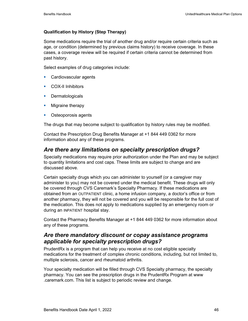#### **Qualification by History (Step Therapy)**

Some medications require the trial of another drug and/or require certain criteria such as age, or condition (determined by previous claims history) to receive coverage. In these cases, a coverage review will be required if certain criteria cannot be determined from past history.

Select examples of drug categories include:

- **Cardiovascular agents**
- **COX-II Inhibitors**
- **Dermatologicals**
- **Migraine therapy**
- **•** Osteoporosis agents

The drugs that may become subject to qualification by history rules may be modified.

Contact the Prescription Drug Benefits Manager at +1 844 449 0362 for more information about any of these programs.

# *Are there any limitations on specialty prescription drugs?*

Specialty medications may require prior authorization under the Plan and may be subject to quantity limitations and cost caps. These limits are subject to change and are discussed above.

Certain specialty drugs which you can administer to yourself (or a caregiver may administer to you) may not be covered under the medical benefit. These drugs will only be covered through CVS Caremark's Specialty Pharmacy. If these medications are obtained from an OUTPATIENT clinic, a home infusion company, a doctor's office or from another pharmacy, they will not be covered and you will be responsible for the full cost of the medication. This does not apply to medications supplied by an emergency room or during an INPATIENT hospital stay.

Contact the Pharmacy Benefits Manager at +1 844 449 0362 for more information about any of these programs.

## *Are there mandatory discount or copay assistance programs applicable for specialty prescription drugs?*

PrudentRx is a program that can help you receive at no cost eligible specialty medications for the treatment of complex chronic conditions, including, but not limited to, multiple sclerosis, cancer and rheumatoid arthritis.

Your specialty medication will be filled through CVS Specialty pharmacy, the specialty pharmacy. You can see the prescription drugs in the PrudentRx Program at www .caremark.com. This list is subject to periodic review and change.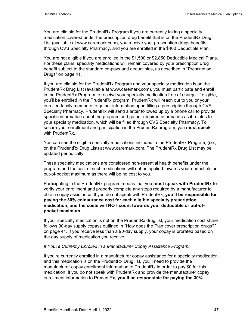You are eligible for the PrudentRx Program if you are currently taking a specialty medication covered under the prescription drug benefit that is on the PrudentRx Drug List (available at www.caremark.com), you receive your prescription drugs benefits through CVS Specialty Pharmacy, and you are enrolled in the \$400 Deductible Plan.

You are not eligible if you are enrolled in the \$1,500 or \$2,850 Deductible Medical Plans. For these plans, specialty medications will remain covered by your prescription drug benefit subject to the standard co-pays and deductibles, as described in "Prescription Drugs" on page 41.

If you are eligible for the PrudentRx Program and your specialty medication is on the PrudentRx Drug List (available at www.caremark.com), you must participate and enroll in the PrudentRx Program to receive your specialty medication free of charge. If eligible, you'll be enrolled in the PrudentRx program. PrudentRx will reach out to you or your enrolled family members to gather information upon filling a prescription through CVS Specialty Pharmacy. PrudentRx will send a letter followed up by a phone call to provide specific information about the program and gather required information as it relates to your specialty medication, which will be filled through CVS Specialty Pharmacy. To secure your enrollment and participation in the PrudentRx program, you **must speak** with PrudentRx.

You can see the eligible specialty medications included in the PrudentRx Program, (i.e., on the PrudentRx Drug List) at www.caremark.com. The PrudentRx Drug List may be updated periodically.

These specialty medications are considered non-essential health benefits under the program and the cost of such medications will not be applied towards your deductible or out-of-pocket maximum as there will be no cost to you.

Participating in the PrudentRx program means that you **must speak with PrudentRx** to verify your enrollment and properly complete any steps required by a manufacturer to obtain copay assistance. If you do not speak with PrudentRx, **you'll be responsible for paying the 30% coinsurance cost for each eligible specialty prescription medication, and the costs will NOT count towards your deductible or out-ofpocket maximum.** 

If your specialty medication is not on the PrudentRx drug list, your medication cost share follows 90-day supply copays outlined in "How does the Plan cover prescription drugs?" on page 41. If you receive less than a 90-day supply, your copay is prorated based on the day supply of medication you receive.

#### *If You're Currently Enrolled in a Manufacturer Copay Assistance Program:*

If you're currently enrolled in a manufacturer copay assistance for a specialty medication and this medication is on the PrudentRx Drug list, you'll need to provide the manufacturer copay enrollment information to PrudentRx in order to pay \$0 for this medication. If you do not speak with PrudentRx and provide the manufacturer copay enrollment information to PrudentRx, **you'll be responsible for paying the 30%**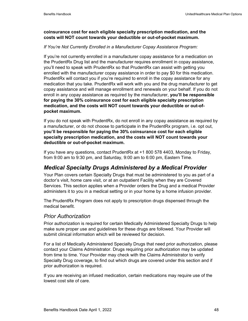#### **coinsurance cost for each eligible specialty prescription medication, and the costs will NOT count towards your deductible or out-of-pocket maximum.**

#### *If You're Not Currently Enrolled in a Manufacturer Copay Assistance Program:*

If you're not currently enrolled in a manufacturer copay assistance for a medication on the PrudentRx Drug list and the manufacturer requires enrollment in copay assistance, you'll need to speak with PrudentRx so that PrudentRx can assist with getting you enrolled with the manufacturer copay assistance in order to pay \$0 for this medication. PrudentRx will contact you if you're required to enroll in the copay assistance for any medication that you take. PrudentRx will work with you and the drug manufacturer to get copay assistance and will manage enrollment and renewals on your behalf. If you do not enroll in any copay assistance as required by the manufacturer, **you'll be responsible for paying the 30% coinsurance cost for each eligible specialty prescription medication, and the costs will NOT count towards your deductible or out-ofpocket maximum.** 

If you do not speak with PrudentRx, do not enroll in any copay assistance as required by a manufacturer, or do not choose to participate in the PrudentRx program, i.e. opt out, **you'll be responsible for paying the 30% coinsurance cost for each eligible specialty prescription medication, and the costs will NOT count towards your deductible or out-of-pocket maximum.**

If you have any questions, contact PrudentRx at +1 800 578 4403, Monday to Friday, from 9:00 am to 9:30 pm, and Saturday, 9:00 am to 6:00 pm, Eastern Time.

## *Medical Specialty Drugs Administered by a Medical Provider*

Your Plan covers certain Specialty Drugs that must be administered to you as part of a doctor's visit, home care visit, or at an outpatient Facility when they are Covered Services. This section applies when a Provider orders the Drug and a medical Provider administers it to you in a medical setting or in your home by a home infusion provider.

The PrudentRx Program does not apply to prescription drugs dispensed through the medical benefit.

#### *Prior Authorization*

Prior authorization is required for certain Medically Administered Specialty Drugs to help make sure proper use and guidelines for these drugs are followed. Your Provider will submit clinical information which will be reviewed for decision.

For a list of Medically Administered Specialty Drugs that need prior authorization, please contact your Claims Administrator. Drugs requiring prior authorization may be updated from time to time. Your Provider may check with the Claims Administrator to verify Specialty Drug coverage, to find out which drugs are covered under this section and if prior authorization is required.

If you are receiving an infused medication, certain medications may require use of the lowest cost site of care.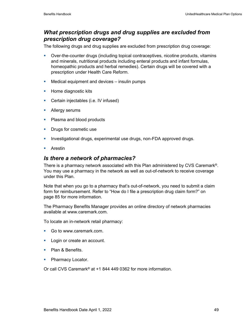## *What prescription drugs and drug supplies are excluded from prescription drug coverage?*

The following drugs and drug supplies are excluded from prescription drug coverage:

- Over-the-counter drugs (including topical contraceptives, nicotine products, vitamins and minerals, nutritional products including enteral products and infant formulas, homeopathic products and herbal remedies). Certain drugs will be covered with a prescription under Health Care Reform.
- **Medical equipment and devices insulin pumps**
- **Home diagnostic kits**
- **Certain injectables (i.e. IV infused)**
- **Allergy serums**
- Plasma and blood products
- **Drugs for cosmetic use**
- **Investigational drugs, experimental use drugs, non-FDA approved drugs.**
- **Arestin**

### *Is there a network of pharmacies?*

There is a pharmacy network associated with this Plan administered by CVS Caremark®. You may use a pharmacy in the network as well as out-of-network to receive coverage under this Plan.

Note that when you go to a pharmacy that's out-of-network, you need to submit a claim form for reimbursement. Refer to "How do I file a prescription drug claim form?" on page 85 for more information.

The Pharmacy Benefits Manager provides an online directory of network pharmacies available at www.caremark.com.

To locate an in-network retail pharmacy:

- Go to www.caremark.com.
- **Login or create an account.**
- Plan & Benefits.
- Pharmacy Locator.

Or call CVS Caremark® at +1 844 449 0362 for more information.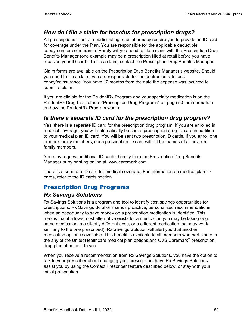# *How do I file a claim for benefits for prescription drugs?*

All prescriptions filled at a participating retail pharmacy require you to provide an ID card for coverage under the Plan. You are responsible for the applicable deductible, copayment or coinsurance. Rarely will you need to file a claim with the Prescription Drug Benefits Manager (one example may be a prescription filled at retail before you have received your ID card). To file a claim, contact the Prescription Drug Benefits Manager.

Claim forms are available on the Prescription Drug Benefits Manager's website. Should you need to file a claim, you are responsible for the contracted rate less copay/coinsurance. You have 12 months from the date the expense was incurred to submit a claim.

If you are eligible for the PrudentRx Program and your specialty medication is on the PrudentRx Drug List, refer to "Prescription Drug Programs" on page 50 for information on how the PrudentRx Program works.

# *Is there a separate ID card for the prescription drug program?*

Yes, there is a separate ID card for the prescription drug program. If you are enrolled in medical coverage, you will automatically be sent a prescription drug ID card in addition to your medical plan ID card. You will be sent two prescription ID cards. If you enroll one or more family members, each prescription ID card will list the names of all covered family members.

You may request additional ID cards directly from the Prescription Drug Benefits Manager or by printing online at www.caremark.com.

There is a separate ID card for medical coverage. For information on medical plan ID cards, refer to the ID cards section.

## Prescription Drug Programs

### *Rx Savings Solutions*

Rx Savings Solutions is a program and tool to identify cost savings opportunities for prescriptions. Rx Savings Solutions sends proactive, personalized recommendations when an opportunity to save money on a prescription medication is identified. This means that if a lower cost alternative exists for a medication you may be taking (e.g. same medication in a slightly different dose, or a different medication that may work similarly to the one prescribed), Rx Savings Solution will alert you that another medication option is available. This benefit is available to all members who participate in the any of the UnitedHealthcare medical plan options and CVS Caremark® prescription drug plan at no cost to you.

When you receive a recommendation from Rx Savings Solutions, you have the option to talk to your prescriber about changing your prescription, have Rx Savings Solutions assist you by using the Contact Prescriber feature described below, or stay with your initial prescription.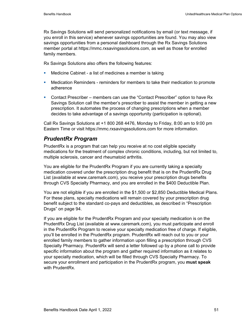Rx Savings Solutions will send personalized notifications by email (or text message, if you enroll in this service) whenever savings opportunities are found. You may also view savings opportunities from a personal dashboard through the Rx Savings Solutions member portal at https://mmc.rxsavingssolutions.com, as well as those for enrolled family members.

Rx Savings Solutions also offers the following features:

- **Medicine Cabinet a list of medicines a member is taking**
- Medication Reminders reminders for members to take their medication to promote adherence
- Contact Prescriber members can use the "Contact Prescriber" option to have Rx Savings Solution call the member's prescriber to assist the member in getting a new prescription. It automates the process of changing prescriptions when a member decides to take advantage of a savings opportunity (participation is optional).

Call Rx Savings Solutions at +1 800 268 4476, Monday to Friday, 8:00 am to 9:00 pm Eastern Time or visit https://mmc.rxsavingssolutions.com for more information.

# *PrudentRx Program*

PrudentRx is a program that can help you receive at no cost eligible specialty medications for the treatment of complex chronic conditions, including, but not limited to, multiple sclerosis, cancer and rheumatoid arthritis.

You are eligible for the PrudentRx Program if you are currently taking a specialty medication covered under the prescription drug benefit that is on the PrudentRx Drug List (available at www.caremark.com), you receive your prescription drugs benefits through CVS Specialty Pharmacy, and you are enrolled in the \$400 Deductible Plan.

You are not eligible if you are enrolled in the \$1,500 or \$2,850 Deductible Medical Plans. For these plans, specialty medications will remain covered by your prescription drug benefit subject to the standard co-pays and deductibles, as described in "Prescription Drugs" on page 94.

If you are eligible for the PrudentRx Program and your specialty medication is on the PrudentRx Drug List (available at www.caremark.com), you must participate and enroll in the PrudentRx Program to receive your specialty medication free of charge. If eligible, you'll be enrolled in the PrudentRx program. PrudentRx will reach out to you or your enrolled family members to gather information upon filling a prescription through CVS Specialty Pharmacy. PrudentRx will send a letter followed up by a phone call to provide specific information about the program and gather required information as it relates to your specialty medication, which will be filled through CVS Specialty Pharmacy. To secure your enrollment and participation in the PrudentRx program, you **must speak** with PrudentRx.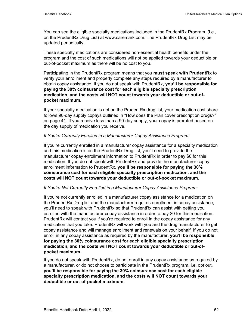You can see the eligible specialty medications included in the PrudentRx Program, (i.e., on the PrudentRx Drug List) at www.caremark.com. The PrudentRx Drug List may be updated periodically.

These specialty medications are considered non-essential health benefits under the program and the cost of such medications will not be applied towards your deductible or out-of-pocket maximum as there will be no cost to you.

Participating in the PrudentRx program means that you **must speak with PrudentRx** to verify your enrollment and properly complete any steps required by a manufacturer to obtain copay assistance. If you do not speak with PrudentRx, **you'll be responsible for paying the 30% coinsurance cost for each eligible specialty prescription medication, and the costs will NOT count towards your deductible or out-ofpocket maximum.** 

If your specialty medication is not on the PrudentRx drug list, your medication cost share follows 90-day supply copays outlined in "How does the Plan cover prescription drugs?" on page 41. If you receive less than a 90-day supply, your copay is prorated based on the day supply of medication you receive.

#### *If You're Currently Enrolled in a Manufacturer Copay Assistance Program:*

If you're currently enrolled in a manufacturer copay assistance for a specialty medication and this medication is on the PrudentRx Drug list, you'll need to provide the manufacturer copay enrollment information to PrudentRx in order to pay \$0 for this medication. If you do not speak with PrudentRx and provide the manufacturer copay enrollment information to PrudentRx, **you'll be responsible for paying the 30% coinsurance cost for each eligible specialty prescription medication, and the costs will NOT count towards your deductible or out-of-pocket maximum.** 

#### *If You're Not Currently Enrolled in a Manufacturer Copay Assistance Program:*

If you're not currently enrolled in a manufacturer copay assistance for a medication on the PrudentRx Drug list and the manufacturer requires enrollment in copay assistance, you'll need to speak with PrudentRx so that PrudentRx can assist with getting you enrolled with the manufacturer copay assistance in order to pay \$0 for this medication. PrudentRx will contact you if you're required to enroll in the copay assistance for any medication that you take. PrudentRx will work with you and the drug manufacturer to get copay assistance and will manage enrollment and renewals on your behalf. If you do not enroll in any copay assistance as required by the manufacturer, **you'll be responsible for paying the 30% coinsurance cost for each eligible specialty prescription medication, and the costs will NOT count towards your deductible or out-ofpocket maximum.** 

If you do not speak with PrudentRx, do not enroll in any copay assistance as required by a manufacturer, or do not choose to participate in the PrudentRx program, i.e. opt out, **you'll be responsible for paying the 30% coinsurance cost for each eligible specialty prescription medication, and the costs will NOT count towards your deductible or out-of-pocket maximum.**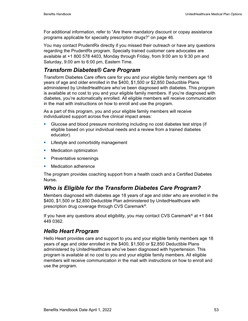For additional information, refer to "Are there mandatory discount or copay assistance programs applicable for specialty prescription drugs?" on page 46.

You may contact PrudentRx directly if you missed their outreach or have any questions regarding the PrudentRx program. Specially trained customer care advocates are available at +1 800 578 4403, Monday through Friday, from 9:00 am to 9:30 pm and Saturday, 9:00 am to 6:00 pm, Eastern Time.

# *Transform Diabetes® Care Program*

Transform Diabetes Care offers care for you and your eligible family members age 18 years of age and older enrolled in the \$400, \$1,500 or \$2,850 Deductible Plans administered by UnitedHealthcare who've been diagnosed with diabetes. This program is available at no cost to you and your eligible family members. If you're diagnosed with diabetes, you're automatically enrolled. All eligible members will receive communication in the mail with instructions on how to enroll and use the program.

As a part of this program, you and your eligible family members will receive individualized support across five clinical impact areas:

- Glucose and blood pressure monitoring including no cost diabetes test strips (if eligible based on your individual needs and a review from a trained diabetes educator).
- **EXECT:** Lifestyle and comorbidity management
- **Nedication optimization**
- **Preventative screenings**
- **Medication adherence**

The program provides coaching support from a health coach and a Certified Diabetes Nurse*.* 

## *Who is Eligible for the Transform Diabetes Care Program?*

Members diagnosed with diabetes age 18 years of age and older who are enrolled in the \$400, \$1,500 or \$2,850 Deductible Plan administered by UnitedHealthcare with prescription drug coverage through CVS Caremark®.

If you have any questions about eligibility, you may contact CVS Caremark® at +1 844 449 0362.

# *Hello Heart Program*

Hello Heart provides care and support to you and your eligible family members age 18 years of age and older enrolled in the \$400, \$1,500 or \$2,850 Deductible Plans administered by UnitedHealthcare who've been diagnosed with hypertension. This program is available at no cost to you and your eligible family members. All eligible members will receive communication in the mail with instructions on how to enroll and use the program.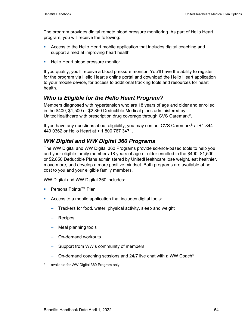The program provides digital remote blood pressure monitoring. As part of Hello Heart program, you will receive the following:

- Access to the Hello Heart mobile application that includes digital coaching and support aimed at improving heart health
- **Hello Heart blood pressure monitor.**

If you qualify, you'll receive a blood pressure monitor. You'll have the ability to register for the program via Hello Heart's online portal and download the Hello Heart application to your mobile device, for access to additional tracking tools and resources for heart health.

### *Who is Eligible for the Hello Heart Program?*

Members diagnosed with hypertension who are 18 years of age and older and enrolled in the \$400, \$1,500 or \$2,850 Deductible Medical plans administered by UnitedHealthcare with prescription drug coverage through CVS Caremark®.

If you have any questions about eligibility, you may contact CVS Caremark<sup>®</sup> at +1 844 449 0362 or Hello Heart at + 1 800 767 3471.

## *WW Digital and WW Digital 360 Programs*

The WW Digital and WW Digital 360 Programs provide science-based tools to help you and your eligible family members 18 years of age or older enrolled in the \$400, \$1,500 or \$2,850 Deductible Plans administered by UnitedHealthcare lose weight, eat healthier, move more, and develop a more positive mindset. Both programs are available at no cost to you and your eligible family members.

WW Digital and WW Digital 360 includes:

- PersonalPoints™ Plan
- Access to a mobile application that includes digital tools:
	- − Trackers for food, water, physical activity, sleep and weight
	- − Recipes
	- − Meal planning tools
	- − On-demand workouts
	- Support from WW's community of members
	- − On-demand coaching sessions and 24/7 live chat with a WW Coach\*
- available for WW Digital 360 Program only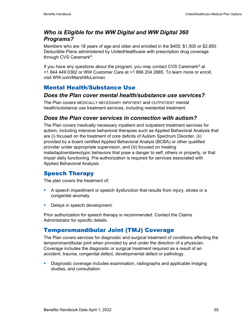## *Who is Eligible for the WW Digital and WW Digital 360 Programs?*

Members who are 18 years of age and older and enrolled in the \$400, \$1,500 or \$2,850 Deductible Plans administered by UnitedHealthcare with prescription drug coverage through CVS Caremark®.

If you have any questions about the program, you may contact CVS Caremark<sup>®</sup> at +1 844 449 0362 or WW Customer Care at +1 866 204 2885. To learn more or enroll, visit WW.com/MarshMcLennan.

# Mental Health/Substance Use

### *Does the Plan cover mental health/substance use services?*

The Plan covers MEDICALLY NECESSARY INPATIENT and OUTPATIENT mental health/substance use treatment services, including residential treatment.

## *Does the Plan cover services in connection with autism?*

The Plan covers medically necessary inpatient and outpatient treatment services for autism, including intensive behavioral therapies such as Applied Behavioral Analysis that are (i) focused on the treatment of core deficits of Autism Spectrum Disorder, (ii) provided by a board certified Applied Behavioral Analyst (BCBA) or other qualified provider under appropriate supervision, and (iii) focused on treating maladaptive/stereotypic behaviors that pose a danger to self, others or property, or that impair daily functioning. Pre-authorization is required for services associated with Applied Behavioral Analysis.

## Speech Therapy

The plan covers the treatment of:

- A speech impediment or speech dysfunction that results from injury, stroke or a congenital anomaly
- Delays in speech development.

Prior authorization for speech therapy is recommended. Contact the Claims Administrator for specific details.

# Temporomandibular Joint (TMJ) Coverage

The Plan covers services for diagnostic and surgical treatment of conditions affecting the temporomandibular joint when provided by and under the direction of a physician. Coverage includes the diagnostic or surgical treatment required as a result of an accident, trauma, congenital defect, developmental defect or pathology.

 Diagnostic coverage includes examination, radiographs and applicable imaging studies, and consultation.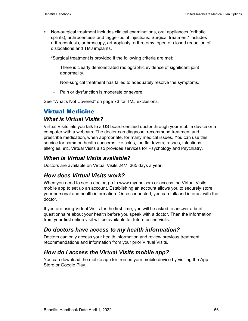Non-surgical treatment includes clinical examinations, oral appliances (orthotic splints), arthrocentesis and trigger-point injections. Surgical treatment\* includes arthrocentesis, arthroscopy, arthroplasty, arthrotomy, open or closed reduction of dislocations and TMJ implants.

\*Surgical treatment is provided if the following criteria are met:

- There is clearly demonstrated radiographic evidence of significant joint abnormality.
- − Non-surgical treatment has failed to adequately resolve the symptoms.
- − Pain or dysfunction is moderate or severe.

See "What's Not Covered" on page 73 for TMJ exclusions.

# Virtual Medicine

## *What is Virtual Visits?*

Virtual Visits lets you talk to a US board-certified doctor through your mobile device or a computer with a webcam. The doctor can diagnose, recommend treatment and prescribe medication, when appropriate, for many medical issues. You can use this service for common health concerns like colds, the flu, fevers, rashes, infections, allergies, etc. Virtual Visits also provides services for Psychology and Psychiatry.

## *When is Virtual Visits available?*

Doctors are available on Virtual Visits 24/7, 365 days a year.

## *How does Virtual Visits work?*

When you need to see a doctor, go to www.myuhc.com or access the Virtual Visits mobile app to set up an account. Establishing an account allows you to securely store your personal and health information. Once connected, you can talk and interact with the doctor.

If you are using Virtual Visits for the first time, you will be asked to answer a brief questionnaire about your health before you speak with a doctor. Then the information from your first online visit will be available for future online visits.

## *Do doctors have access to my health information?*

Doctors can only access your health information and review previous treatment recommendations and information from your prior Virtual Visits.

## *How do I access the Virtual Visits mobile app?*

You can download the mobile app for free on your mobile device by visiting the App Store or Google Play.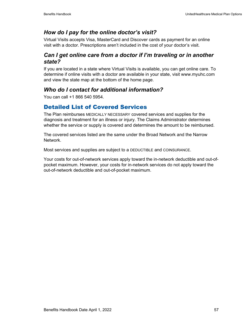# *How do I pay for the online doctor's visit?*

Virtual Visits accepts Visa, MasterCard and Discover cards as payment for an online visit with a doctor. Prescriptions aren't included in the cost of your doctor's visit.

## *Can I get online care from a doctor if I'm traveling or in another state?*

If you are located in a state where Virtual Visits is available, you can get online care. To determine if online visits with a doctor are available in your state, visit www.myuhc.com and view the state map at the bottom of the home page.

# *Who do I contact for additional information?*

You can call +1 866 540 5954.

## Detailed List of Covered Services

The Plan reimburses MEDICALLY NECESSARY covered services and supplies for the diagnosis and treatment for an illness or injury. The Claims Administrator determines whether the service or supply is covered and determines the amount to be reimbursed.

The covered services listed are the same under the Broad Network and the Narrow **Network** 

Most services and supplies are subject to a DEDUCTIBLE and COINSURANCE.

Your costs for out-of-network services apply toward the in-network deductible and out-ofpocket maximum. However, your costs for in-network services do not apply toward the out-of-network deductible and out-of-pocket maximum.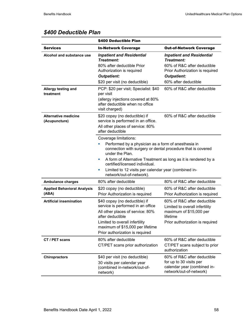|                                              | \$400 Deductible Plan                                                                                                                                                                                                                                                                                                                                                         |                                                                                                                                         |
|----------------------------------------------|-------------------------------------------------------------------------------------------------------------------------------------------------------------------------------------------------------------------------------------------------------------------------------------------------------------------------------------------------------------------------------|-----------------------------------------------------------------------------------------------------------------------------------------|
| <b>Services</b>                              | <b>In-Network Coverage</b>                                                                                                                                                                                                                                                                                                                                                    | <b>Out-of-Network Coverage</b>                                                                                                          |
| Alcohol and substance use                    | <b>Inpatient and Residential</b><br>Treatment:                                                                                                                                                                                                                                                                                                                                | <b>Inpatient and Residential</b><br>Treatment:                                                                                          |
|                                              | 80% after deductible Prior<br>Authorization is required<br><b>Outpatient:</b>                                                                                                                                                                                                                                                                                                 | 60% of R&C after deductible<br>Prior Authorization is required<br><b>Outpatient:</b>                                                    |
|                                              | \$20 per visit (no deductible)                                                                                                                                                                                                                                                                                                                                                | 60% after deductible                                                                                                                    |
| Allergy testing and<br>treatment             | PCP: \$20 per visit; Specialist: \$40<br>per visit<br>(allergy injections covered at 80%<br>after deductible when no office<br>visit charged)                                                                                                                                                                                                                                 | 60% of R&C after deductible                                                                                                             |
| <b>Alternative medicine</b><br>(Acupuncture) | 60% of R&C after deductible<br>\$20 copay (no deductible) if<br>service is performed in an office.<br>All other places of service: 80%<br>after deductible                                                                                                                                                                                                                    |                                                                                                                                         |
|                                              | Coverage limitations:<br>Performed by a physician as a form of anesthesia in<br>connection with surgery or dental procedure that is covered<br>under the Plan.<br>A form of Alternative Treatment as long as it is rendered by a<br>ш<br>certified/licensed individual.<br>Limited to 12 visits per calendar year (combined in-<br>$\blacksquare$<br>network/out-of-network). |                                                                                                                                         |
| <b>Ambulance charges</b>                     | 80% after deductible                                                                                                                                                                                                                                                                                                                                                          | 80% of R&C after deductible                                                                                                             |
| <b>Applied Behavioral Analysis</b><br>(ABA)  | \$20 copay (no deductible)<br>Prior Authorization is required                                                                                                                                                                                                                                                                                                                 | 60% of R&C after deductible<br>Prior Authorization is required                                                                          |
| <b>Artificial insemination</b>               | \$40 copay (no deductible) if<br>service is performed in an office<br>All other places of service: 80%<br>after deductible<br>Limited to overall infertility<br>maximum of \$15,000 per lifetime<br>Prior authorization is required                                                                                                                                           | 60% of R&C after deductible<br>Limited to overall infertility<br>maximum of \$15,000 per<br>lifetime<br>Prior authorization is required |
| CT / PET scans                               | 80% after deductible<br>CT/PET scans prior authorization                                                                                                                                                                                                                                                                                                                      | 60% of R&C after deductible<br>CT/PET scans subject to prior<br>authorization                                                           |
| <b>Chiropractors</b>                         | \$40 per visit (no deductible)<br>30 visits per calendar year<br>(combined in-network/out-of-<br>network)                                                                                                                                                                                                                                                                     | 60% of R&C after deductible<br>for up to 30 visits per<br>calendar year (combined in-<br>network/out-of-network)                        |

# *\$400 Deductible Plan*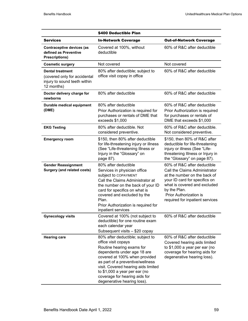|                                                                                                       | \$400 Deductible Plan                                                                                                                                                                                                                                                                                                            |                                                                                                                                                                                                                                            |
|-------------------------------------------------------------------------------------------------------|----------------------------------------------------------------------------------------------------------------------------------------------------------------------------------------------------------------------------------------------------------------------------------------------------------------------------------|--------------------------------------------------------------------------------------------------------------------------------------------------------------------------------------------------------------------------------------------|
| <b>Services</b>                                                                                       | <b>In-Network Coverage</b>                                                                                                                                                                                                                                                                                                       | <b>Out-of-Network Coverage</b>                                                                                                                                                                                                             |
| Contraceptive devices (as<br>defined as Preventive<br><b>Prescriptions)</b>                           | Covered at 100%, without<br>deductible                                                                                                                                                                                                                                                                                           | 60% of R&C after deductible                                                                                                                                                                                                                |
| <b>Cosmetic surgery</b>                                                                               | Not covered                                                                                                                                                                                                                                                                                                                      | Not covered                                                                                                                                                                                                                                |
| <b>Dental treatment</b><br>(covered only for accidental<br>injury to sound teeth within<br>12 months) | 80% after deductible; subject to<br>office visit copay in office                                                                                                                                                                                                                                                                 | 60% of R&C after deductible                                                                                                                                                                                                                |
| Doctor delivery charge for<br>newborns                                                                | 80% after deductible                                                                                                                                                                                                                                                                                                             | 60% of R&C after deductible                                                                                                                                                                                                                |
| Durable medical equipment<br>(DME)                                                                    | 80% after deductible<br>Prior Authorization is required for<br>purchases or rentals of DME that<br>exceeds \$1,000                                                                                                                                                                                                               | 60% of R&C after deductible<br>Prior Authorization is required<br>for purchases or rentals of<br>DME that exceeds \$1,000                                                                                                                  |
| <b>EKG Testing</b>                                                                                    | 80% after deductible. Not<br>considered preventive.                                                                                                                                                                                                                                                                              | 60% of R&C after deductible.<br>Not considered preventive.                                                                                                                                                                                 |
| <b>Emergency room</b>                                                                                 | \$150, then 80% after deductible<br>for life-threatening injury or illness<br>(See "Life-threatening Illness or<br>Injury in the "Glossary" on<br>page 87).                                                                                                                                                                      | \$150, then 80% of R&C after<br>deductible for life-threatening<br>injury or illness (See "Life-<br>threatening Illness or Injury in<br>the "Glossary" on page 87).                                                                        |
| <b>Gender Reassignment</b><br><b>Surgery (and related costs)</b>                                      | 80% after deductible<br>Services in physician office<br>subject to COPAYMENT<br>Call the Claims Administrator at<br>the number on the back of your ID<br>card for specifics on what is<br>covered and excluded by the<br>Plan.<br>Prior Authorization is required for<br>inpatient services                                      | 60% of R&C after deductible<br>Call the Claims Administrator<br>at the number on the back of<br>your ID card for specifics on<br>what is covered and excluded<br>by the Plan.<br>Prior Authorization is<br>required for inpatient services |
| <b>Gynecology visits</b>                                                                              | Covered at 100% (not subject to<br>deductible) for one routine exam<br>each calendar year<br>Subsequent visits - \$20 copay                                                                                                                                                                                                      | 60% of R&C after deductible                                                                                                                                                                                                                |
| <b>Hearing care</b>                                                                                   | 80% after deductible; subject to<br>office visit copays<br>Routine hearing exams for<br>dependents under age 18 are<br>covered at 100% when provided<br>as part of a preventive/wellness<br>visit. Covered hearing aids limited<br>to \$1,000 a year per ear (no<br>coverage for hearing aids for<br>degenerative hearing loss). | 60% of R&C after deductible<br>Covered hearing aids limited<br>to \$1,000 a year per ear (no<br>coverage for hearing aids for<br>degenerative hearing loss).                                                                               |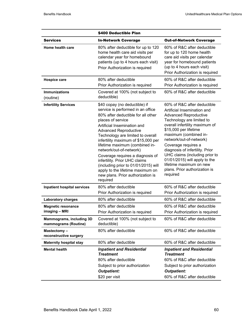|                                                         | \$400 Deductible Plan                                                                                                                                                                                                                                                                                                                                                                                                                                                                                                                   |                                                                                                                                                                                                                                                                                                                                                                                                                                             |
|---------------------------------------------------------|-----------------------------------------------------------------------------------------------------------------------------------------------------------------------------------------------------------------------------------------------------------------------------------------------------------------------------------------------------------------------------------------------------------------------------------------------------------------------------------------------------------------------------------------|---------------------------------------------------------------------------------------------------------------------------------------------------------------------------------------------------------------------------------------------------------------------------------------------------------------------------------------------------------------------------------------------------------------------------------------------|
| <b>Services</b>                                         | <b>In-Network Coverage</b>                                                                                                                                                                                                                                                                                                                                                                                                                                                                                                              | <b>Out-of-Network Coverage</b>                                                                                                                                                                                                                                                                                                                                                                                                              |
| Home health care                                        | 80% after deductible for up to 120<br>home health care aid visits per<br>calendar year for homebound<br>patients (up to 4 hours each visit)<br>Prior Authorization is required                                                                                                                                                                                                                                                                                                                                                          | 60% of R&C after deductible<br>for up to 120 home health<br>care aid visits per calendar<br>year for homebound patients<br>(up to 4 hours each visit)<br>Prior Authorization is required                                                                                                                                                                                                                                                    |
| <b>Hospice care</b>                                     | 80% after deductible                                                                                                                                                                                                                                                                                                                                                                                                                                                                                                                    | 60% of R&C after deductible                                                                                                                                                                                                                                                                                                                                                                                                                 |
|                                                         | Prior Authorization is required                                                                                                                                                                                                                                                                                                                                                                                                                                                                                                         | Prior Authorization is required                                                                                                                                                                                                                                                                                                                                                                                                             |
| <b>Immunizations</b><br>(routine)                       | Covered at 100% (not subject to<br>deductible)                                                                                                                                                                                                                                                                                                                                                                                                                                                                                          | 60% of R&C after deductible                                                                                                                                                                                                                                                                                                                                                                                                                 |
| <b>Infertility Services</b>                             | \$40 copay (no deductible) if<br>service is performed in an office<br>80% after deductible for all other<br>places of service<br>Artificial Insemination and<br><b>Advanced Reproductive</b><br>Technology are limited to overall<br>infertility maximum of \$15,000 per<br>lifetime maximum (combined in-<br>network/out-of-network)<br>Coverage requires a diagnosis of<br>infertility. Prior UHC claims<br>(including prior to 01/01/2015) will<br>apply to the lifetime maximum on<br>new plans. Prior authorization is<br>required | 60% of R&C after deductible<br>Artificial Insemination and<br><b>Advanced Reproductive</b><br>Technology are limited to<br>overall infertility maximum of<br>\$15,000 per lifetime<br>maximum (combined in-<br>network/out-of-network)<br>Coverage requires a<br>diagnosis of infertility. Prior<br>UHC claims (including prior to<br>01/01/2015) will apply to the<br>lifetime maximum on new<br>plans. Prior authorization is<br>required |
| <b>Inpatient hospital services</b>                      | 80% after deductible<br>Prior Authorization is required                                                                                                                                                                                                                                                                                                                                                                                                                                                                                 | 60% of R&C after deductible<br>Prior Authorization is required                                                                                                                                                                                                                                                                                                                                                                              |
| <b>Laboratory charges</b>                               | 80% after deductible                                                                                                                                                                                                                                                                                                                                                                                                                                                                                                                    | 60% of R&C after deductible                                                                                                                                                                                                                                                                                                                                                                                                                 |
| <b>Magnetic resonance</b>                               | 80% after deductible                                                                                                                                                                                                                                                                                                                                                                                                                                                                                                                    | 60% of R&C after deductible                                                                                                                                                                                                                                                                                                                                                                                                                 |
| imaging - MRI                                           | Prior Authorization is required                                                                                                                                                                                                                                                                                                                                                                                                                                                                                                         | Prior Authorization is required                                                                                                                                                                                                                                                                                                                                                                                                             |
| <b>Mammograms, including 3D</b><br>mammograms (Routine) | Covered at 100% (not subject to<br>deductible)                                                                                                                                                                                                                                                                                                                                                                                                                                                                                          | 60% of R&C after deductible                                                                                                                                                                                                                                                                                                                                                                                                                 |
| Mastectomy-<br>reconstructive surgery                   | 80% after deductible                                                                                                                                                                                                                                                                                                                                                                                                                                                                                                                    | 60% of R&C after deductible                                                                                                                                                                                                                                                                                                                                                                                                                 |
| <b>Maternity hospital stay</b>                          | 80% after deductible                                                                                                                                                                                                                                                                                                                                                                                                                                                                                                                    | 60% of R&C after deductible                                                                                                                                                                                                                                                                                                                                                                                                                 |
| <b>Mental health</b>                                    | <b>Inpatient and Residential</b><br><b>Treatment</b>                                                                                                                                                                                                                                                                                                                                                                                                                                                                                    | <b>Inpatient and Residential</b><br><b>Treatment</b>                                                                                                                                                                                                                                                                                                                                                                                        |
|                                                         | 80% after deductible<br>Subject to prior authorization<br><b>Outpatient:</b><br>\$20 per visit                                                                                                                                                                                                                                                                                                                                                                                                                                          | 60% of R&C after deductible<br>Subject to prior authorization<br><b>Outpatient:</b><br>60% of R&C after deductible                                                                                                                                                                                                                                                                                                                          |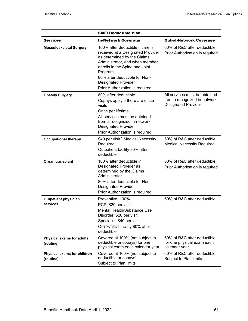|                                               | \$400 Deductible Plan                                                                                                                                                                                                                                                                  |                                                                                      |
|-----------------------------------------------|----------------------------------------------------------------------------------------------------------------------------------------------------------------------------------------------------------------------------------------------------------------------------------------|--------------------------------------------------------------------------------------|
| <b>Services</b>                               | <b>In-Network Coverage</b>                                                                                                                                                                                                                                                             | <b>Out-of-Network Coverage</b>                                                       |
| <b>Musculoskeletal Surgery</b>                | 100% after deductible if care is<br>received at a Designated Provider<br>as determined by the Claims<br>Administrator, and when member<br>enrolls in the Spine and Joint<br>Program.<br>80% after deductible for Non-<br><b>Designated Provider</b><br>Prior Authorization is required | 60% of R&C after deductible<br>Prior Authorization is required                       |
| <b>Obesity Surgery</b>                        | 80% after deductible<br>Copays apply if there are office<br>visits<br>Once per lifetime<br>All services must be obtained<br>from a recognized in-network<br><b>Designated Provider</b><br>Prior Authorization is required                                                              | All services must be obtained<br>from a recognized in-network<br>Designated Provider |
| <b>Occupational therapy</b>                   | \$40 per visit. <sup>1</sup> Medical Necessity<br>Required.<br>Outpatient facility 80% after<br>deductible                                                                                                                                                                             | 60% of R&C after deductible.<br>Medical Necessity Required.                          |
| Organ transplant                              | 100% after deductible in<br>Designated Provider as<br>determined by the Claims<br>Administrator<br>80% after deductible for Non-<br><b>Designated Provider</b><br>Prior Authorization is required                                                                                      | 60% of R&C after deductible<br>Prior Authorization is required                       |
| <b>Outpatient physician</b><br>services       | Preventive: 100%<br>PCP: \$20 per visit<br>Mental Health/Substance Use<br>Disorder: \$20 per visit<br>Specialist: \$40 per visit<br>OUTPATIENT facility 80% after<br>deductible                                                                                                        | 60% of R&C after deductible                                                          |
| <b>Physical exams for adults</b><br>(routine) | Covered at 100% (not subject to<br>deductible or copays) for one<br>physical exam each calendar year                                                                                                                                                                                   | 60% of R&C after deductible<br>for one physical exam each<br>calendar year           |
| Physical exams for children<br>(routine)      | Covered at 100% (not subject to<br>deductible or copays)<br>Subject to Plan limits                                                                                                                                                                                                     | 60% of R&C after deductible<br>Subject to Plan limits                                |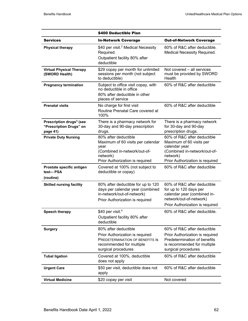|                                                                             | \$400 Deductible Plan                                                                                                                                |                                                                                                                                                         |
|-----------------------------------------------------------------------------|------------------------------------------------------------------------------------------------------------------------------------------------------|---------------------------------------------------------------------------------------------------------------------------------------------------------|
| <b>Services</b>                                                             | <b>In-Network Coverage</b>                                                                                                                           | <b>Out-of-Network Coverage</b>                                                                                                                          |
| <b>Physical therapy</b>                                                     | \$40 per visit. <sup>2</sup> Medical Necessity<br>Required.<br>Outpatient facility 80% after<br>deductible                                           | 60% of R&C after deductible.<br><b>Medical Necessity Required.</b>                                                                                      |
| <b>Virtual Physical Therapy</b><br>(SWORD Health)                           | \$29 copay per month for unlimited<br>sessions per month (not subject<br>to deductible)                                                              | Not covered - all services<br>must be provided by SWORD<br>Health                                                                                       |
| <b>Pregnancy termination</b>                                                | Subject to office visit copay, with<br>no deductible in office<br>80% after deductible in other<br>places of service                                 | 60% of R&C after deductible                                                                                                                             |
| <b>Prenatal visits</b>                                                      | No charge for first visit<br>Routine Prenatal Care covered at<br>100%                                                                                | 60% of R&C after deductible                                                                                                                             |
| Prescription drugs <sup>3</sup> (see<br>"Prescription Drugs" on<br>page 41) | There is a pharmacy network for<br>30-day and 90-day prescription<br>drugs.                                                                          | There is a pharmacy network<br>for 30-day and 90-day<br>prescription drugs.                                                                             |
| <b>Private Duty Nursing</b>                                                 | 80% after deductible<br>Maximum of 60 visits per calendar<br>year<br>(Combined in-network/out-of-<br>network)<br>Prior Authorization is required     | 60% of R&C after deductible<br>Maximum of 60 visits per<br>calendar year<br>(Combined in-network/out-of-<br>network)<br>Prior Authorization is required |
| Prostate specific antigen<br>test-- PSA                                     | Covered at 100% (not subject to<br>deductible or copay)                                                                                              | 60% of R&C after deductible                                                                                                                             |
| (routine)<br><b>Skilled nursing facility</b>                                | 80% after deductible for up to 120<br>days per calendar year (combined<br>in-network/out-of-network)<br>Prior Authorization is required              | 60% of R&C after deductible<br>for up to 120 days per<br>calendar year (combined in-<br>network/out-of-network)<br>Prior Authorization is required      |
| Speech therapy                                                              | \$40 per visit. $4$<br>Outpatient facility 80% after<br>deductible                                                                                   | 60% of R&C after deductible.                                                                                                                            |
| <b>Surgery</b>                                                              | 80% after deductible<br>Prior Authorization is required<br><b>PREDETERMINATION OF BENEFITS IS</b><br>recommended for multiple<br>surgical procedures | 60% of R&C after deductible<br>Prior Authorization is required<br>Predetermination of benefits<br>is recommended for multiple<br>surgical procedures    |
| <b>Tubal ligation</b>                                                       | Covered at 100%, deductible<br>does not apply                                                                                                        | 60% of R&C after deductible                                                                                                                             |
| <b>Urgent Care</b>                                                          | \$50 per visit, deductible does not<br>apply                                                                                                         | 60% of R&C after deductible                                                                                                                             |
| <b>Virtual Medicine</b>                                                     | \$20 copay per visit                                                                                                                                 | Not covered                                                                                                                                             |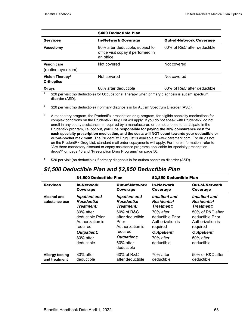|                                             | \$400 Deductible Plan                                                               |                                |  |
|---------------------------------------------|-------------------------------------------------------------------------------------|--------------------------------|--|
| <b>Services</b>                             | <b>In-Network Coverage</b>                                                          | <b>Out-of-Network Coverage</b> |  |
| Vasectomy                                   | 80% after deductible; subject to<br>office visit copay if performed in<br>an office | 60% of R&C after deductible    |  |
| Vision care<br>(routine eye exam)           | Not covered                                                                         | Not covered                    |  |
| <b>Vision Therapy/</b><br><b>Orthoptics</b> | Not covered                                                                         | Not covered                    |  |
| X-rays                                      | 80% after deductible                                                                | 60% of R&C after deductible    |  |

 $\frac{1}{1}$  \$20 per visit (no deductible) for Occupational Therapy when primary diagnosis is autism spectrum disorder (ASD).

- <sup>2</sup> \$20 per visit (no deductible) if primary diagnosis is for Autism Spectrum Disorder (ASD).
- <sup>3</sup> A mandatory program, the PrudentRx prescription drug program, for eligible specialty medications for complex conditions on the PrudentRx Drug List will apply. If you do not speak with PrudentRx, do not enroll in any copay assistance as required by a manufacturer, or do not choose to participate in the PrudentRx program, i.e. opt out, **you'll be responsible for paying the 30% coinsurance cost for each specialty prescription medication, and the costs will NOT count towards your deductible or out-of-pocket maximum.** The PrudentRx Drug List is available at www.caremark.com. For drugs not on the PrudentRx Drug List, standard mail order copayments will apply. For more information, refer to "Are there mandatory discount or copay assistance programs applicable for specialty prescription drugs?" on page 46 and "Prescription Drug Programs" on page 50.
- 4 \$20 per visit (no deductible) if primary diagnosis is for autism spectrum disorder (ASD).

#### *\$1,500 Deductible Plan and \$2,850 Deductible Plan*

|                                     | \$1,500 Deductible Plan                                  |                                                                 | \$2,850 Deductible Plan                                  |                                                          |
|-------------------------------------|----------------------------------------------------------|-----------------------------------------------------------------|----------------------------------------------------------|----------------------------------------------------------|
| <b>Services</b>                     | In-Network                                               | <b>Out-of-Network</b>                                           | <b>In-Network</b>                                        | <b>Out-of-Network</b>                                    |
|                                     | Coverage                                                 | Coverage                                                        | Coverage                                                 | Coverage                                                 |
| <b>Alcohol and</b><br>substance use | <b>Inpatient and</b><br><b>Residential</b><br>Treatment: | <b>Inpatient and</b><br><b>Residential</b><br><b>Treatment:</b> | <b>Inpatient and</b><br><b>Residential</b><br>Treatment: | <b>Inpatient and</b><br><b>Residential</b><br>Treatment: |
|                                     | 80% after                                                | 60% of R&C                                                      | 70% after                                                | 50% of R&C after                                         |
|                                     | deductible Prior                                         | after deductible                                                | deductible Prior                                         | deductible Prior                                         |
|                                     | Authorization is                                         | Prior                                                           | Authorization is                                         | Authorization is                                         |
|                                     | required                                                 | Authorization is                                                | required                                                 | required                                                 |
|                                     | <b>Outpatient:</b><br>80% after<br>deductible            | required<br><b>Outpatient:</b><br>60% after<br>deductible       | <b>Outpatient:</b><br>70% after<br>deductible            | <b>Outpatient:</b><br>$50\%$ after<br>deductible         |
| <b>Allergy testing</b>              | 80% after                                                | 60% of R&C                                                      | 70% after                                                | 50% of R&C after                                         |
| and treatment                       | deductible                                               | after deductible                                                | deductible                                               | deductible                                               |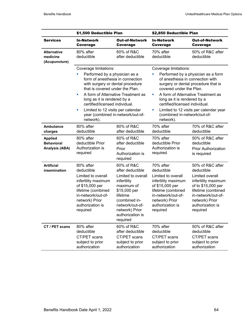|                                                              | \$1,500 Deductible Plan                                                                                                                                                                                                  |                                                                                                                                                                                                     | \$2,850 Deductible Plan                                                                                                                                                                                                                                                                                                                                                    |                                                                                                                                                                                              |
|--------------------------------------------------------------|--------------------------------------------------------------------------------------------------------------------------------------------------------------------------------------------------------------------------|-----------------------------------------------------------------------------------------------------------------------------------------------------------------------------------------------------|----------------------------------------------------------------------------------------------------------------------------------------------------------------------------------------------------------------------------------------------------------------------------------------------------------------------------------------------------------------------------|----------------------------------------------------------------------------------------------------------------------------------------------------------------------------------------------|
| <b>Services</b>                                              | <b>In-Network</b><br>Coverage                                                                                                                                                                                            | <b>Out-of-Network</b><br>Coverage                                                                                                                                                                   | In-Network<br><b>Coverage</b>                                                                                                                                                                                                                                                                                                                                              | <b>Out-of-Network</b><br><b>Coverage</b>                                                                                                                                                     |
| <b>Alternative</b><br>medicine<br>(Acupuncture)              | 80% after<br>deductible                                                                                                                                                                                                  | 60% of R&C<br>after deductible                                                                                                                                                                      | 70% after<br>deductible                                                                                                                                                                                                                                                                                                                                                    | 50% of R&C after<br>deductible                                                                                                                                                               |
|                                                              | Coverage limitations:<br>Performed by a physician as a<br>that is covered under the Plan.<br>a,<br>long as it is rendered by a<br>certified/licensed individual.<br>Limited to 12 visits per calendar<br>a,<br>network). | form of anesthesia in connection<br>with surgery or dental procedure<br>A form of Alternative Treatment as<br>year (combined in-network/out-of-                                                     | Coverage limitations:<br>Performed by a physician as a form<br>of anesthesia in connection with<br>surgery or dental procedure that is<br>covered under the Plan.<br>A form of Alternative Treatment as<br>ш<br>long as it is rendered by a<br>certified/licensed individual.<br>Limited to 12 visits per calendar year<br>U,<br>(combined in-network/out-of-<br>network). |                                                                                                                                                                                              |
| <b>Ambulance</b><br>charges                                  | 80% after<br>deductible                                                                                                                                                                                                  | 80% of R&C<br>after deductible                                                                                                                                                                      | 70% after<br>deductible                                                                                                                                                                                                                                                                                                                                                    | 70% of R&C after<br>deductible                                                                                                                                                               |
| <b>Applied</b><br><b>Behavioral</b><br><b>Analysis (ABA)</b> | 80% after<br>deductible Prior<br>Authorization is<br>required                                                                                                                                                            | 60% of R&C<br>after deductible<br>Prior<br>Authorization is<br>required                                                                                                                             | 70% after<br>deductible Prior<br>Authorization is<br>required                                                                                                                                                                                                                                                                                                              | 50% of R&C after<br>deductible<br><b>Prior Authorization</b><br>is required                                                                                                                  |
| <b>Artificial</b><br>insemination                            | 80% after<br>deductible<br>Limited to overall<br>infertility maximum<br>of \$15,000 per<br>lifetime (combined<br>in-network/out-of-<br>network) Prior<br>authorization is<br>required                                    | 60% of R&C<br>after deductible<br>Limited to overall<br>infertility<br>maximum of<br>\$15,000 per<br>lifetime<br>(combined in-<br>network/out-of-<br>network) Prior<br>authorization is<br>required | 70% after<br>deductible<br>Limited to overall<br>infertility maximum<br>of \$15,000 per<br>lifetime (combined<br>in-network/out-of-<br>network) Prior<br>authorization is<br>required                                                                                                                                                                                      | 50% of R&C after<br>deductible<br>Limited overall<br>infertility maximum<br>of to \$15,000 per<br>lifetime (combined<br>in-network/out-of-<br>network) Prior<br>authorization is<br>required |
| CT / PET scans                                               | 80% after<br>deductible<br>CT/PET scans<br>subject to prior<br>authorization                                                                                                                                             | 60% of R&C<br>after deductible<br>CT/PET scans<br>subject to prior<br>authorization                                                                                                                 | 70% after<br>deductible<br>CT/PET scans<br>subject to prior<br>authorization                                                                                                                                                                                                                                                                                               | 50% of R&C after<br>deductible<br>CT/PET scans<br>subject to prior<br>authorization                                                                                                          |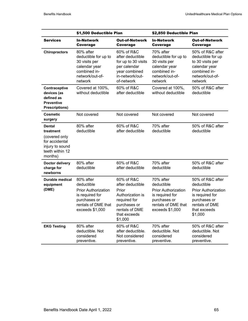|                                                                                                                | \$1,500 Deductible Plan                                                                                                            |                                                                                                                                          | \$2,850 Deductible Plan                                                                                                            |                                                                                                                                              |
|----------------------------------------------------------------------------------------------------------------|------------------------------------------------------------------------------------------------------------------------------------|------------------------------------------------------------------------------------------------------------------------------------------|------------------------------------------------------------------------------------------------------------------------------------|----------------------------------------------------------------------------------------------------------------------------------------------|
| <b>Services</b>                                                                                                | <b>In-Network</b><br><b>Coverage</b>                                                                                               | <b>Out-of-Network</b><br>Coverage                                                                                                        | <b>In-Network</b><br><b>Coverage</b>                                                                                               | <b>Out-of-Network</b><br>Coverage                                                                                                            |
| <b>Chiropractors</b>                                                                                           | 80% after<br>deductible for up to<br>30 visits per<br>calendar year<br>combined in-<br>network/out-of-<br>network                  | 60% of R&C<br>after deductible<br>for up to 30 visits<br>per calendar<br>year combined<br>in-network/out-<br>of-network                  | 70% after<br>deductible for up to<br>30 visits per<br>calendar year<br>combined in-<br>network/out-of-<br>network                  | 50% of R&C after<br>deductible for up<br>to 30 visits per<br>calendar year<br>combined in-<br>network/out-of-<br>network                     |
| Contraceptive<br>devices (as<br>defined as<br><b>Preventive</b><br><b>Prescriptions)</b>                       | Covered at 100%,<br>without deductible                                                                                             | 60% of R&C<br>after deductible                                                                                                           | Covered at 100%,<br>without deductible                                                                                             | 50% of R&C after<br>deductible                                                                                                               |
| <b>Cosmetic</b><br>surgery                                                                                     | Not covered                                                                                                                        | Not covered                                                                                                                              | Not covered                                                                                                                        | Not covered                                                                                                                                  |
| <b>Dental</b><br>treatment<br>(covered only<br>for accidental<br>injury to sound<br>teeth within 12<br>months) | 80% after<br>deductible                                                                                                            | 60% of R&C<br>after deductible                                                                                                           | 70% after<br>deductible                                                                                                            | 50% of R&C after<br>deductible                                                                                                               |
| Doctor delivery<br>charge for<br>newborns                                                                      | 80% after<br>deductible                                                                                                            | 60% of R&C<br>after deductible                                                                                                           | 70% after<br>deductible                                                                                                            | 50% of R&C after<br>deductible                                                                                                               |
| Durable medical<br>equipment<br>(DME)                                                                          | 80% after<br>deductible<br><b>Prior Authorization</b><br>is required for<br>purchases or<br>rentals of DME that<br>exceeds \$1,000 | 60% of R&C<br>after deductible<br>Prior<br>Authorization is<br>required for<br>purchases or<br>rentals of DME<br>that exceeds<br>\$1,000 | 70% after<br>deductible<br><b>Prior Authorization</b><br>is required for<br>purchases or<br>rentals of DME that<br>exceeds \$1,000 | 50% of R&C after<br>deductible<br><b>Prior Authorization</b><br>is required for<br>purchases or<br>rentals of DME<br>that exceeds<br>\$1,000 |
| <b>EKG Testing</b>                                                                                             | 80% after<br>deductible. Not<br>considered<br>preventive.                                                                          | 60% of R&C<br>after deductible.<br>Not considered<br>preventive.                                                                         | 70% after<br>deductible. Not<br>considered<br>preventive.                                                                          | 50% of R&C after<br>deductible. Not<br>considered<br>preventive.                                                                             |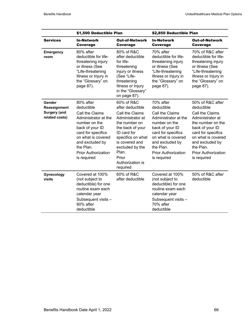|                                                                 | \$1,500 Deductible Plan                                                                                                                                                                                                         |                                                                                                                                                                                                                                       | \$2,850 Deductible Plan                                                                                                                                                                                                         |                                                                                                                                                                                                                                        |  |
|-----------------------------------------------------------------|---------------------------------------------------------------------------------------------------------------------------------------------------------------------------------------------------------------------------------|---------------------------------------------------------------------------------------------------------------------------------------------------------------------------------------------------------------------------------------|---------------------------------------------------------------------------------------------------------------------------------------------------------------------------------------------------------------------------------|----------------------------------------------------------------------------------------------------------------------------------------------------------------------------------------------------------------------------------------|--|
| <b>Services</b>                                                 | <b>In-Network</b><br><b>Coverage</b>                                                                                                                                                                                            | <b>Out-of-Network</b><br><b>Coverage</b>                                                                                                                                                                                              | <b>In-Network</b><br><b>Coverage</b>                                                                                                                                                                                            | <b>Out-of-Network</b><br><b>Coverage</b>                                                                                                                                                                                               |  |
| <b>Emergency</b><br>room                                        | 80% after<br>deductible for life-<br>threatening injury<br>or illness (See<br>"Life-threatening<br>Illness or Injury in<br>the "Glossary" on<br>page 87).                                                                       | 80% of R&C<br>after deductible<br>for life-<br>threatening<br>injury or illness<br>(See "Life-<br>threatening<br>Illness or Injury<br>in the "Glossary"<br>on page 87).                                                               | 70% after<br>deductible for life-<br>threatening injury<br>or illness (See<br>"Life-threatening<br>Illness or Injury in<br>the "Glossary" on<br>page 87).                                                                       | 70% of R&C after<br>deductible for life-<br>threatening injury<br>or illness (See<br>"Life-threatening<br>Illness or Injury in<br>the "Glossary" on<br>page 87).                                                                       |  |
| Gender<br>Reassignment<br><b>Surgery (and</b><br>related costs) | 80% after<br>deductible<br>Call the Claims<br>Administrator at the<br>number on the<br>back of your ID<br>card for specifics<br>on what is covered<br>and excluded by<br>the Plan.<br><b>Prior Authorization</b><br>is required | 60% of R&C<br>after deductible<br>Call the Claims<br>Administrator at<br>the number on<br>the back of your<br>ID card for<br>specifics on what<br>is covered and<br>excluded by the<br>Plan.<br>Prior<br>Authorization is<br>required | 70% after<br>deductible<br>Call the Claims<br>Administrator at the<br>number on the<br>back of your ID<br>card for specifics<br>on what is covered<br>and excluded by<br>the Plan.<br><b>Prior Authorization</b><br>is required | 50% of R&C after<br>deductible<br>Call the Claims<br>Administrator at<br>the number on the<br>back of your ID<br>card for specifics<br>on what is covered<br>and excluded by<br>the Plan.<br><b>Prior Authorization</b><br>is required |  |
| Gynecology<br>visits                                            | Covered at 100%<br>(not subject to<br>deductible) for one<br>routine exam each<br>calendar year<br>Subsequent visits -<br>80% after<br>deductible                                                                               | 60% of R&C<br>after deductible                                                                                                                                                                                                        | Covered at 100%<br>(not subject to<br>deductible) for one<br>routine exam each<br>calendar year<br>Subsequent visits -<br>70% after<br>deductible                                                                               | 50% of R&C after<br>deductible                                                                                                                                                                                                         |  |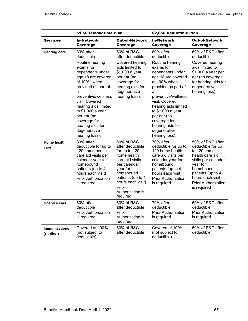|                                   | \$1,500 Deductible Plan                                                                                                                                                                                                                                                                                                  |                                                                                                                                                                                                               | \$2,850 Deductible Plan                                                                                                                                                                                                                                                                                                  |                                                                                                                                                                                                                |
|-----------------------------------|--------------------------------------------------------------------------------------------------------------------------------------------------------------------------------------------------------------------------------------------------------------------------------------------------------------------------|---------------------------------------------------------------------------------------------------------------------------------------------------------------------------------------------------------------|--------------------------------------------------------------------------------------------------------------------------------------------------------------------------------------------------------------------------------------------------------------------------------------------------------------------------|----------------------------------------------------------------------------------------------------------------------------------------------------------------------------------------------------------------|
| <b>Services</b>                   | <b>In-Network</b><br>Coverage                                                                                                                                                                                                                                                                                            | <b>Out-of-Network</b><br>Coverage                                                                                                                                                                             | <b>In-Network</b><br>Coverage                                                                                                                                                                                                                                                                                            | <b>Out-of-Network</b><br>Coverage                                                                                                                                                                              |
| <b>Hearing care</b>               | 80% after<br>deductible<br>Routine hearing<br>exams for<br>dependents under<br>age 18 are covered<br>at 100% when<br>provided as part of<br>a<br>preventive/wellness<br>visit. Covered<br>hearing aids limited<br>to \$1,000 a year<br>per ear (no<br>coverage for<br>hearing aids for<br>degenerative<br>hearing loss). | 60% of R&C<br>after deductible<br>Covered hearing<br>aids limited to<br>\$1,000 a year<br>per ear (no<br>coverage for<br>hearing aids for<br>degenerative<br>hearing loss).                                   | 80% after<br>deductible<br>Routine hearing<br>exams for<br>dependents under<br>age 18 are covered<br>at 100% when<br>provided as part of<br>a<br>preventive/wellness<br>visit. Covered<br>hearing aids limited<br>to \$1,000 a year<br>per ear (no<br>coverage for<br>hearing aids for<br>degenerative<br>hearing loss). | 60% of R&C after<br>deductible<br>Covered hearing<br>aids limited to<br>\$1,000 a year per<br>ear (no coverage<br>for hearing aids for<br>degenerative<br>hearing loss).                                       |
| <b>Home health</b><br>care        | 80% after<br>deductible for up to<br>120 home health<br>care aid visits per<br>calendar year for<br>homebound<br>patients (up to 4<br>hours each visit)<br><b>Prior Authorization</b><br>is required                                                                                                                     | 60% of R&C<br>after deductible<br>for up to 120<br>home health<br>care aid visits<br>per calendar<br>year for<br>homebound<br>patients (up to 4<br>hours each visit)<br>Prior<br>Authorization is<br>required | 70% after<br>deductible for up to<br>120 home health<br>care aid visits per<br>calendar year for<br>homebound<br>patients (up to 4<br>hours each visit)<br><b>Prior Authorization</b><br>is required                                                                                                                     | 50% of R&C after<br>deductible for up<br>to 120 home<br>health care aid<br>visits per calendar<br>year for<br>homebound<br>patients (up to 4<br>hours each visit)<br><b>Prior Authorization</b><br>is required |
| <b>Hospice care</b>               | 80% after<br>deductible<br><b>Prior Authorization</b><br>is required                                                                                                                                                                                                                                                     | 60% of R&C<br>after deductible<br>Prior<br>Authorization is<br>required                                                                                                                                       | 70% after<br>deductible<br><b>Prior Authorization</b><br>is required                                                                                                                                                                                                                                                     | 50% of R&C after<br>deductible<br><b>Prior Authorization</b><br>is required                                                                                                                                    |
| <b>Immunizations</b><br>(routine) | Covered at 100%<br>(not subject to<br>deductible)                                                                                                                                                                                                                                                                        | 60% of R&C<br>after deductible                                                                                                                                                                                | Covered at 100%<br>(not subject to<br>deductible)                                                                                                                                                                                                                                                                        | 50% of R&C after<br>deductible                                                                                                                                                                                 |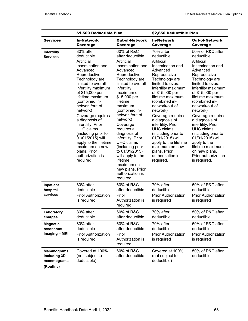|                                                        | \$1,500 Deductible Plan                                                                                                                                                                                                                                                                                                                                                                                                                                       |                                                                                                                                                                                                                                                                                                                                                                                                                                                                                         | \$2,850 Deductible Plan                                                                                                                                                                                                                                                                                                                                                                                                                                              |                                                                                                                                                                                                                                                                                                                                                                                                                                                                             |
|--------------------------------------------------------|---------------------------------------------------------------------------------------------------------------------------------------------------------------------------------------------------------------------------------------------------------------------------------------------------------------------------------------------------------------------------------------------------------------------------------------------------------------|-----------------------------------------------------------------------------------------------------------------------------------------------------------------------------------------------------------------------------------------------------------------------------------------------------------------------------------------------------------------------------------------------------------------------------------------------------------------------------------------|----------------------------------------------------------------------------------------------------------------------------------------------------------------------------------------------------------------------------------------------------------------------------------------------------------------------------------------------------------------------------------------------------------------------------------------------------------------------|-----------------------------------------------------------------------------------------------------------------------------------------------------------------------------------------------------------------------------------------------------------------------------------------------------------------------------------------------------------------------------------------------------------------------------------------------------------------------------|
| <b>Services</b>                                        | <b>In-Network</b><br>Coverage                                                                                                                                                                                                                                                                                                                                                                                                                                 | <b>Out-of-Network</b><br>Coverage                                                                                                                                                                                                                                                                                                                                                                                                                                                       | <b>In-Network</b><br>Coverage                                                                                                                                                                                                                                                                                                                                                                                                                                        | <b>Out-of-Network</b><br>Coverage                                                                                                                                                                                                                                                                                                                                                                                                                                           |
| Infertility<br><b>Services</b>                         | 80% after<br>deductible<br>Artificial<br>Insemination and<br>Advanced<br>Reproductive<br>Technology are<br>limited to overall<br>infertility maximum<br>of \$15,000 per<br>lifetime maximum<br>(combined in-<br>network/out-of-<br>network)<br>Coverage requires<br>a diagnosis of<br>infertility. Prior<br>UHC claims<br>(including prior to<br>01/01/2015) will<br>apply to the lifetime<br>maximum on new<br>plans. Prior<br>authorization is<br>required. | 60% of R&C<br>after deductible<br>Artificial<br>Insemination and<br>Advanced<br>Reproductive<br>Technology are<br>limited to overall<br>infertility<br>maximum of<br>\$15,000 per<br>lifetime<br>maximum<br>(combined in-<br>network/out-of-<br>network)<br>Coverage<br>requires a<br>diagnosis of<br>infertility. Prior<br><b>UHC</b> claims<br>(including prior<br>to 01/01/2015)<br>will apply to the<br>lifetime<br>maximum on<br>new plans. Prior<br>authorization is<br>required. | 70% after<br>deductible<br>Artificial<br>Insemination and<br>Advanced<br>Reproductive<br>Technology are<br>limited to overall<br>infertility maximum<br>of \$15,000 per<br>lifetime maximum<br>(combined in-<br>network/out-of-<br>network)<br>Coverage requires<br>a diagnosis of<br>infertility. Prior<br><b>UHC</b> claims<br>(including prior to<br>01/01/2015) will<br>apply to the lifetime<br>maximum on new<br>plans. Prior<br>authorization is<br>required. | 50% of R&C after<br>deductible<br>Artificial<br>Insemination and<br>Advanced<br>Reproductive<br>Technology are<br>limited to overall<br>infertility maximum<br>of \$15,000 per<br>lifetime maximum<br>(combined in-<br>network/out-of-<br>network)<br>Coverage requires<br>a diagnosis of<br>infertility. Prior<br><b>UHC</b> claims<br>(including prior to<br>01/01/2015) will<br>apply to the<br>lifetime maximum<br>on new plans.<br>Prior authorization<br>is required. |
| Inpatient<br>hospital<br>services                      | 80% after<br>deductible<br><b>Prior Authorization</b><br>is required                                                                                                                                                                                                                                                                                                                                                                                          | 60% of R&C<br>after deductible<br>Prior<br>Authorization is<br>required                                                                                                                                                                                                                                                                                                                                                                                                                 | 70% after<br>deductible<br><b>Prior Authorization</b><br>is required                                                                                                                                                                                                                                                                                                                                                                                                 | 50% of R&C after<br>deductible<br><b>Prior Authorization</b><br>is required                                                                                                                                                                                                                                                                                                                                                                                                 |
| Laboratory<br>charges                                  | 80% after<br>deductible                                                                                                                                                                                                                                                                                                                                                                                                                                       | 60% of R&C<br>after deductible                                                                                                                                                                                                                                                                                                                                                                                                                                                          | 70% after<br>deductible                                                                                                                                                                                                                                                                                                                                                                                                                                              | 50% of R&C after<br>deductible                                                                                                                                                                                                                                                                                                                                                                                                                                              |
| <b>Magnetic</b><br>resonance<br>imaging - MRI          | 80% after<br>deductible<br><b>Prior Authorization</b><br>is required                                                                                                                                                                                                                                                                                                                                                                                          | 60% of R&C<br>after deductible<br>Prior<br>Authorization is<br>required                                                                                                                                                                                                                                                                                                                                                                                                                 | 70% after<br>deductible<br><b>Prior Authorization</b><br>is required                                                                                                                                                                                                                                                                                                                                                                                                 | 50% of R&C after<br>deductible<br><b>Prior Authorization</b><br>is required                                                                                                                                                                                                                                                                                                                                                                                                 |
| Mammograms,<br>including 3D<br>mammograms<br>(Routine) | Covered at 100%<br>(not subject to<br>deductible)                                                                                                                                                                                                                                                                                                                                                                                                             | 60% of R&C<br>after deductible                                                                                                                                                                                                                                                                                                                                                                                                                                                          | Covered at 100%<br>(not subject to<br>deductible)                                                                                                                                                                                                                                                                                                                                                                                                                    | 50% of R&C after<br>deductible                                                                                                                                                                                                                                                                                                                                                                                                                                              |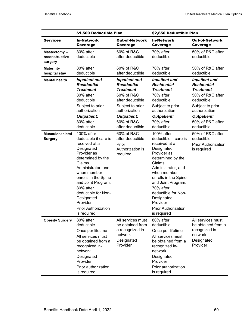|                                          | \$1,500 Deductible Plan                                                                                                                                                                                                                                                                                        |                                                                                                | \$2,850 Deductible Plan                                                                                                                                                                                                                                                                                        |                                                                                                |
|------------------------------------------|----------------------------------------------------------------------------------------------------------------------------------------------------------------------------------------------------------------------------------------------------------------------------------------------------------------|------------------------------------------------------------------------------------------------|----------------------------------------------------------------------------------------------------------------------------------------------------------------------------------------------------------------------------------------------------------------------------------------------------------------|------------------------------------------------------------------------------------------------|
| <b>Services</b>                          | In-Network                                                                                                                                                                                                                                                                                                     | Out-of-Network                                                                                 | <b>In-Network</b>                                                                                                                                                                                                                                                                                              | <b>Out-of-Network</b>                                                                          |
|                                          | <b>Coverage</b>                                                                                                                                                                                                                                                                                                | Coverage                                                                                       | Coverage                                                                                                                                                                                                                                                                                                       | Coverage                                                                                       |
| Mastectomy-<br>reconstructive<br>surgery | 80% after<br>deductible                                                                                                                                                                                                                                                                                        | 60% of R&C<br>after deductible                                                                 | 70% after<br>deductible                                                                                                                                                                                                                                                                                        | 50% of R&C after<br>deductible                                                                 |
| <b>Maternity</b>                         | 80% after                                                                                                                                                                                                                                                                                                      | 60% of R&C                                                                                     | 70% after                                                                                                                                                                                                                                                                                                      | 50% of R&C after                                                                               |
| hospital stay                            | deductible                                                                                                                                                                                                                                                                                                     | after deductible                                                                               | deductible                                                                                                                                                                                                                                                                                                     | deductible                                                                                     |
| <b>Mental health</b>                     | <b>Inpatient and</b>                                                                                                                                                                                                                                                                                           | <b>Inpatient and</b>                                                                           | <b>Inpatient and</b>                                                                                                                                                                                                                                                                                           | <b>Inpatient and</b>                                                                           |
|                                          | <b>Residential</b>                                                                                                                                                                                                                                                                                             | <b>Residential</b>                                                                             | <b>Residential</b>                                                                                                                                                                                                                                                                                             | <b>Residential</b>                                                                             |
|                                          | <b>Treatment</b>                                                                                                                                                                                                                                                                                               | <b>Treatment</b>                                                                               | <b>Treatment</b>                                                                                                                                                                                                                                                                                               | <b>Treatment</b>                                                                               |
|                                          | 80% after                                                                                                                                                                                                                                                                                                      | 60% of R&C                                                                                     | 70% after                                                                                                                                                                                                                                                                                                      | 50% of R&C after                                                                               |
|                                          | deductible                                                                                                                                                                                                                                                                                                     | after deductible                                                                               | deductible                                                                                                                                                                                                                                                                                                     | deductible                                                                                     |
|                                          | Subject to prior                                                                                                                                                                                                                                                                                               | Subject to prior                                                                               | Subject to prior                                                                                                                                                                                                                                                                                               | Subject to prior                                                                               |
|                                          | authorization                                                                                                                                                                                                                                                                                                  | authorization                                                                                  | authorization                                                                                                                                                                                                                                                                                                  | authorization                                                                                  |
|                                          | <b>Outpatient:</b>                                                                                                                                                                                                                                                                                             | <b>Outpatient:</b>                                                                             | <b>Outpatient:</b>                                                                                                                                                                                                                                                                                             | <b>Outpatient:</b>                                                                             |
|                                          | 80% after                                                                                                                                                                                                                                                                                                      | 60% of R&C                                                                                     | 70% after                                                                                                                                                                                                                                                                                                      | 50% of R&C after                                                                               |
|                                          | deductible                                                                                                                                                                                                                                                                                                     | after deductible                                                                               | deductible                                                                                                                                                                                                                                                                                                     | deductible                                                                                     |
| <b>Musculoskeletal</b><br><b>Surgery</b> | 100% after<br>deductible if care is<br>received at a<br>Designated<br>Provider as<br>determined by the<br>Claims<br>Administrator, and<br>when member<br>enrolls in the Spine<br>and Joint Program.<br>80% after<br>deductible for Non-<br>Designated<br>Provider<br><b>Prior Authorization</b><br>is required | 60% of R&C<br>after deductible<br>Prior<br>Authorization is<br>required                        | 100% after<br>deductible if care is<br>received at a<br>Designated<br>Provider as<br>determined by the<br>Claims<br>Administrator, and<br>when member<br>enrolls in the Spine<br>and Joint Program.<br>70% after<br>deductible for Non-<br>Designated<br>Provider<br><b>Prior Authorization</b><br>is required | 50% of R&C after<br>deductible<br><b>Prior Authorization</b><br>is required                    |
| <b>Obesity Surgery</b>                   | 80% after<br>deductible<br>Once per lifetime<br>All services must<br>be obtained from a<br>recognized in-<br>network<br>Designated<br>Provider<br>Prior authorization<br>is required                                                                                                                           | All services must<br>be obtained from<br>a recognized in-<br>network<br>Designated<br>Provider | 80% after<br>deductible<br>Once per lifetime<br>All services must<br>be obtained from a<br>recognized in-<br>network<br>Designated<br>Provider<br>Prior authorization<br>is required                                                                                                                           | All services must<br>be obtained from a<br>recognized in-<br>network<br>Designated<br>Provider |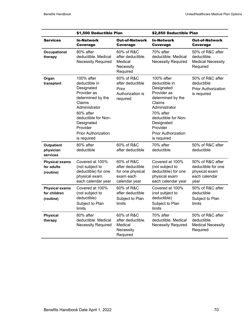|                                                    | \$1,500 Deductible Plan                                                                                                                                                                                             |                                                                                  | \$2,850 Deductible Plan                                                                                                                                                                                             |                                                                                  |
|----------------------------------------------------|---------------------------------------------------------------------------------------------------------------------------------------------------------------------------------------------------------------------|----------------------------------------------------------------------------------|---------------------------------------------------------------------------------------------------------------------------------------------------------------------------------------------------------------------|----------------------------------------------------------------------------------|
| <b>Services</b>                                    | <b>In-Network</b><br>Coverage                                                                                                                                                                                       | <b>Out-of-Network</b><br>Coverage                                                | <b>In-Network</b><br>Coverage                                                                                                                                                                                       | <b>Out-of-Network</b><br>Coverage                                                |
| Occupational<br>therapy                            | 80% after<br>deductible. Medical<br><b>Necessity Required</b>                                                                                                                                                       | 60% of R&C<br>after deductible.<br>Medical<br>Necessity<br>Required              | 70% after<br>deductible. Medical<br><b>Necessity Required</b>                                                                                                                                                       | 50% of R&C after<br>deductible.<br><b>Medical Necessity</b><br>Required          |
| Organ<br>transplant                                | 100% after<br>deductible in<br>Designated<br>Provider as<br>determined by the<br>Claims<br>Administrator<br>80% after<br>deductible for Non-<br>Designated<br>Provider<br><b>Prior Authorization</b><br>is required | 60% of R&C<br>after deductible<br>Prior<br>Authorization is<br>required          | 100% after<br>deductible in<br>Designated<br>Provider as<br>determined by the<br>Claims<br>Administrator<br>70% after<br>deductible for Non-<br>Designated<br>Provider<br><b>Prior Authorization</b><br>is required | 50% of R&C after<br>deductible<br><b>Prior Authorization</b><br>is required      |
| <b>Outpatient</b><br>physician<br>services         | 80% after<br>deductible                                                                                                                                                                                             | 60% of R&C<br>after deductible                                                   | 70% after<br>deductible                                                                                                                                                                                             | 50% of R&C after<br>deductible                                                   |
| <b>Physical exams</b><br>for adults<br>(routine)   | Covered at 100%<br>(not subject to<br>deductible) for one<br>physical exam<br>each calendar year                                                                                                                    | 60% of R&C<br>after deductible<br>for one physical<br>exam each<br>calendar year | Covered at 100%<br>(not subject to<br>deductible) for one<br>physical exam<br>each calendar year                                                                                                                    | 50% of R&C after<br>deductible for one<br>physical exam<br>each calendar<br>year |
| <b>Physical exams</b><br>for children<br>(routine) | Covered at 100%<br>(not subject to<br>deductible)<br>Subject to Plan<br>limits                                                                                                                                      | 60% of R&C<br>after deductible<br>Subject to Plan<br>limits                      | Covered at 100%<br>(not subject to<br>deductible)<br>Subject to Plan<br>limits                                                                                                                                      | 50% of R&C after<br>deductible<br>Subject to Plan<br>limits                      |
| <b>Physical</b><br>therapy                         | 80% after<br>deductible. Medical<br><b>Necessity Required</b>                                                                                                                                                       | 60% of R&C<br>after deductible.<br>Medical<br>Necessity<br>Required              | 70% after<br>deductible. Medical<br><b>Necessity Required</b>                                                                                                                                                       | 50% of R&C after<br>deductible.<br><b>Medical Necessity</b><br>Required          |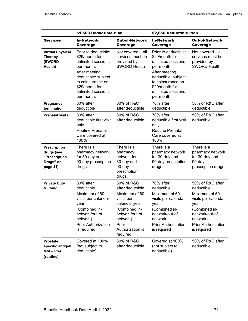| <b>Services</b>                                                             | \$1,500 Deductible Plan                                                                                                                                                                       |                                                                                                                                                                         | \$2,850 Deductible Plan                                                                                                                                                                       |                                                                                                                                                                             |
|-----------------------------------------------------------------------------|-----------------------------------------------------------------------------------------------------------------------------------------------------------------------------------------------|-------------------------------------------------------------------------------------------------------------------------------------------------------------------------|-----------------------------------------------------------------------------------------------------------------------------------------------------------------------------------------------|-----------------------------------------------------------------------------------------------------------------------------------------------------------------------------|
|                                                                             | <b>In-Network</b><br>Coverage                                                                                                                                                                 | <b>Out-of-Network</b><br>Coverage                                                                                                                                       | <b>In-Network</b><br>Coverage                                                                                                                                                                 | <b>Out-of-Network</b><br>Coverage                                                                                                                                           |
| <b>Virtual Physical</b><br><b>Therapy</b><br>(SWORD<br>Health)              | Prior to deductible:<br>\$29/month for<br>unlimited sessions<br>per month.<br>After meeting<br>deductible: subject<br>to coinsurance on<br>\$29/month for<br>unlimited sessions<br>per month. | Not covered - all<br>services must be<br>provided by<br><b>SWORD Health</b>                                                                                             | Prior to deductible:<br>\$29/month for<br>unlimited sessions<br>per month.<br>After meeting<br>deductible: subject<br>to coinsurance on<br>\$29/month for<br>unlimited sessions<br>per month. | Not covered - all<br>services must be<br>provided by<br><b>SWORD Health</b>                                                                                                 |
| Pregnancy<br>termination                                                    | 80% after<br>deductible                                                                                                                                                                       | 60% of R&C<br>after deductible                                                                                                                                          | 70% after<br>deductible                                                                                                                                                                       | 50% of R&C after<br>deductible                                                                                                                                              |
| <b>Prenatal visits</b>                                                      | 80% after<br>deductible first visit<br>only<br><b>Routine Prenatal</b><br>Care covered at<br>100%                                                                                             | 60% of R&C<br>after deductible                                                                                                                                          | 70% after<br>deductible first visit<br>only<br><b>Routine Prenatal</b><br>Care covered at<br>100%                                                                                             | 50% of R&C after<br>deductible                                                                                                                                              |
| <b>Prescription</b><br>drugs (see<br>"Prescription<br>Drugs" on<br>page 41) | There is a<br>pharmacy network<br>for 30-day and<br>90-day prescription<br>drugs.                                                                                                             | There is a<br>pharmacy<br>network for<br>30-day and<br>90-day<br>prescription<br>drugs.                                                                                 | There is a<br>pharmacy network<br>for 30-day and<br>90-day prescription<br>drugs.                                                                                                             | There is a<br>pharmacy network<br>for 30-day and<br>90-day<br>prescription drugs.                                                                                           |
| <b>Private Duty</b><br><b>Nursing</b>                                       | 80% after<br>deductible<br>Maximum of 60<br>visits per calendar<br>year<br>(Combined in-<br>network/out-of-<br>network)<br><b>Prior Authorization</b><br>is required                          | 60% of R&C<br>after deductible<br>Maximum of 60<br>visits per<br>calendar year<br>(Combined in-<br>network/out-of-<br>network)<br>Prior<br>Authorization is<br>required | 70% after<br>deductible<br>Maximum of 60<br>visits per calendar<br>year<br>(Combined in-<br>network/out-of-<br>network)<br><b>Prior Authorization</b><br>is required                          | 50% of R&C after<br>deductible<br>Maximum of 60<br>visits per calendar<br>year<br>(Combined in-<br>network/out-of-<br>network)<br><b>Prior Authorization</b><br>is required |
| <b>Prostate</b><br>specific antigen<br>test-PSA<br>(routine)                | Covered at 100%<br>(not subject to<br>deductible)                                                                                                                                             | 60% of R&C<br>after deductible                                                                                                                                          | Covered at 100%<br>(not subject to<br>deductible)                                                                                                                                             | 50% of R&C after<br>deductible                                                                                                                                              |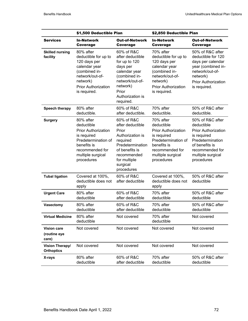|                                             | \$1,500 Deductible Plan                                                                                                                                          |                                                                                                                                                                        | \$2,850 Deductible Plan                                                                                                                                          |                                                                                                                                                                         |
|---------------------------------------------|------------------------------------------------------------------------------------------------------------------------------------------------------------------|------------------------------------------------------------------------------------------------------------------------------------------------------------------------|------------------------------------------------------------------------------------------------------------------------------------------------------------------|-------------------------------------------------------------------------------------------------------------------------------------------------------------------------|
| <b>Services</b>                             | <b>In-Network</b><br>Coverage                                                                                                                                    | <b>Out-of-Network</b><br>Coverage                                                                                                                                      | <b>In-Network</b><br><b>Coverage</b>                                                                                                                             | <b>Out-of-Network</b><br>Coverage                                                                                                                                       |
| <b>Skilled nursing</b><br>facility          | 80% after<br>deductible for up to<br>120 days per<br>calendar year<br>(combined in-<br>network/out-of-<br>network)<br><b>Prior Authorization</b><br>is required. | 60% of R&C<br>after deductible<br>for up to 120<br>days per<br>calendar year<br>(combined in-<br>network/out-of-<br>network)<br>Prior<br>Authorization is<br>required. | 70% after<br>deductible for up to<br>120 days per<br>calendar year<br>(combined in-<br>network/out-of-<br>network)<br><b>Prior Authorization</b><br>is required. | 50% of R&C after<br>deductible for 120<br>days per calendar<br>year (combined in-<br>network/out-of-<br>network)<br><b>Prior Authorization</b><br>is required.          |
| Speech therapy                              | 80% after<br>deductible.                                                                                                                                         | 60% of R&C<br>after deductible.                                                                                                                                        | 70% after<br>deductible.                                                                                                                                         | 50% of R&C after<br>deductible.                                                                                                                                         |
| <b>Surgery</b>                              | 80% after<br>deductible<br><b>Prior Authorization</b><br>is required<br>Predetermination of<br>benefits is<br>recommended for<br>multiple surgical<br>procedures | 60% of R&C<br>after deductible<br>Prior<br>Authorization is<br>required<br>Predetermination<br>of benefits is<br>recommended<br>for multiple<br>surgical<br>procedures | 70% after<br>deductible<br><b>Prior Authorization</b><br>is required<br>Predetermination of<br>benefits is<br>recommended for<br>multiple surgical<br>procedures | 50% of R&C after<br>deductible<br><b>Prior Authorization</b><br>is required<br>Predetermination<br>of benefits is<br>recommended for<br>multiple surgical<br>procedures |
| <b>Tubal ligation</b>                       | Covered at 100%,<br>deductible does not<br>apply                                                                                                                 | 60% of R&C<br>after deductible                                                                                                                                         | Covered at 100%,<br>deductible does not<br>apply                                                                                                                 | 50% of R&C after<br>deductible                                                                                                                                          |
| <b>Urgent Care</b>                          | 80% after<br>deductible                                                                                                                                          | 60% of R&C<br>after deductible                                                                                                                                         | 70% after<br>deductible                                                                                                                                          | 50% of R&C after<br>deductible                                                                                                                                          |
| <b>Vasectomy</b>                            | 80% after<br>deductible                                                                                                                                          | 60% of R&C<br>after deductible                                                                                                                                         | 70% after<br>deductible                                                                                                                                          | 50% of R&C after<br>deductible                                                                                                                                          |
| <b>Virtual Medicine</b>                     | 80% after<br>deductible                                                                                                                                          | Not covered                                                                                                                                                            | 70% after<br>deductible                                                                                                                                          | Not covered                                                                                                                                                             |
| <b>Vision care</b><br>(routine eye<br>care) | Not covered                                                                                                                                                      | Not covered                                                                                                                                                            | Not covered                                                                                                                                                      | Not covered                                                                                                                                                             |
| Vision Therapy/<br><b>Orthoptics</b>        | Not covered                                                                                                                                                      | Not covered                                                                                                                                                            | Not covered                                                                                                                                                      | Not covered                                                                                                                                                             |
| X-rays                                      | 80% after<br>deductible                                                                                                                                          | 60% of R&C<br>after deductible                                                                                                                                         | 70% after<br>deductible                                                                                                                                          | 50% of R&C after<br>deductible                                                                                                                                          |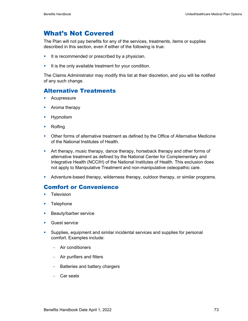# What's Not Covered

The Plan will not pay benefits for any of the services, treatments, items or supplies described in this section, even if either of the following is true:

- It is recommended or prescribed by a physician.
- It is the only available treatment for your condition.

The Claims Administrator may modify this list at their discretion, and you will be notified of any such change.

### Alternative Treatments

- **Acupressure**
- **•** Aroma therapy
- **Hypnotism**
- **Rolfing**
- Other forms of alternative treatment as defined by the Office of Alternative Medicine of the National Institutes of Health.
- Art therapy, music therapy, dance therapy, horseback therapy and other forms of alternative treatment as defined by the National Center for Complementary and Integrative Health (NCCIH) of the National Institutes of Health. This exclusion does not apply to Manipulative Treatment and non-manipulative osteopathic care.
- Adventure-based therapy, wilderness therapy, outdoor therapy, or similar programs.

### Comfort or Convenience

- **Television**
- **Telephone**
- **Beauty/barber service**
- Guest service
- Supplies, equipment and similar incidental services and supplies for personal comfort. Examples include:
	- − Air conditioners
	- − Air purifiers and filters
	- − Batteries and battery chargers
	- − Car seats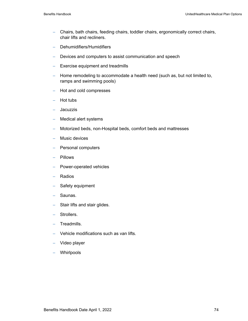- − Chairs, bath chairs, feeding chairs, toddler chairs, ergonomically correct chairs, chair lifts and recliners.
- − Dehumidifiers/Humidifiers
- − Devices and computers to assist communication and speech
- − Exercise equipment and treadmills
- − Home remodeling to accommodate a health need (such as, but not limited to, ramps and swimming pools)
- − Hot and cold compresses
- − Hot tubs
- − Jacuzzis
- − Medical alert systems
- − Motorized beds, non-Hospital beds, comfort beds and mattresses
- − Music devices
- − Personal computers
- − Pillows
- − Power-operated vehicles
- − Radios
- − Safety equipment
- − Saunas.
- − Stair lifts and stair glides.
- Strollers.
- − Treadmills.
- − Vehicle modifications such as van lifts.
- − Video player
- − Whirlpools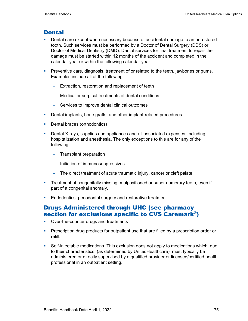### **Dental**

- **Dental care except when necessary because of accidental damage to an unrestored** tooth. Such services must be performed by a Doctor of Dental Surgery (DDS) or Doctor of Medical Dentistry (DMD). Dental services for final treatment to repair the damage must be started within 12 months of the accident and completed in the calendar year or within the following calendar year.
- **Preventive care, diagnosis, treatment of or related to the teeth, jawbones or gums.** Examples include all of the following:
	- − Extraction, restoration and replacement of teeth
	- − Medical or surgical treatments of dental conditions
	- − Services to improve dental clinical outcomes
- **Dental implants, bone grafts, and other implant-related procedures**
- Dental braces (orthodontics)
- **Dental X-rays, supplies and appliances and all associated expenses, including** hospitalization and anesthesia. The only exceptions to this are for any of the following:
	- − Transplant preparation
	- − Initiation of immunosuppressives
	- − The direct treatment of acute traumatic injury, cancer or cleft palate
- **Treatment of congenitally missing, malpositioned or super numerary teeth, even if** part of a congenital anomaly.
- **Endodontics, periodontal surgery and restorative treatment.**

### Drugs Administered through UHC (see pharmacy section for exclusions specific to CVS Caremark®)

- Over-the-counter drugs and treatments
- **Prescription drug products for outpatient use that are filled by a prescription order or** refill.
- Self-injectable medications. This exclusion does not apply to medications which, due to their characteristics, (as determined by UnitedHealthcare), must typically be administered or directly supervised by a qualified provider or licensed/certified health professional in an outpatient setting.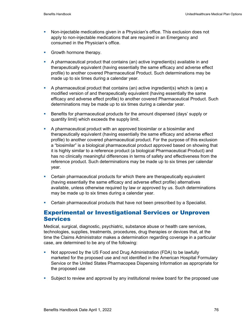- Non-injectable medications given in a Physician's office. This exclusion does not apply to non-injectable medications that are required in an Emergency and consumed in the Physician's office.
- Growth hormone therapy.
- A pharmaceutical product that contains (an) active ingredient(s) available in and therapeutically equivalent (having essentially the same efficacy and adverse effect profile) to another covered Pharmaceutical Product. Such determinations may be made up to six times during a calendar year.
- A pharmaceutical product that contains (an) active ingredient(s) which is (are) a modified version of and therapeutically equivalent (having essentially the same efficacy and adverse effect profile) to another covered Pharmaceutical Product. Such determinations may be made up to six times during a calendar year.
- **Benefits for pharmaceutical products for the amount dispensed (days' supply or** quantity limit) which exceeds the supply limit.
- A pharmaceutical product with an approved biosimilar or a biosimilar and therapeutically equivalent (having essentially the same efficacy and adverse effect profile) to another covered pharmaceutical product. For the purpose of this exclusion a "biosimilar" is a biological pharmaceutical product approved based on showing that it is highly similar to a reference product (a biological Pharmaceutical Product) and has no clinically meaningful differences in terms of safety and effectiveness from the reference product. Such determinations may be made up to six times per calendar year.
- Certain pharmaceutical products for which there are therapeutically equivalent (having essentially the same efficacy and adverse effect profile) alternatives available, unless otherwise required by law or approved by us. Such determinations may be made up to six times during a calendar year.
- **Certain pharmaceutical products that have not been prescribed by a Specialist.**

### Experimental or Investigational Services or Unproven Services

Medical, surgical, diagnostic, psychiatric, substance abuse or health care services, technologies, supplies, treatments, procedures, drug therapies or devices that, at the time the Claims Administrator makes a determination regarding coverage in a particular case, are determined to be any of the following:

- Not approved by the US Food and Drug Administration (FDA) to be lawfully marketed for the proposed use and not identified in the American Hospital Formulary Service or the United States Pharmacopea Dispensing Information as appropriate for the proposed use
- Subject to review and approval by any institutional review board for the proposed use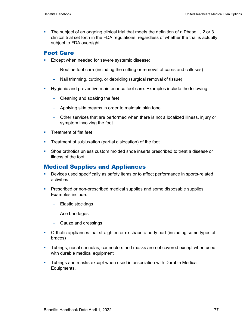The subject of an ongoing clinical trial that meets the definition of a Phase 1, 2 or 3 clinical trial set forth in the FDA regulations, regardless of whether the trial is actually subject to FDA oversight.

## Foot Care

- **Except when needed for severe systemic disease:** 
	- − Routine foot care (including the cutting or removal of corns and calluses)
	- − Nail trimming, cutting, or debriding (surgical removal of tissue)
- Hygienic and preventive maintenance foot care. Examples include the following:
	- − Cleaning and soaking the feet
	- − Applying skin creams in order to maintain skin tone
	- − Other services that are performed when there is not a localized illness, injury or symptom involving the foot
- **Treatment of flat feet**
- **Treatment of subluxation (partial dislocation) of the foot**
- Shoe orthotics unless custom molded shoe inserts prescribed to treat a disease or illness of the foot

## Medical Supplies and Appliances

- Devices used specifically as safety items or to affect performance in sports-related activities
- **Prescribed or non-prescribed medical supplies and some disposable supplies.** Examples include:
	- − Elastic stockings
	- − Ace bandages
	- − Gauze and dressings
- Orthotic appliances that straighten or re-shape a body part (including some types of braces)
- Tubings, nasal cannulas, connectors and masks are not covered except when used with durable medical equipment
- Tubings and masks except when used in association with Durable Medical Equipments.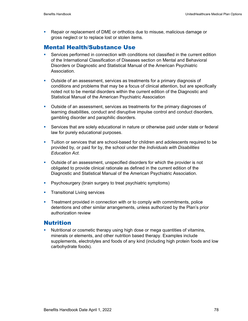Repair or replacement of DME or orthotics due to misuse, malicious damage or gross neglect or to replace lost or stolen items.

## Mental Health/Substance Use

- Services performed in connection with conditions not classified in the current edition of the International Classification of Diseases section on Mental and Behavioral Disorders or Diagnostic and Statistical Manual of the American Psychiatric Association.
- Outside of an assessment, services as treatments for a primary diagnosis of conditions and problems that may be a focus of clinical attention, but are specifically noted not to be mental disorders within the current edition of the Diagnostic and Statistical Manual of the American Psychiatric Association
- **•** Outside of an assessment, services as treatments for the primary diagnoses of learning disabilities, conduct and disruptive impulse control and conduct disorders, gambling disorder and paraphilic disorders.
- **Services that are solely educational in nature or otherwise paid under state or federal** law for purely educational purposes.
- Tuition or services that are school-based for children and adolescents required to be provided by, or paid for by, the school under the *Individuals with Disabilities Education Act.*
- Outside of an assessment, unspecified disorders for which the provider is not obligated to provide clinical rationale as defined in the current edition of the Diagnostic and Statistical Manual of the American Psychiatric Association.
- **P** Psychosurgery (brain surgery to treat psychiatric symptoms)
- **Transitional Living services**
- **Treatment provided in connection with or to comply with commitments, police** detentions and other similar arrangements, unless authorized by the Plan's prior authorization review

### Nutrition

 Nutritional or cosmetic therapy using high dose or mega quantities of vitamins, minerals or elements, and other nutrition based therapy. Examples include supplements, electrolytes and foods of any kind (including high protein foods and low carbohydrate foods).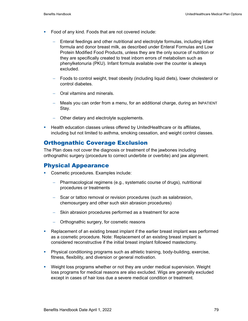- **Food of any kind. Foods that are not covered include:** 
	- Enteral feedings and other nutritional and electrolyte formulas, including infant formula and donor breast milk, as described under Enteral Formulas and Low Protein Modified Food Products, unless they are the only source of nutrition or they are specifically created to treat inborn errors of metabolism such as phenylketonuria (PKU). Infant formula available over the counter is always excluded.
	- − Foods to control weight, treat obesity (including liquid diets), lower cholesterol or control diabetes.
	- − Oral vitamins and minerals.
	- − Meals you can order from a menu, for an additional charge, during an INPATIENT Stay.
	- − Other dietary and electrolyte supplements.
- **Health education classes unless offered by UnitedHealthcare or its affiliates,** including but not limited to asthma, smoking cessation, and weight control classes.

### Orthognathic Coverage Exclusion

The Plan does not cover the diagnosis or treatment of the jawbones including orthognathic surgery (procedure to correct underbite or overbite) and jaw alignment.

### Physical Appearance

- **Cosmetic procedures. Examples include:** 
	- − Pharmacological regimens (e.g., systematic course of drugs), nutritional procedures or treatments
	- − Scar or tattoo removal or revision procedures (such as salabrasion, chemosurgery and other such skin abrasion procedures)
	- − Skin abrasion procedures performed as a treatment for acne
	- − Orthognathic surgery, for cosmetic reasons
- **•** Replacement of an existing breast implant if the earlier breast implant was performed as a cosmetic procedure. Note: Replacement of an existing breast implant is considered reconstructive if the initial breast implant followed mastectomy.
- Physical conditioning programs such as athletic training, body-building, exercise, fitness, flexibility, and diversion or general motivation.
- Weight loss programs whether or not they are under medical supervision. Weight loss programs for medical reasons are also excluded. Wigs are generally excluded except in cases of hair loss due a severe medical condition or treatment.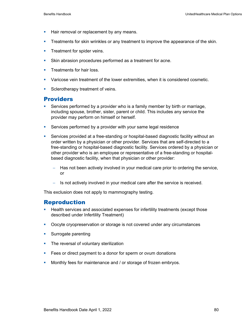- **Hair removal or replacement by any means.**
- **Treatments for skin wrinkles or any treatment to improve the appearance of the skin.**
- **Treatment for spider veins.**
- Skin abrasion procedures performed as a treatment for acne.
- **Treatments for hair loss.**
- Varicose vein treatment of the lower extremities, when it is considered cosmetic.
- Sclerotherapy treatment of veins.

### Providers

- Services performed by a provider who is a family member by birth or marriage, including spouse, brother, sister, parent or child. This includes any service the provider may perform on himself or herself.
- **Services performed by a provider with your same legal residence**
- Services provided at a free-standing or hospital-based diagnostic facility without an order written by a physician or other provider. Services that are self-directed to a free-standing or hospital-based diagnostic facility. Services ordered by a physician or other provider who is an employee or representative of a free-standing or hospitalbased diagnostic facility, when that physician or other provider:
	- − Has not been actively involved in your medical care prior to ordering the service, or
	- − Is not actively involved in your medical care after the service is received.

This exclusion does not apply to mammography testing.

### Reproduction

- **Health services and associated expenses for infertility treatments (except those** described under Infertility Treatment)
- **Docyte cryopreservation or storage is not covered under any circumstances**
- **Surrogate parenting**
- The reversal of voluntary sterilization
- **Fees or direct payment to a donor for sperm or ovum donations**
- **Monthly fees for maintenance and / or storage of frozen embryos.**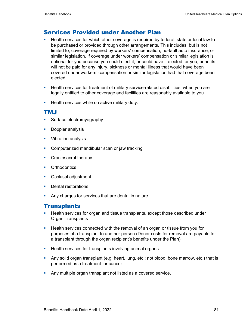### Services Provided under Another Plan

- **Health services for which other coverage is required by federal, state or local law to** be purchased or provided through other arrangements. This includes, but is not limited to, coverage required by workers' compensation, no-fault auto insurance, or similar legislation. If coverage under workers' compensation or similar legislation is optional for you because you could elect it, or could have it elected for you, benefits will not be paid for any injury, sickness or mental illness that would have been covered under workers' compensation or similar legislation had that coverage been elected
- **Health services for treatment of military service-related disabilities, when you are** legally entitled to other coverage and facilities are reasonably available to you
- **Health services while on active military duty.**

### TMJ

- **Surface electromyography**
- **Doppler analysis**
- **•** Vibration analysis
- Computerized mandibular scan or jaw tracking
- Craniosacral therapy
- **•** Orthodontics
- **•** Occlusal adjustment
- **Dental restorations**
- **Any charges for services that are dental in nature.**

### **Transplants**

- **Health services for organ and tissue transplants, except those described under** Organ Transplants
- **Health services connected with the removal of an organ or tissue from you for** purposes of a transplant to another person (Donor costs for removal are payable for a transplant through the organ recipient's benefits under the Plan)
- **Health services for transplants involving animal organs**
- Any solid organ transplant (e.g. heart, lung, etc.; not blood, bone marrow, etc.) that is performed as a treatment for cancer
- **Any multiple organ transplant not listed as a covered service.**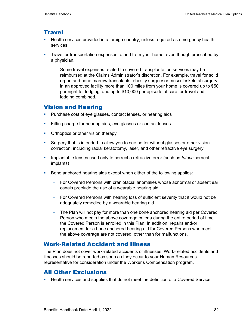### **Travel**

- **Health services provided in a foreign country, unless required as emergency health** services
- Travel or transportation expenses to and from your home, even though prescribed by a physician.
	- Some travel expenses related to covered transplantation services may be reimbursed at the Claims Administrator's discretion. For example, travel for solid organ and bone marrow transplants, obesity surgery or musculoskeletal surgery in an approved facility more than 100 miles from your home is covered up to \$50 per night for lodging, and up to \$10,000 per episode of care for travel and lodging combined.

### Vision and Hearing

- **Purchase cost of eye glasses, contact lenses, or hearing aids**
- Fitting charge for hearing aids, eye glasses or contact lenses
- Orthoptics or other vision therapy
- Surgery that is intended to allow you to see better without glasses or other vision correction, including radial keratotomy, laser, and other refractive eye surgery.
- **IMPLATE 19 Implantable lenses used only to correct a refractive error (such as** *Intacs* **corneal** implants)
- Bone anchored hearing aids except when either of the following applies:
	- − For Covered Persons with craniofacial anomalies whose abnormal or absent ear canals preclude the use of a wearable hearing aid.
	- − For Covered Persons with hearing loss of sufficient severity that it would not be adequately remedied by a wearable hearing aid.
	- − The Plan will not pay for more than one bone anchored hearing aid per Covered Person who meets the above coverage criteria during the entire period of time the Covered Person is enrolled in this Plan. In addition, repairs and/or replacement for a bone anchored hearing aid for Covered Persons who meet the above coverage are not covered, other than for malfunctions.

### Work-Related Accident and Illness

The Plan does not cover work-related accidents or illnesses. Work-related accidents and illnesses should be reported as soon as they occur to your Human Resources representative for consideration under the Worker's Compensation program.

### All Other Exclusions

**Health services and supplies that do not meet the definition of a Covered Service**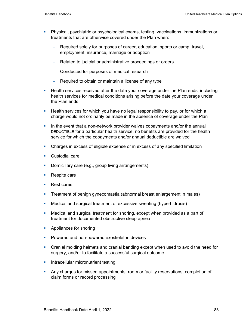- Physical, psychiatric or psychological exams, testing, vaccinations, immunizations or treatments that are otherwise covered under the Plan when:
	- − Required solely for purposes of career, education, sports or camp, travel, employment, insurance, marriage or adoption
	- − Related to judicial or administrative proceedings or orders
	- − Conducted for purposes of medical research
	- − Required to obtain or maintain a license of any type
- **Health services received after the date your coverage under the Plan ends, including** health services for medical conditions arising before the date your coverage under the Plan ends
- Health services for which you have no legal responsibility to pay, or for which a charge would not ordinarily be made in the absence of coverage under the Plan
- In the event that a non-network provider waives copayments and/or the annual DEDUCTIBLE for a particular health service, no benefits are provided for the health service for which the copayments and/or annual deductible are waived
- Charges in excess of eligible expense or in excess of any specified limitation
- **Custodial care**
- Domiciliary care (e.g., group living arrangements)
- Respite care
- Rest cures
- Treatment of benign gynecomastia (abnormal breast enlargement in males)
- Medical and surgical treatment of excessive sweating (hyperhidrosis)
- Medical and surgical treatment for snoring, except when provided as a part of treatment for documented obstructive sleep apnea
- **Appliances for snoring**
- **Powered and non-powered exoskeleton devices**
- **•** Cranial molding helmets and cranial banding except when used to avoid the need for surgery, and/or to facilitate a successful surgical outcome
- **Intracellular micronutrient testing**
- **Any charges for missed appointments, room or facility reservations, completion of** claim forms or record processing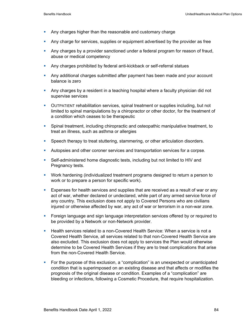- **Any charges higher than the reasonable and customary charge**
- Any charge for services, supplies or equipment advertised by the provider as free
- **Any charges by a provider sanctioned under a federal program for reason of fraud,** abuse or medical competency
- Any charges prohibited by federal anti-kickback or self-referral statues
- **Any additional charges submitted after payment has been made and your account** balance is zero
- Any charges by a resident in a teaching hospital where a faculty physician did not supervise services
- OUTPATIENT rehabilitation services, spinal treatment or supplies including, but not limited to spinal manipulations by a chiropractor or other doctor, for the treatment of a condition which ceases to be therapeutic
- Spinal treatment, including chiropractic and osteopathic manipulative treatment, to treat an illness, such as asthma or allergies
- **Speech therapy to treat stuttering, stammering, or other articulation disorders.**
- Autopsies and other coroner services and transportation services for a corpse.
- Self-administered home diagnostic tests, including but not limited to HIV and Pregnancy tests.
- Work hardening (individualized treatment programs designed to return a person to work or to prepare a person for specific work).
- Expenses for health services and supplies that are received as a result of war or any act of war, whether declared or undeclared, while part of any armed service force of any country. This exclusion does not apply to Covered Persons who are civilians injured or otherwise affected by war, any act of war or terrorism in a non-war zone.
- **Foreign language and sign language interpretation services offered by or required to** be provided by a Network or non-Network provider.
- Health services related to a non-Covered Health Service: When a service is not a Covered Health Service, all services related to that non-Covered Health Service are also excluded. This exclusion does not apply to services the Plan would otherwise determine to be Covered Health Services if they are to treat complications that arise from the non-Covered Health Service.
- For the purpose of this exclusion, a "complication" is an unexpected or unanticipated condition that is superimposed on an existing disease and that affects or modifies the prognosis of the original disease or condition. Examples of a "complication" are bleeding or infections, following a Cosmetic Procedure, that require hospitalization.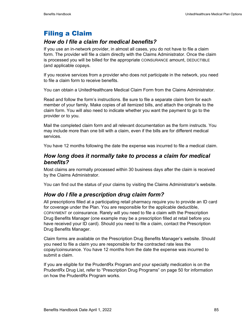# Filing a Claim

## *How do I file a claim for medical benefits?*

If you use an in-network provider, in almost all cases, you do not have to file a claim form. The provider will file a claim directly with the Claims Administrator. Once the claim is processed you will be billed for the appropriate COINSURANCE amount, DEDUCTIBLE (and applicable copays.

If you receive services from a provider who does not participate in the network, you need to file a claim form to receive benefits.

You can obtain a UnitedHealthcare Medical Claim Form from the Claims Administrator.

Read and follow the form's instructions. Be sure to file a separate claim form for each member of your family. Make copies of all itemized bills, and attach the originals to the claim form. You will also need to indicate whether you want the payment to go to the provider or to you.

Mail the completed claim form and all relevant documentation as the form instructs. You may include more than one bill with a claim, even if the bills are for different medical services.

You have 12 months following the date the expense was incurred to file a medical claim.

### *How long does it normally take to process a claim for medical benefits?*

Most claims are normally processed within 30 business days after the claim is received by the Claims Administrator.

You can find out the status of your claims by visiting the Claims Administrator's website.

## *How do I file a prescription drug claim form?*

All prescriptions filled at a participating retail pharmacy require you to provide an ID card for coverage under the Plan. You are responsible for the applicable deductible, COPAYMENT or coinsurance. Rarely will you need to file a claim with the Prescription Drug Benefits Manager (one example may be a prescription filled at retail before you have received your ID card). Should you need to file a claim, contact the Prescription Drug Benefits Manager.

Claim forms are available on the Prescription Drug Benefits Manager's website. Should you need to file a claim you are responsible for the contracted rate less the copay/coinsurance. You have 12 months from the date the expense was incurred to submit a claim.

If you are eligible for the PrudentRx Program and your specialty medication is on the PrudentRx Drug List, refer to "Prescription Drug Programs" on page 50 for information on how the PrudentRx Program works.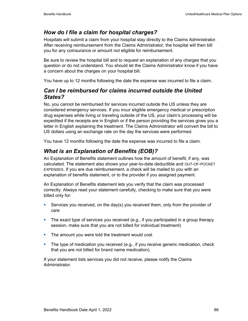# *How do I file a claim for hospital charges?*

Hospitals will submit a claim from your hospital stay directly to the Claims Administrator. After receiving reimbursement from the Claims Administrator, the hospital will then bill you for any coinsurance or amount not eligible for reimbursement.

Be sure to review the hospital bill and to request an explanation of any charges that you question or do not understand. You should let the Claims Administrator know if you have a concern about the charges on your hospital bill.

You have up to 12 months following the date the expense was incurred to file a claim.

## *Can I be reimbursed for claims incurred outside the United States?*

No, you cannot be reimbursed for services incurred outside the US unless they are considered emergency services. If you incur eligible emergency medical or prescription drug expenses while living or traveling outside of the US, your claim's processing will be expedited if the receipts are in English or if the person providing the services gives you a letter in English explaining the treatment. The Claims Administrator will convert the bill to US dollars using an exchange rate on the day the services were performed.

You have 12 months following the date the expense was incurred to file a claim.

# *What is an Explanation of Benefits (EOB)?*

An Explanation of Benefits statement outlines how the amount of benefit, if any, was calculated. The statement also shows your year-to-date deductible and OUT-OF-POCKET EXPENSES. If you are due reimbursement, a check will be mailed to you with an explanation of benefits statement, or to the provider if you assigned payment.

An Explanation of Benefits statement lets you verify that the claim was processed correctly. Always read your statement carefully, checking to make sure that you were billed only for:

- Services you received, on the day(s) you received them, only from the provider of care
- The exact type of services you received (e.g., if you participated in a group therapy session, make sure that you are not billed for individual treatment)
- The amount you were told the treatment would cost
- **The type of medication you received (e.g., if you receive generic medication, check** that you are not billed for brand name medication).

If your statement lists services you did not receive, please notify the Claims Administrator.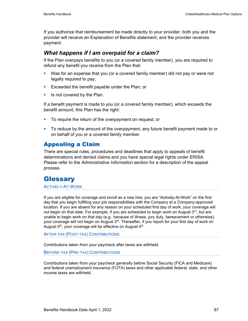If you authorize that reimbursement be made directly to your provider, both you and the provider will receive an Explanation of Benefits statement, and the provider receives payment.

### *What happens if I am overpaid for a claim?*

If the Plan overpays benefits to you (or a covered family member), you are required to refund any benefit you receive from the Plan that:

- Was for an expense that you (or a covered family member) did not pay or were not legally required to pay;
- **Exceeded the benefit payable under the Plan; or**
- $\blacksquare$  Is not covered by the Plan.

If a benefit payment is made to you (or a covered family member), which exceeds the benefit amount, this Plan has the right:

- To require the return of the overpayment on request; or
- To reduce by the amount of the overpayment, any future benefit payment made to or on behalf of you or a covered family member.

## Appealing a Claim

There are special rules, procedures and deadlines that apply to appeals of benefit determinations and denied claims and you have special legal rights under ERISA. Please refer to the *Administrative Information* section for a description of the appeal process.

# **Glossary**

ACTIVELY-AT-WORK

If you are eligible for coverage and enroll as a new hire, you are "Actively-At-Work" on the first day that you begin fulfilling your job responsibilities with the Company at a Company-approved location. If you are absent for any reason on your scheduled first day of work, your coverage will not begin on that date. For example, if you are scheduled to begin work on August  $3<sup>rd</sup>$ , but are unable to begin work on that day (e.g., because of illness, jury duty, bereavement or otherwise), your coverage will not begin on August  $3<sup>rd</sup>$ . Thereafter, if you report for your first day of work on August  $4<sup>th</sup>$ , your coverage will be effective on August  $4<sup>th</sup>$ .

AFTER-TAX (POST-TAX) CONTRIBUTIONS

Contributions taken from your paycheck after taxes are withheld.

BEFORE-TAX (PRE-TAX) CONTRIBUTIONS

Contributions taken from your paycheck generally before Social Security (FICA and Medicare) and federal unemployment insurance (FUTA) taxes and other applicable federal, state, and other income taxes are withheld.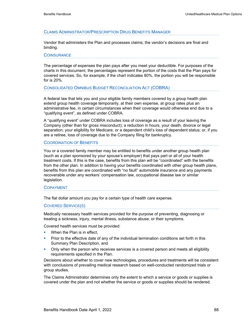#### CLAIMS ADMINISTRATOR/PRESCRIPTION DRUG BENEFITS MANAGER

Vendor that administers the Plan and processes claims; the vendor's decisions are final and binding.

#### **COINSURANCE**

The percentage of expenses the plan pays after you meet your deductible. For purposes of the charts in this document, the percentages represent the portion of the costs that the Plan pays for covered services. So, for example, if the chart indicates 80%, the portion you will be responsible for is 20%.

CONSOLIDATED OMNIBUS BUDGET RECONCILIATION ACT (COBRA)

A federal law that lets you and your eligible family members covered by a group health plan extend group health coverage temporarily, at their own expense, at group rates plus an administrative fee, in certain circumstances when their coverage would otherwise end due to a "qualifying event", as defined under COBRA.

A "qualifying event" under COBRA includes loss of coverage as a result of your leaving the Company (other than for gross misconduct); a reduction in hours, your death, divorce or legal separation; your eligibility for Medicare, or a dependent child's loss of dependent status; or, if you are a retiree, loss of coverage due to the Company filing for bankruptcy.

#### COORDINATION OF BENEFITS

You or a covered family member may be entitled to benefits under another group health plan (such as a plan sponsored by your spouse's employer) that pays part or all of your health treatment costs. If this is the case, benefits from this plan will be "coordinated" with the benefits from the other plan. In addition to having your benefits coordinated with other group health plans, benefits from this plan are coordinated with "no fault" automobile insurance and any payments recoverable under any workers' compensation law, occupational disease law or similar legislation.

#### COPAYMENT

The flat dollar amount you pay for a certain type of health care expense.

#### COVERED SERVICE(S)

Medically necessary health services provided for the purpose of preventing, diagnosing or treating a sickness, injury, mental illness, substance abuse, or their symptoms.

Covered health services must be provided:

- **When the Plan is in effect.**
- **Prior to the effective date of any of the individual termination conditions set forth in this** Summary Plan Description, and
- **•** Only when the person who receives services is a covered person and meets all eligibility requirements specified in the Plan.

Decisions about whether to cover new technologies, procedures and treatments will be consistent with conclusions of prevailing medical research based on well-conducted randomized trials or group studies.

The Claims Administrator determines only the extent to which a service or goods or supplies is covered under the plan and not whether the service or goods or supplies should be rendered.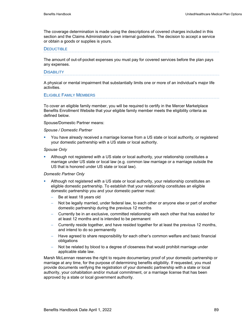The coverage determination is made using the descriptions of covered charges included in this section and the Claims Administrator's own internal guidelines. The decision to accept a service or obtain a goods or supplies is yours.

#### **DEDUCTIBLE**

The amount of out-of-pocket expenses you must pay for covered services before the plan pays any expenses.

#### **DISABILITY**

A physical or mental impairment that substantially limits one or more of an individual's major life activities.

#### ELIGIBLE FAMILY MEMBERS

To cover an eligible family member, you will be required to certify in the Mercer Marketplace Benefits Enrollment Website that your eligible family member meets the eligibility criteria as defined below.

Spouse/Domestic Partner means:

#### *Spouse / Domestic Partner*

 You have already received a marriage license from a US state or local authority, or registered your domestic partnership with a US state or local authority.

#### *Spouse Only*

 Although not registered with a US state or local authority, your relationship constitutes a marriage under US state or local law (e.g. common law marriage or a marriage outside the US that is honored under US state or local law).

#### *Domestic Partner Only*

- Although not registered with a US state or local authority, your relationship constitutes an eligible domestic partnership. To establish that your relationship constitutes an eligible domestic partnership you and your domestic partner must:
	- Be at least 18 years old
	- Not be legally married, under federal law, to each other or anyone else or part of another domestic partnership during the previous 12 months
	- − Currently be in an exclusive, committed relationship with each other that has existed for at least 12 months and is intended to be permanent
	- − Currently reside together, and have resided together for at least the previous 12 months, and intend to do so permanently
	- − Have agreed to share responsibility for each other's common welfare and basic financial obligations
	- Not be related by blood to a degree of closeness that would prohibit marriage under applicable state law.

Marsh McLennan reserves the right to require documentary proof of your domestic partnership or marriage at any time, for the purpose of determining benefits eligibility. If requested, you must provide documents verifying the registration of your domestic partnership with a state or local authority, your cohabitation and/or mutual commitment, or a marriage license that has been approved by a state or local government authority.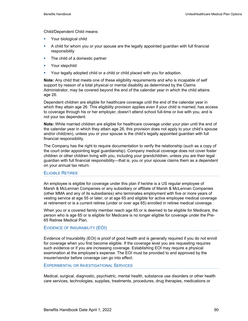Child/Dependent Child means:

- **Your biological child**
- A child for whom you or your spouse are the legally appointed guardian with full financial responsibility
- The child of a domestic partner
- **Your stepchild**
- Your legally adopted child or a child or child placed with you for adoption.

**Note:** Any child that meets one of these eligibility requirements and who is incapable of self support by reason of a total physical or mental disability as determined by the Claims Administrator, may be covered beyond the end of the calendar year in which the child attains age 26.

Dependent children are eligible for healthcare coverage until the end of the calendar year in which they attain age 26. This eligibility provision applies even if your child is married, has access to coverage through his or her employer, doesn't attend school full-time or live with you, and is not your tax dependent.

**Note:** While married children are eligible for healthcare coverage under your plan until the end of the calendar year in which they attain age 26, this provision does not apply to your child's spouse and/or child(ren), unless you or your spouse is the child's legally appointed guardian with full financial responsibility.

The Company has the right to require documentation to verify the relationship (such as a copy of the court order appointing legal guardianship). Company medical coverage does not cover foster children or other children living with you, including your grandchildren, unless you are their legal guardian with full financial responsibility—that is, you or your spouse claims them as a dependent on your annual tax return.

#### ELIGIBLE RETIREE

An employee is eligible for coverage under this plan if he/she is a US regular employee of Marsh & McLennan Companies or any subsidiary or affiliate of Marsh & McLennan Companies (other MMA and any of its subsidiaries) who terminates employment with five or more years of vesting service at age 55 or later, or at age 65 and eligible for active employee medical coverage at retirement or is a current retiree (under or over age 65) enrolled in retiree medical coverage.

When you or a covered family member reach age 65 or is deemed to be eligible for Medicare, the person who is age 65 or is eligible for Medicare is no longer eligible for coverage under the Pre-65 Retiree Medical Plan.

#### EVIDENCE OF INSURABILITY (EOI)

Evidence of Insurability (EOI) is proof of good health and is generally required if you do not enroll for coverage when you first become eligible. If the coverage level you are requesting requires such evidence or if you are increasing coverage. Establishing EOI may require a physical examination at the employee's expense. The EOI must be provided to and approved by the insurer/vendor before coverage can go into effect.

#### EXPERIMENTAL OR INVESTIGATIONAL SERVICES

Medical, surgical, diagnostic, psychiatric, mental health, substance use disorders or other health care services, technologies, supplies, treatments, procedures, drug therapies, medications or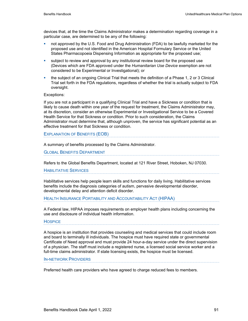devices that, at the time the Claims Administrator makes a determination regarding coverage in a particular case, are determined to be any of the following:

- not approved by the U.S. Food and Drug Administration (FDA) to be lawfully marketed for the proposed use and not identified in the American Hospital Formulary Service or the United States Pharmacopoeia Dispensing Information as appropriate for the proposed use;
- subject to review and approval by any institutional review board for the proposed use (Devices which are FDA approved under the *Humanitarian Use Device* exemption are not considered to be Experimental or Investigational); or
- the subject of an ongoing Clinical Trial that meets the definition of a Phase 1, 2 or 3 Clinical Trial set forth in the FDA regulations, regardless of whether the trial is actually subject to FDA oversight.

#### Exceptions:

If you are not a participant in a qualifying Clinical Trial and have a Sickness or condition that is likely to cause death within one year of the request for treatment, the Claims Administrator may, at its discretion, consider an otherwise Experimental or Investigational Service to be a Covered Health Service for that Sickness or condition. Prior to such consideration, the Claims Administrator must determine that, although unproven, the service has significant potential as an effective treatment for that Sickness or condition.

EXPLANATION OF BENEFITS (EOB)

A summary of benefits processed by the Claims Administrator.

GLOBAL BENEFITS DEPARTMENT

Refers to the Global Benefits Department, located at 121 River Street, Hoboken, NJ 07030.

HABILITATIVE SERVICES

Habilitative services help people learn skills and functions for daily living. Habilitative services benefits include the diagnosis categories of autism, pervasive developmental disorder, developmental delay and attention deficit disorder.

#### HEALTH INSURANCE PORTABILITY AND ACCOUNTABILITY ACT (HIPAA)

A Federal law, HIPAA imposes requirements on employer health plans including concerning the use and disclosure of individual health information.

#### **HOSPICE**

A hospice is an institution that provides counseling and medical services that could include room and board to terminally ill individuals. The hospice must have required state or governmental Certificate of Need approval and must provide 24 hour-a-day service under the direct supervision of a physician. The staff must include a registered nurse, a licensed social service worker and a full-time claims administrator. If state licensing exists, the hospice must be licensed.

#### IN-NETWORK PROVIDERS

Preferred health care providers who have agreed to charge reduced fees to members.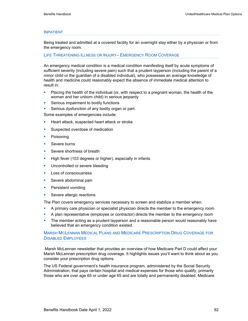#### INPATIENT

Being treated and admitted at a covered facility for an overnight stay either by a physician or from the emergency room.

#### LIFE THREATENING ILLNESS OR INJURY– EMERGENCY ROOM COVERAGE

An emergency medical condition is a medical condition manifesting itself by acute symptoms of sufficient severity (including severe pain) such that a prudent layperson (including the parent of a minor child or the guardian of a disabled individual), who possesses an average knowledge of health and medicine could reasonably expect the absence of immediate medical attention to result in:

- Placing the health of the individual (or, with respect to a pregnant woman, the health of the woman and her unborn child) in serious jeopardy
- **Serious impairment to bodily functions**
- **Serious dysfunction of any bodily organ or part.**

Some examples of emergencies include:

- **Heart attack, suspected heart attack or stroke**
- **Suspected overdose of medication**
- **Poisoning**
- **Severe burns**
- Severe shortness of breath
- High fever (103 degrees or higher), especially in infants
- **Uncontrolled or severe bleeding**
- **Loss of consciousness**
- **Severe abdominal pain**
- **Persistent vomiting**
- **Severe allergic reactions.**

The Plan covers emergency services necessary to screen and stabilize a member when:

- A primary care physician or specialist physician directs the member to the emergency room
- A plan representative (employee or contractor) directs the member to the emergency room
- The member acting as a prudent layperson and a reasonable person would reasonably have believed that an emergency condition existed.

#### MARSH MCLENNAN MEDICAL PLANS AND MEDICARE PRESCRIPTION DRUG COVERAGE FOR DISABLED EMPLOYEES

 Marsh McLennan newsletter that provides an overview of how Medicare Part D could affect your Marsh McLennan prescription drug coverage. It highlights issues you'll want to think about as you consider your prescription drug options.

The US Federal government's health insurance program, administered by the Social Security Administration, that pays certain hospital and medical expenses for those who qualify, primarily those who are over age 65 or under age 65 and are totally and permanently disabled. Medicare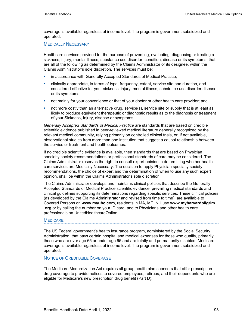coverage is available regardless of income level. The program is government subsidized and operated.

#### MEDICALLY NECESSARY

Healthcare services provided for the purpose of preventing, evaluating, diagnosing or treating a sickness, injury, mental Illness, substance use disorder, condition, disease or its symptoms, that are all of the following as determined by the Claims Administrator or its designee, within the Claims Administrator's sole discretion. The services must be:

- in accordance with Generally Accepted Standards of Medical Practice;
- clinically appropriate, in terms of type, frequency, extent, service site and duration, and considered effective for your sickness, injury, mental illness, substance use disorder disease or its symptoms;
- not mainly for your convenience or that of your doctor or other health care provider; and
- not more costly than an alternative drug, service(s), service site or supply that is at least as likely to produce equivalent therapeutic or diagnostic results as to the diagnosis or treatment of your Sickness, Injury, disease or symptoms.

*Generally Accepted Standards of Medical Practice* are standards that are based on credible scientific evidence published in peer-reviewed medical literature generally recognized by the relevant medical community, relying primarily on controlled clinical trials, or, if not available, observational studies from more than one institution that suggest a causal relationship between the service or treatment and health outcomes.

If no credible scientific evidence is available, then standards that are based on Physician specialty society recommendations or professional standards of care may be considered. The Claims Administrator reserves the right to consult expert opinion in determining whether health care services are Medically Necessary. The decision to apply Physician specialty society recommendations, the choice of expert and the determination of when to use any such expert opinion, shall be within the Claims Administrator's sole discretion.

The Claims Administrator develops and maintains clinical policies that describe the Generally Accepted Standards of Medical Practice scientific evidence, prevailing medical standards and clinical guidelines supporting its determinations regarding specific services. These clinical policies (as developed by the Claims Administrator and revised from time to time), are available to Covered Persons on **www.myuhc.com**, residents in MA, ME, NH use **www.myharvardpilgrim .org** or by calling the number on your ID card, and to Physicians and other health care professionals on UnitedHealthcareOnline.

#### **MEDICARE**

The US Federal government's health insurance program, administered by the Social Security Administration, that pays certain hospital and medical expenses for those who qualify, primarily those who are over age 65 or under age 65 and are totally and permanently disabled. Medicare coverage is available regardless of income level. The program is government subsidized and operated.

#### NOTICE OF CREDITABLE COVERAGE

The Medicare Modernization Act requires all group health plan sponsors that offer prescription drug coverage to provide notices to covered employees, retirees, and their dependents who are eligible for Medicare's new prescription drug benefit (Part D).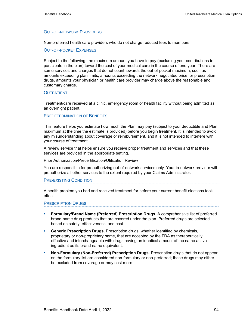#### OUT-OF-NETWORK PROVIDERS

Non-preferred health care providers who do not charge reduced fees to members.

OUT-OF-POCKET EXPENSES

Subject to the following, the maximum amount you have to pay (excluding your contributions to participate in the plan) toward the cost of your medical care in the course of one year. There are some services and charges that do not count towards the out-of-pocket maximum, such as amounts exceeding plan limits, amounts exceeding the network negotiated price for prescription drugs, amounts your physician or health care provider may charge above the reasonable and customary charge.

#### **OUTPATIENT**

Treatment/care received at a clinic, emergency room or health facility without being admitted as an overnight patient.

#### PREDETERMINATION OF BENEFITS

This feature helps you estimate how much the Plan may pay (subject to your deductible and Plan maximum at the time the estimate is provided) before you begin treatment. It is intended to avoid any misunderstanding about coverage or reimbursement, and it is not intended to interfere with your course of treatment.

A review service that helps ensure you receive proper treatment and services and that these services are provided in the appropriate setting.

Prior Authorization/Precertification/Utilization Review

You are responsible for preauthorizing out-of-network services only. Your in-network provider will preauthorize all other services to the extent required by your Claims Administrator.

#### PRE-EXISTING CONDITION

A health problem you had and received treatment for before your current benefit elections took effect.

#### PRESCRIPTION DRUGS

- **Formulary/Brand Name (Preferred) Prescription Drugs.** A comprehensive list of preferred brand-name drug products that are covered under the plan. Preferred drugs are selected based on safety, effectiveness, and cost.
- **Generic Prescription Drugs.** Prescription drugs, whether identified by chemicals, proprietary or non-proprietary name, that are accepted by the FDA as therapeutically effective and interchangeable with drugs having an identical amount of the same active ingredient as its brand name equivalent.
- **Non-Formulary (Non-Preferred) Prescription Drugs.** Prescription drugs that do not appear on the formulary list are considered non-formulary or non-preferred; these drugs may either be excluded from coverage or may cost more.